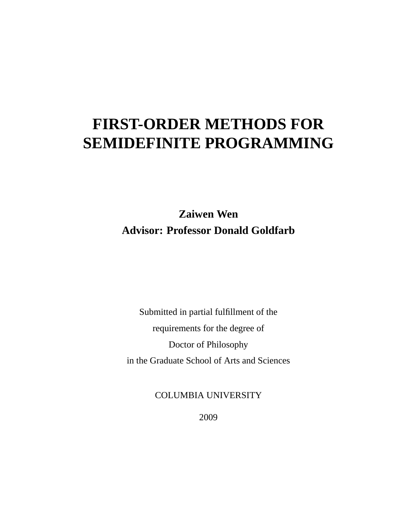## **FIRST-ORDER METHODS FOR SEMIDEFINITE PROGRAMMING**

**Zaiwen Wen Advisor: Professor Donald Goldfarb**

Submitted in partial fulfillment of the requirements for the degree of Doctor of Philosophy in the Graduate School of Arts and Sciences

COLUMBIA UNIVERSITY

2009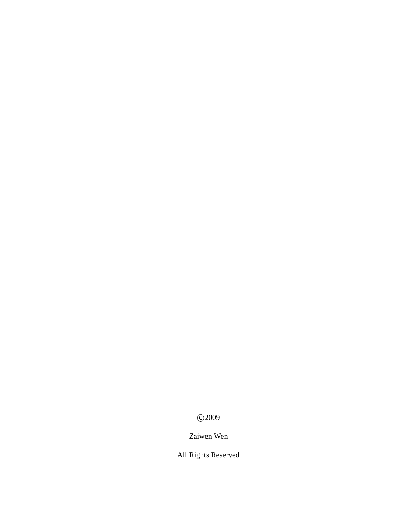c 2009

Zaiwen Wen

All Rights Reserved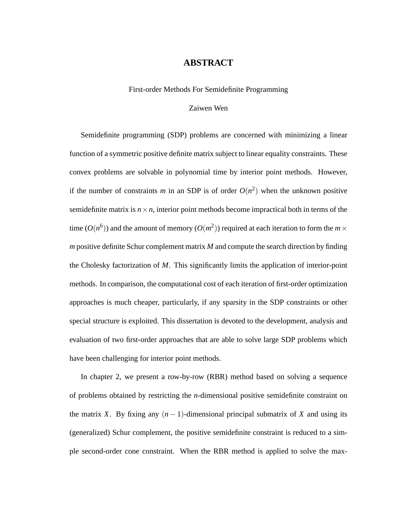#### **ABSTRACT**

First-order Methods For Semidefinite Programming

#### Zaiwen Wen

Semidefinite programming (SDP) problems are concerned with minimizing a linear function of a symmetric positive definite matrix subject to linear equality constraints. These convex problems are solvable in polynomial time by interior point methods. However, if the number of constraints *m* in an SDP is of order  $O(n^2)$  when the unknown positive semidefinite matrix is  $n \times n$ , interior point methods become impractical both in terms of the time  $(O(n^6))$  and the amount of memory  $(O(m^2))$  required at each iteration to form the  $m \times$ *m* positive definite Schur complement matrix *M* and compute the search direction by finding the Cholesky factorization of *M*. This significantly limits the application of interior-point methods. In comparison, the computational cost of each iteration of first-order optimization approaches is much cheaper, particularly, if any sparsity in the SDP constraints or other special structure is exploited. This dissertation is devoted to the development, analysis and evaluation of two first-order approaches that are able to solve large SDP problems which have been challenging for interior point methods.

In chapter 2, we present a row-by-row (RBR) method based on solving a sequence of problems obtained by restricting the *n*-dimensional positive semidefinite constraint on the matrix *X*. By fixing any  $(n - 1)$ -dimensional principal submatrix of *X* and using its (generalized) Schur complement, the positive semidefinite constraint is reduced to a simple second-order cone constraint. When the RBR method is applied to solve the max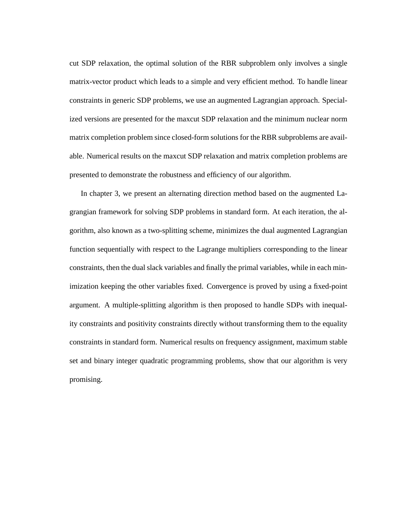cut SDP relaxation, the optimal solution of the RBR subproblem only involves a single matrix-vector product which leads to a simple and very efficient method. To handle linear constraints in generic SDP problems, we use an augmented Lagrangian approach. Specialized versions are presented for the maxcut SDP relaxation and the minimum nuclear norm matrix completion problem since closed-form solutions for the RBR subproblems are available. Numerical results on the maxcut SDP relaxation and matrix completion problems are presented to demonstrate the robustness and efficiency of our algorithm.

In chapter 3, we present an alternating direction method based on the augmented Lagrangian framework for solving SDP problems in standard form. At each iteration, the algorithm, also known as a two-splitting scheme, minimizes the dual augmented Lagrangian function sequentially with respect to the Lagrange multipliers corresponding to the linear constraints, then the dual slack variables and finally the primal variables, while in each minimization keeping the other variables fixed. Convergence is proved by using a fixed-point argument. A multiple-splitting algorithm is then proposed to handle SDPs with inequality constraints and positivity constraints directly without transforming them to the equality constraints in standard form. Numerical results on frequency assignment, maximum stable set and binary integer quadratic programming problems, show that our algorithm is very promising.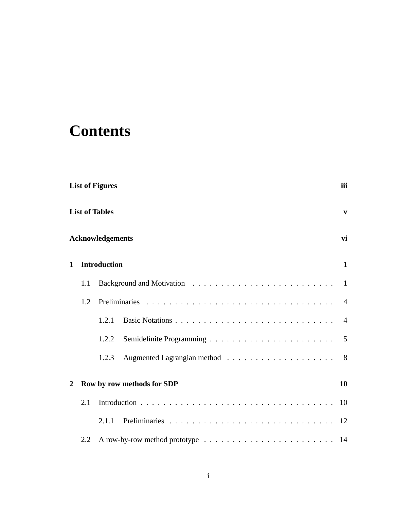## **Contents**

|                | <b>List of Figures</b><br>iii |                            |                |  |
|----------------|-------------------------------|----------------------------|----------------|--|
|                |                               | <b>List of Tables</b>      | $\mathbf{v}$   |  |
|                |                               | <b>Acknowledgements</b>    | vi             |  |
| $\mathbf{1}$   |                               | <b>Introduction</b>        | $\mathbf{1}$   |  |
|                | 1.1                           |                            | -1             |  |
|                | 1.2                           |                            | $\overline{A}$ |  |
|                |                               | 1.2.1                      | $\overline{4}$ |  |
|                |                               | 1.2.2                      | 5              |  |
|                |                               | 1.2.3                      | 8              |  |
| $\overline{2}$ |                               | Row by row methods for SDP | 10             |  |
|                | 2.1                           |                            | 10             |  |
|                |                               | 2.1.1                      |                |  |
|                | 2.2                           |                            |                |  |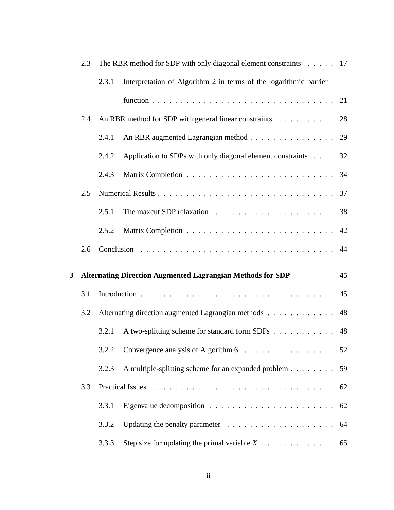|   | 2.3 |       | The RBR method for SDP with only diagonal element constraints 17           |    |
|---|-----|-------|----------------------------------------------------------------------------|----|
|   |     | 2.3.1 | Interpretation of Algorithm 2 in terms of the logarithmic barrier          |    |
|   |     |       |                                                                            |    |
|   | 2.4 |       | An RBR method for SDP with general linear constraints 28                   |    |
|   |     | 2.4.1 | An RBR augmented Lagrangian method 29                                      |    |
|   |     | 2.4.2 | Application to SDPs with only diagonal element constraints $\ldots$ 32     |    |
|   |     | 2.4.3 |                                                                            |    |
|   | 2.5 |       |                                                                            |    |
|   |     | 2.5.1 |                                                                            |    |
|   |     | 2.5.2 |                                                                            |    |
|   | 2.6 |       |                                                                            |    |
|   |     |       |                                                                            |    |
| 3 |     |       | <b>Alternating Direction Augmented Lagrangian Methods for SDP</b>          | 45 |
|   | 3.1 |       |                                                                            | 45 |
|   | 3.2 |       | Alternating direction augmented Lagrangian methods                         | 48 |
|   |     | 3.2.1 | A two-splitting scheme for standard form SDPs 48                           |    |
|   |     |       | 3.2.2 Convergence analysis of Algorithm 6 52                               |    |
|   |     | 3.2.3 | A multiple-splitting scheme for an expanded problem                        | 59 |
|   | 3.3 |       |                                                                            | 62 |
|   |     | 3.3.1 | Eigenvalue decomposition $\dots \dots \dots \dots \dots \dots \dots \dots$ | 62 |
|   |     | 3.3.2 |                                                                            | 64 |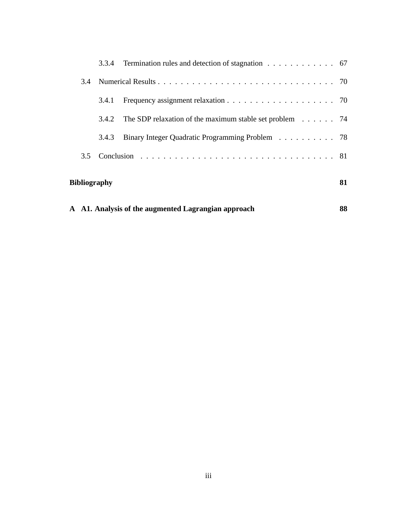|               | 3.4.2        | The SDP relaxation of the maximum stable set problem $\ldots$ 74 |    |
|---------------|--------------|------------------------------------------------------------------|----|
|               | 3.4.3        | Binary Integer Quadratic Programming Problem 78                  |    |
| $3.5^{\circ}$ |              |                                                                  |    |
|               | Bibliography |                                                                  | 81 |

|  | A A1. Analysis of the augmented Lagrangian approach | 88 |
|--|-----------------------------------------------------|----|
|--|-----------------------------------------------------|----|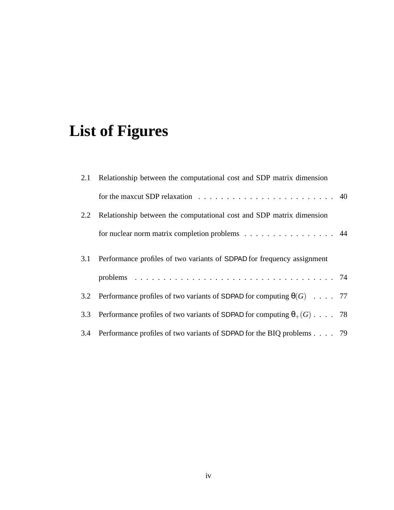# **List of Figures**

|     | 2.1 Relationship between the computational cost and SDP matrix dimension                          |  |
|-----|---------------------------------------------------------------------------------------------------|--|
|     | for the maxcut SDP relaxation $\ldots \ldots \ldots \ldots \ldots \ldots \ldots \ldots \ldots$ 40 |  |
|     | 2.2 Relationship between the computational cost and SDP matrix dimension                          |  |
|     | for nuclear norm matrix completion problems 44                                                    |  |
|     | 3.1 Performance profiles of two variants of SDPAD for frequency assignment                        |  |
|     |                                                                                                   |  |
|     | 3.2 Performance profiles of two variants of SDPAD for computing $\theta(G)$ 77                    |  |
| 3.3 | Performance profiles of two variants of SDPAD for computing $\theta_+(G)$ 78                      |  |
|     | 3.4 Performance profiles of two variants of SDPAD for the BIQ problems 79                         |  |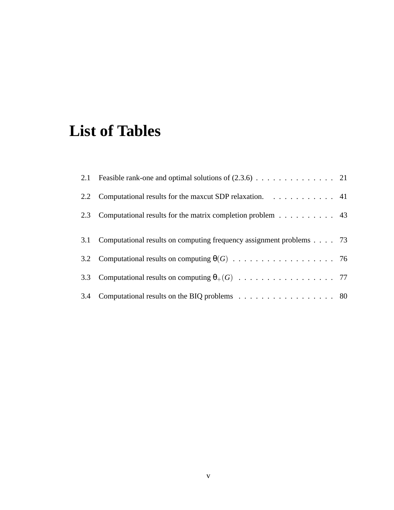## **List of Tables**

| 2.2 Computational results for the maxcut SDP relaxation. 41             |  |
|-------------------------------------------------------------------------|--|
| 2.3 Computational results for the matrix completion problem 43          |  |
| 3.1 Computational results on computing frequency assignment problems 73 |  |
|                                                                         |  |
|                                                                         |  |
| 3.4 Computational results on the BIQ problems 80                        |  |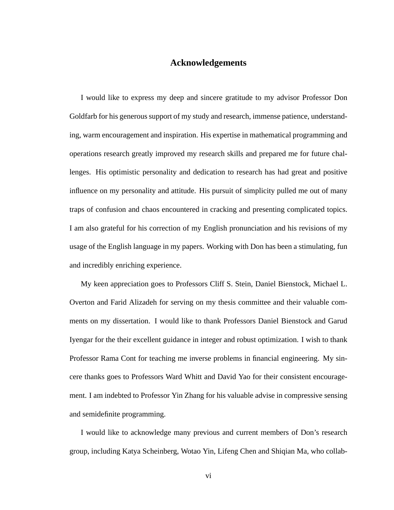### **Acknowledgements**

I would like to express my deep and sincere gratitude to my advisor Professor Don Goldfarb for his generous support of my study and research, immense patience, understanding, warm encouragement and inspiration. His expertise in mathematical programming and operations research greatly improved my research skills and prepared me for future challenges. His optimistic personality and dedication to research has had great and positive influence on my personality and attitude. His pursuit of simplicity pulled me out of many traps of confusion and chaos encountered in cracking and presenting complicated topics. I am also grateful for his correction of my English pronunciation and his revisions of my usage of the English language in my papers. Working with Don has been a stimulating, fun and incredibly enriching experience.

My keen appreciation goes to Professors Cliff S. Stein, Daniel Bienstock, Michael L. Overton and Farid Alizadeh for serving on my thesis committee and their valuable comments on my dissertation. I would like to thank Professors Daniel Bienstock and Garud Iyengar for the their excellent guidance in integer and robust optimization. I wish to thank Professor Rama Cont for teaching me inverse problems in financial engineering. My sincere thanks goes to Professors Ward Whitt and David Yao for their consistent encouragement. I am indebted to Professor Yin Zhang for his valuable advise in compressive sensing and semidefinite programming.

I would like to acknowledge many previous and current members of Don's research group, including Katya Scheinberg, Wotao Yin, Lifeng Chen and Shiqian Ma, who collab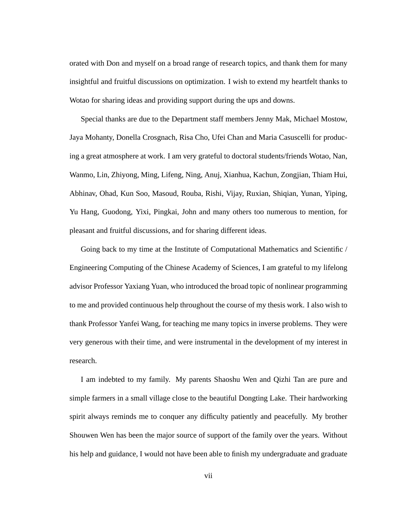orated with Don and myself on a broad range of research topics, and thank them for many insightful and fruitful discussions on optimization. I wish to extend my heartfelt thanks to Wotao for sharing ideas and providing support during the ups and downs.

Special thanks are due to the Department staff members Jenny Mak, Michael Mostow, Jaya Mohanty, Donella Crosgnach, Risa Cho, Ufei Chan and Maria Casuscelli for producing a great atmosphere at work. I am very grateful to doctoral students/friends Wotao, Nan, Wanmo, Lin, Zhiyong, Ming, Lifeng, Ning, Anuj, Xianhua, Kachun, Zongjian, Thiam Hui, Abhinav, Ohad, Kun Soo, Masoud, Rouba, Rishi, Vijay, Ruxian, Shiqian, Yunan, Yiping, Yu Hang, Guodong, Yixi, Pingkai, John and many others too numerous to mention, for pleasant and fruitful discussions, and for sharing different ideas.

Going back to my time at the Institute of Computational Mathematics and Scientific / Engineering Computing of the Chinese Academy of Sciences, I am grateful to my lifelong advisor Professor Yaxiang Yuan, who introduced the broad topic of nonlinear programming to me and provided continuous help throughout the course of my thesis work. I also wish to thank Professor Yanfei Wang, for teaching me many topics in inverse problems. They were very generous with their time, and were instrumental in the development of my interest in research.

I am indebted to my family. My parents Shaoshu Wen and Qizhi Tan are pure and simple farmers in a small village close to the beautiful Dongting Lake. Their hardworking spirit always reminds me to conquer any difficulty patiently and peacefully. My brother Shouwen Wen has been the major source of support of the family over the years. Without his help and guidance, I would not have been able to finish my undergraduate and graduate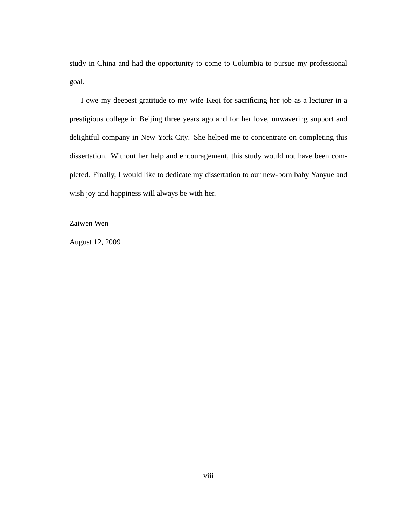study in China and had the opportunity to come to Columbia to pursue my professional goal.

I owe my deepest gratitude to my wife Keqi for sacrificing her job as a lecturer in a prestigious college in Beijing three years ago and for her love, unwavering support and delightful company in New York City. She helped me to concentrate on completing this dissertation. Without her help and encouragement, this study would not have been completed. Finally, I would like to dedicate my dissertation to our new-born baby Yanyue and wish joy and happiness will always be with her.

Zaiwen Wen

August 12, 2009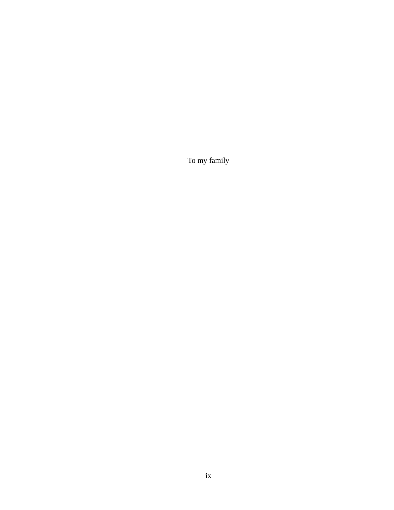To my family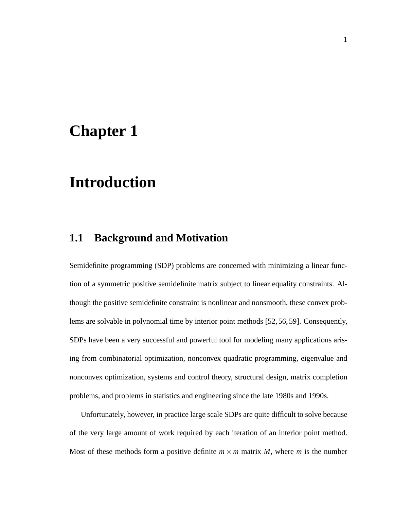## **Chapter 1**

## **Introduction**

### **1.1 Background and Motivation**

Semidefinite programming (SDP) problems are concerned with minimizing a linear function of a symmetric positive semidefinite matrix subject to linear equality constraints. Although the positive semidefinite constraint is nonlinear and nonsmooth, these convex problems are solvable in polynomial time by interior point methods [52, 56, 59]. Consequently, SDPs have been a very successful and powerful tool for modeling many applications arising from combinatorial optimization, nonconvex quadratic programming, eigenvalue and nonconvex optimization, systems and control theory, structural design, matrix completion problems, and problems in statistics and engineering since the late 1980s and 1990s.

Unfortunately, however, in practice large scale SDPs are quite difficult to solve because of the very large amount of work required by each iteration of an interior point method. Most of these methods form a positive definite  $m \times m$  matrix *M*, where *m* is the number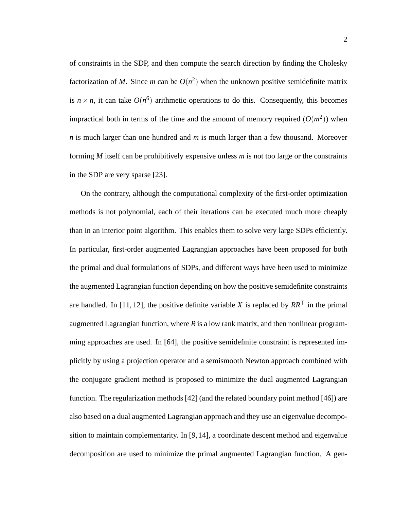of constraints in the SDP, and then compute the search direction by finding the Cholesky factorization of M. Since m can be  $O(n^2)$  when the unknown positive semidefinite matrix is  $n \times n$ , it can take  $O(n^6)$  arithmetic operations to do this. Consequently, this becomes impractical both in terms of the time and the amount of memory required  $(O(m^2))$  when *n* is much larger than one hundred and *m* is much larger than a few thousand. Moreover forming *M* itself can be prohibitively expensive unless *m* is not too large or the constraints in the SDP are very sparse [23].

On the contrary, although the computational complexity of the first-order optimization methods is not polynomial, each of their iterations can be executed much more cheaply than in an interior point algorithm. This enables them to solve very large SDPs efficiently. In particular, first-order augmented Lagrangian approaches have been proposed for both the primal and dual formulations of SDPs, and different ways have been used to minimize the augmented Lagrangian function depending on how the positive semidefinite constraints are handled. In [11, 12], the positive definite variable *X* is replaced by  $RR^{\top}$  in the primal augmented Lagrangian function, where *R* is a low rank matrix, and then nonlinear programming approaches are used. In [64], the positive semidefinite constraint is represented implicitly by using a projection operator and a semismooth Newton approach combined with the conjugate gradient method is proposed to minimize the dual augmented Lagrangian function. The regularization methods [42] (and the related boundary point method [46]) are also based on a dual augmented Lagrangian approach and they use an eigenvalue decomposition to maintain complementarity. In [9,14], a coordinate descent method and eigenvalue decomposition are used to minimize the primal augmented Lagrangian function. A gen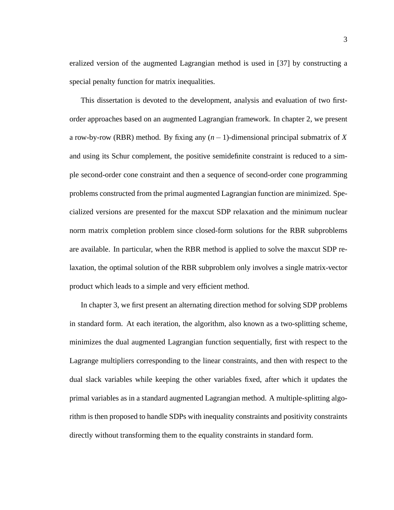eralized version of the augmented Lagrangian method is used in [37] by constructing a special penalty function for matrix inequalities.

This dissertation is devoted to the development, analysis and evaluation of two firstorder approaches based on an augmented Lagrangian framework. In chapter 2, we present a row-by-row (RBR) method. By fixing any (*n*−1)-dimensional principal submatrix of *X* and using its Schur complement, the positive semidefinite constraint is reduced to a simple second-order cone constraint and then a sequence of second-order cone programming problems constructed from the primal augmented Lagrangian function are minimized. Specialized versions are presented for the maxcut SDP relaxation and the minimum nuclear norm matrix completion problem since closed-form solutions for the RBR subproblems are available. In particular, when the RBR method is applied to solve the maxcut SDP relaxation, the optimal solution of the RBR subproblem only involves a single matrix-vector product which leads to a simple and very efficient method.

In chapter 3, we first present an alternating direction method for solving SDP problems in standard form. At each iteration, the algorithm, also known as a two-splitting scheme, minimizes the dual augmented Lagrangian function sequentially, first with respect to the Lagrange multipliers corresponding to the linear constraints, and then with respect to the dual slack variables while keeping the other variables fixed, after which it updates the primal variables as in a standard augmented Lagrangian method. A multiple-splitting algorithm is then proposed to handle SDPs with inequality constraints and positivity constraints directly without transforming them to the equality constraints in standard form.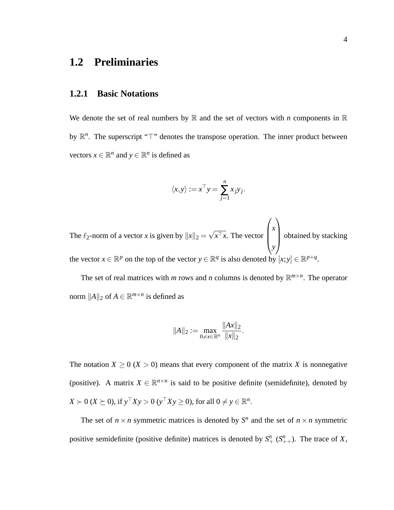### **1.2 Preliminaries**

#### **1.2.1 Basic Notations**

We denote the set of real numbers by  $\mathbb R$  and the set of vectors with *n* components in  $\mathbb R$ by  $\mathbb{R}^n$ . The superscript "⊤" denotes the transpose operation. The inner product between vectors  $x \in \mathbb{R}^n$  and  $y \in \mathbb{R}^n$  is defined as

$$
\langle x, y \rangle := x^{\top} y = \sum_{j=1}^{n} x_j y_j.
$$

The  $\ell_2$ -norm of a vector *x* is given by  $||x||_2 = \sqrt{x^{\top}x}$ . The vector  $\sqrt{ }$  $\begin{bmatrix} \phantom{-} \end{bmatrix}$ *x y*  $\setminus$  obtained by stacking the vector  $x \in \mathbb{R}^p$  on the top of the vector  $y \in \mathbb{R}^q$  is also denoted by  $[x; y] \in \mathbb{R}^{p+q}$ .

The set of real matrices with *m* rows and *n* columns is denoted by  $\mathbb{R}^{m \times n}$ . The operator norm  $||A||_2$  of  $A \in \mathbb{R}^{m \times n}$  is defined as

$$
||A||_2 := \max_{0 \neq x \in \mathbb{R}^n} \frac{||Ax||_2}{||x||_2}.
$$

The notation  $X \ge 0$  ( $X > 0$ ) means that every component of the matrix X is nonnegative (positive). A matrix  $X \in \mathbb{R}^{n \times n}$  is said to be positive definite (semidefinite), denoted by  $X \succ 0 \ (X \succeq 0), \text{ if } y^{\top} X y > 0 \ (y^{\top} X y \ge 0), \text{ for all } 0 \ne y \in \mathbb{R}^n.$ 

The set of  $n \times n$  symmetric matrices is denoted by  $S^n$  and the set of  $n \times n$  symmetric positive semidefinite (positive definite) matrices is denoted by  $S^n_+$  ( $S^n_{++}$ ). The trace of *X*,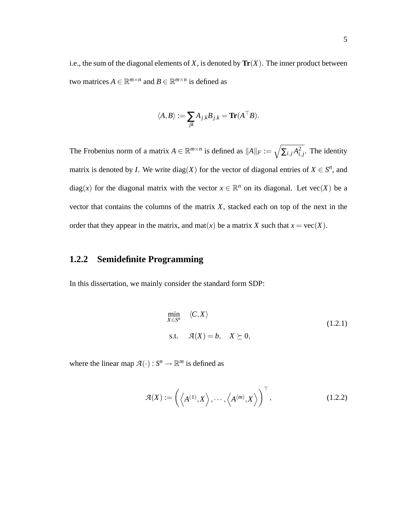i.e., the sum of the diagonal elements of  $X$ , is denoted by  $\text{Tr}(X)$ . The inner product between two matrices  $A \in \mathbb{R}^{m \times n}$  and  $B \in \mathbb{R}^{m \times n}$  is defined as

$$
\langle A,B\rangle:=\sum_{jk}A_{j,k}B_{j,k}=\text{Tr}(A^\top B).
$$

The Frobenius norm of a matrix  $A \in \mathbb{R}^{m \times n}$  is defined as  $||A||_F := \sqrt{\sum_{i,j} A_{i,j}^2}$ . The identity matrix is denoted by *I*. We write  $diag(X)$  for the vector of diagonal entries of  $X \in S^n$ , and diag(*x*) for the diagonal matrix with the vector  $x \in \mathbb{R}^n$  on its diagonal. Let vec(*X*) be a vector that contains the columns of the matrix *X*, stacked each on top of the next in the order that they appear in the matrix, and mat $(x)$  be a matrix *X* such that  $x = \text{vec}(X)$ .

#### **1.2.2 Semidefinite Programming**

In this dissertation, we mainly consider the standard form SDP:

$$
\min_{X \in S^n} \langle C, X \rangle
$$
  
s.t.  $\mathcal{A}(X) = b, \quad X \succeq 0,$  (1.2.1)

where the linear map  $\mathcal{A}(\cdot) : S^n \to \mathbb{R}^m$  is defined as

$$
\mathcal{A}(X) := \left( \left\langle A^{(1)}, X \right\rangle, \cdots, \left\langle A^{(m)}, X \right\rangle \right)^{\top}, \tag{1.2.2}
$$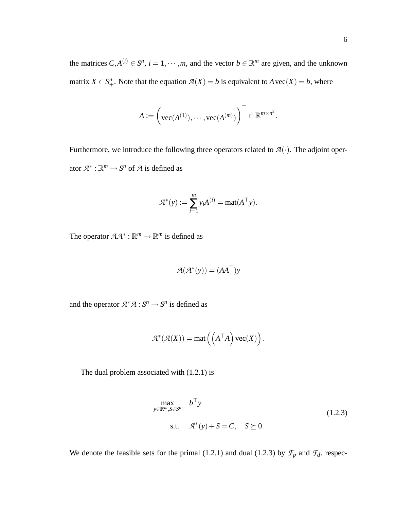the matrices  $C, A^{(i)} \in S^n$ ,  $i = 1, \dots, m$ , and the vector  $b \in \mathbb{R}^m$  are given, and the unknown matrix  $X \in S^n_+$ . Note that the equation  $\mathcal{A}(X) = b$  is equivalent to  $A \text{ vec}(X) = b$ , where

$$
A := \left(\text{vec}(A^{(1)}), \cdots, \text{vec}(A^{(m)})\right)^{\top} \in \mathbb{R}^{m \times n^2}.
$$

Furthermore, we introduce the following three operators related to  $\mathcal{A}(\cdot)$ . The adjoint operator  $\mathcal{A}^* : \mathbb{R}^m \to S^n$  of  $\mathcal A$  is defined as

$$
\mathcal{A}^*(y) := \sum_{i=1}^m y_i A^{(i)} = \text{mat}(A^\top y).
$$

The operator  $\mathcal{A}\mathcal{A}^*$ :  $\mathbb{R}^m \to \mathbb{R}^m$  is defined as

$$
\mathcal{A}(\mathcal{A}^*(y)) = (AA^{\top})y
$$

and the operator  $\mathcal{A}^* \mathcal{A} : S^n \to S^n$  is defined as

$$
\mathcal{A}^*(\mathcal{A}(X)) = \text{mat}\left(\left(A^\top A\right)\text{vec}(X)\right).
$$

The dual problem associated with (1.2.1) is

$$
\max_{y \in \mathbb{R}^m, S \in S^n} b^{\dagger} y
$$
  
s.t.  $\mathcal{A}^*(y) + S = C, S \succeq 0.$  (1.2.3)

We denote the feasible sets for the primal (1.2.1) and dual (1.2.3) by  $\mathcal{F}_p$  and  $\mathcal{F}_d$ , respec-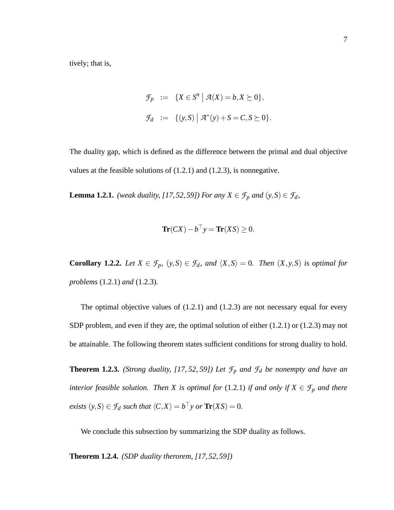tively; that is,

$$
\mathcal{F}_p := \{ X \in S^n \mid \mathcal{A}(X) = b, X \succeq 0 \},
$$
  

$$
\mathcal{F}_d := \{ (y, S) \mid \mathcal{A}^*(y) + S = C, S \succeq 0 \}.
$$

The duality gap, which is defined as the difference between the primal and dual objective values at the feasible solutions of (1.2.1) and (1.2.3), is nonnegative.

**Lemma 1.2.1.** *(weak duality, [17, 52, 59]) For any*  $X \in \mathcal{F}_p$  *and*  $(y, S) \in \mathcal{F}_d$ *,* 

$$
\mathbf{Tr}(CX) - b^{\top} y = \mathbf{Tr}(XS) \ge 0.
$$

**Corollary 1.2.2.** *Let*  $X \in \mathcal{F}_p$ *,*  $(y, S) \in \mathcal{F}_d$ *, and*  $\langle X, S \rangle = 0$ *. Then*  $(X, y, S)$  *is optimal for problems* (1.2.1) *and* (1.2.3)*.*

The optimal objective values of  $(1.2.1)$  and  $(1.2.3)$  are not necessary equal for every SDP problem, and even if they are, the optimal solution of either (1.2.1) or (1.2.3) may not be attainable. The following theorem states sufficient conditions for strong duality to hold.

**Theorem 1.2.3.** *(Strong duality, [17, 52, 59]) Let*  $\mathcal{F}_p$  *and*  $\mathcal{F}_d$  *be nonempty and have an interior feasible solution. Then X is optimal for* (1.2.1) *if and only if*  $X \in \mathcal{F}_p$  *and there exists*  $(y, S) \in \mathcal{F}_d$  *such that*  $\langle C, X \rangle = b^\top y$  *or*  $\text{Tr}(XS) = 0$ *.* 

We conclude this subsection by summarizing the SDP duality as follows.

**Theorem 1.2.4.** *(SDP duality therorem, [17, 52, 59])*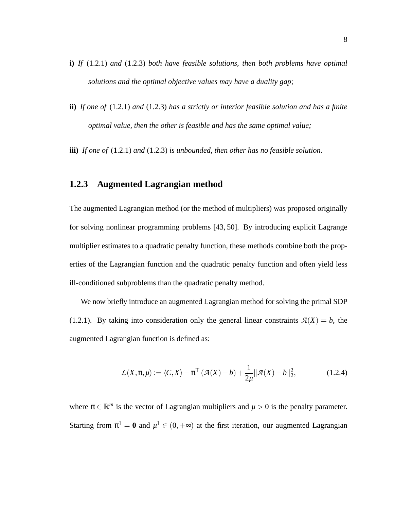- **i)** *If* (1.2.1) *and* (1.2.3) *both have feasible solutions, then both problems have optimal solutions and the optimal objective values may have a duality gap;*
- **ii)** *If one of* (1.2.1) *and* (1.2.3) *has a strictly or interior feasible solution and has a finite optimal value, then the other is feasible and has the same optimal value;*
- **iii)** *If one of* (1.2.1) *and* (1.2.3) *is unbounded, then other has no feasible solution.*

#### **1.2.3 Augmented Lagrangian method**

The augmented Lagrangian method (or the method of multipliers) was proposed originally for solving nonlinear programming problems [43, 50]. By introducing explicit Lagrange multiplier estimates to a quadratic penalty function, these methods combine both the properties of the Lagrangian function and the quadratic penalty function and often yield less ill-conditioned subproblems than the quadratic penalty method.

We now briefly introduce an augmented Lagrangian method for solving the primal SDP (1.2.1). By taking into consideration only the general linear constraints  $\mathcal{A}(X) = b$ , the augmented Lagrangian function is defined as:

$$
\mathcal{L}(X,\pi,\mu) := \langle C,X \rangle - \pi^{\top} \left( \mathcal{A}(X) - b \right) + \frac{1}{2\mu} \|\mathcal{A}(X) - b\|_{2}^{2},\tag{1.2.4}
$$

where  $\pi \in \mathbb{R}^m$  is the vector of Lagrangian multipliers and  $\mu > 0$  is the penalty parameter. Starting from  $\pi^1 = 0$  and  $\mu^1 \in (0, +\infty)$  at the first iteration, our augmented Lagrangian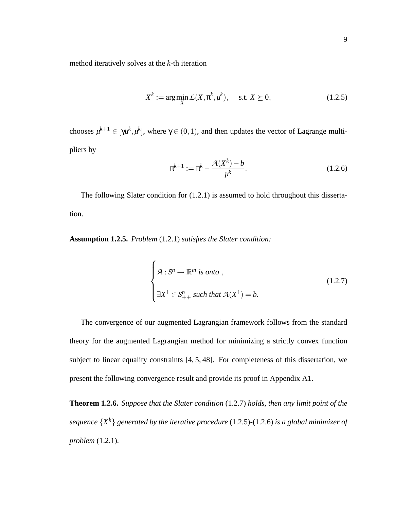method iteratively solves at the *k*-th iteration

$$
X^{k} := \arg\min_{X} \mathcal{L}(X, \pi^{k}, \mu^{k}), \quad \text{s.t. } X \succeq 0,
$$
 (1.2.5)

chooses  $\mu^{k+1} \in [\gamma \mu^k, \mu^k]$ , where  $\gamma \in (0, 1)$ , and then updates the vector of Lagrange multipliers by

$$
\pi^{k+1} := \pi^k - \frac{\mathcal{A}(X^k) - b}{\mu^k}.
$$
\n(1.2.6)

The following Slater condition for (1.2.1) is assumed to hold throughout this dissertation.

**Assumption 1.2.5.** *Problem* (1.2.1) *satisfies the Slater condition:*

$$
\begin{cases}\n\mathcal{A}: S^n \to \mathbb{R}^m \text{ is onto },\\ \n\exists X^1 \in S_{++}^n \text{ such that } \mathcal{A}(X^1) = b.\n\end{cases}
$$
\n(1.2.7)

The convergence of our augmented Lagrangian framework follows from the standard theory for the augmented Lagrangian method for minimizing a strictly convex function subject to linear equality constraints [4, 5, 48]. For completeness of this dissertation, we present the following convergence result and provide its proof in Appendix A1.

**Theorem 1.2.6.** *Suppose that the Slater condition* (1.2.7) *holds, then any limit point of the sequence* {*X <sup>k</sup>*} *generated by the iterative procedure* (1.2.5)*-*(1.2.6) *is a global minimizer of problem* (1.2.1)*.*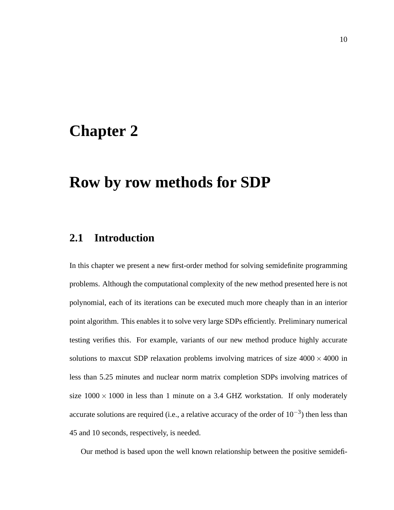### **Chapter 2**

### **Row by row methods for SDP**

### **2.1 Introduction**

In this chapter we present a new first-order method for solving semidefinite programming problems. Although the computational complexity of the new method presented here is not polynomial, each of its iterations can be executed much more cheaply than in an interior point algorithm. This enables it to solve very large SDPs efficiently. Preliminary numerical testing verifies this. For example, variants of our new method produce highly accurate solutions to maxcut SDP relaxation problems involving matrices of size  $4000 \times 4000$  in less than 5.25 minutes and nuclear norm matrix completion SDPs involving matrices of size  $1000 \times 1000$  in less than 1 minute on a 3.4 GHZ workstation. If only moderately accurate solutions are required (i.e., a relative accuracy of the order of  $10^{-3}$ ) then less than 45 and 10 seconds, respectively, is needed.

Our method is based upon the well known relationship between the positive semidefi-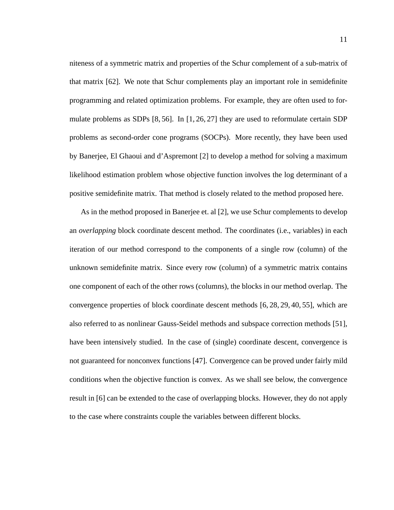niteness of a symmetric matrix and properties of the Schur complement of a sub-matrix of that matrix [62]. We note that Schur complements play an important role in semidefinite programming and related optimization problems. For example, they are often used to formulate problems as SDPs  $[8, 56]$ . In  $[1, 26, 27]$  they are used to reformulate certain SDP problems as second-order cone programs (SOCPs). More recently, they have been used by Banerjee, El Ghaoui and d'Aspremont [2] to develop a method for solving a maximum likelihood estimation problem whose objective function involves the log determinant of a positive semidefinite matrix. That method is closely related to the method proposed here.

As in the method proposed in Banerjee et. al [2], we use Schur complements to develop an *overlapping* block coordinate descent method. The coordinates (i.e., variables) in each iteration of our method correspond to the components of a single row (column) of the unknown semidefinite matrix. Since every row (column) of a symmetric matrix contains one component of each of the other rows (columns), the blocks in our method overlap. The convergence properties of block coordinate descent methods [6, 28, 29, 40, 55], which are also referred to as nonlinear Gauss-Seidel methods and subspace correction methods [51], have been intensively studied. In the case of (single) coordinate descent, convergence is not guaranteed for nonconvex functions [47]. Convergence can be proved under fairly mild conditions when the objective function is convex. As we shall see below, the convergence result in [6] can be extended to the case of overlapping blocks. However, they do not apply to the case where constraints couple the variables between different blocks.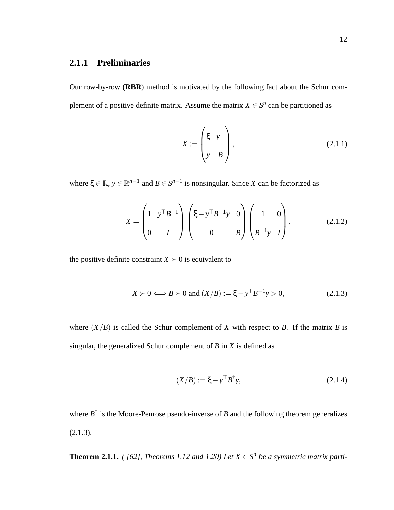### **2.1.1 Preliminaries**

Our row-by-row (**RBR**) method is motivated by the following fact about the Schur complement of a positive definite matrix. Assume the matrix  $X \in S^n$  can be partitioned as

$$
X := \begin{pmatrix} \xi & y^{\top} \\ y & B \end{pmatrix}, \tag{2.1.1}
$$

where  $\xi \in \mathbb{R}$ ,  $y \in \mathbb{R}^{n-1}$  and  $B \in S^{n-1}$  is nonsingular. Since *X* can be factorized as

$$
X = \begin{pmatrix} 1 & y^{\top} B^{-1} \\ 0 & I \end{pmatrix} \begin{pmatrix} \xi - y^{\top} B^{-1} y & 0 \\ 0 & B \end{pmatrix} \begin{pmatrix} 1 & 0 \\ B^{-1} y & I \end{pmatrix},
$$
(2.1.2)

the positive definite constraint  $X \succ 0$  is equivalent to

$$
X \succ 0 \Longleftrightarrow B \succ 0 \text{ and } (X/B) := \xi - y^{\top} B^{-1} y > 0,
$$
 (2.1.3)

where  $(X/B)$  is called the Schur complement of *X* with respect to *B*. If the matrix *B* is singular, the generalized Schur complement of *B* in *X* is defined as

$$
(X/B) := \xi - y^{\top} B^{\dagger} y,
$$
 (2.1.4)

where  $B^{\dagger}$  is the Moore-Penrose pseudo-inverse of *B* and the following theorem generalizes  $(2.1.3).$ 

**Theorem 2.1.1.** *(* [62], Theorems 1.12 and 1.20) Let  $X \in S^n$  be a symmetric matrix parti-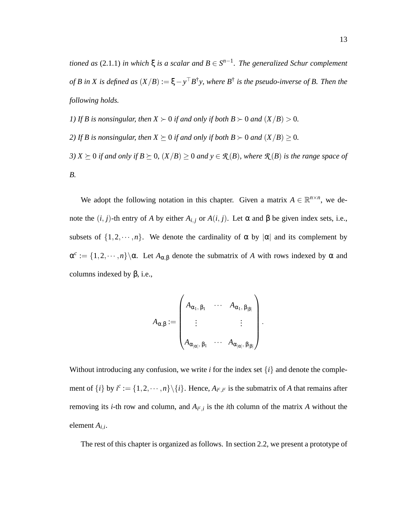*tioned as* (2.1.1) *in which*  $\xi$  *is a scalar and*  $B \in S^{n-1}$ *. The generalized Schur complement of B in X is defined as*  $(X/B) := \xi - y^{\top}B^{\dagger}y$ , where  $B^{\dagger}$  *is the pseudo-inverse of B. Then the following holds.*

*1)* If B is nonsingular, then  $X \succ 0$  if and only if both  $B \succ 0$  and  $(X/B) > 0$ .

*2)* If B is nonsingular, then  $X \succeq 0$  if and only if both  $B \succ 0$  and  $(X/B) \geq 0$ .

*3)*  $X \succeq 0$  *if and only if*  $B \succeq 0$ *,*  $(X/B) \geq 0$  *and*  $y \in \mathcal{R}(B)$ *, where*  $\mathcal{R}(B)$  *is the range space of B.*

We adopt the following notation in this chapter. Given a matrix  $A \in \mathbb{R}^{n \times n}$ , we denote the  $(i, j)$ -th entry of *A* by either  $A_{i,j}$  or  $A(i, j)$ . Let α and β be given index sets, i.e., subsets of  $\{1,2,\dots,n\}$ . We denote the cardinality of  $\alpha$  by  $|\alpha|$  and its complement by  $\alpha^c := \{1, 2, \dots, n\} \setminus \alpha$ . Let  $A_{\alpha, \beta}$  denote the submatrix of *A* with rows indexed by  $\alpha$  and columns indexed by  $β$ , i.e.,

$$
A_{\alpha,\beta} := \begin{pmatrix} A_{\alpha_1,\,\beta_1} & \cdots & A_{\alpha_1,\,\beta_{|\beta|}} \\ \vdots & & \vdots \\ A_{\alpha_{|\alpha|},\,\beta_1} & \cdots & A_{\alpha_{|\alpha|},\,\beta_{|\beta|}} \end{pmatrix}
$$

.

Without introducing any confusion, we write *i* for the index set  $\{i\}$  and denote the complement of  $\{i\}$  by  $i^c := \{1, 2, \dots, n\} \setminus \{i\}$ . Hence,  $A_{i^c, i^c}$  is the submatrix of *A* that remains after removing its *i*-th row and column, and  $A_{i^c,i}$  is the *i*th column of the matrix *A* without the element *Ai*,*<sup>i</sup>* .

The rest of this chapter is organized as follows. In section 2.2, we present a prototype of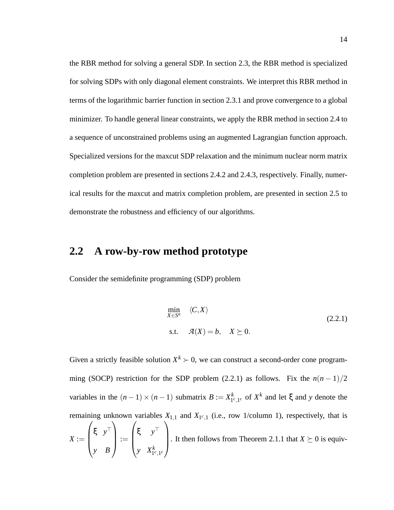the RBR method for solving a general SDP. In section 2.3, the RBR method is specialized for solving SDPs with only diagonal element constraints. We interpret this RBR method in terms of the logarithmic barrier function in section 2.3.1 and prove convergence to a global minimizer. To handle general linear constraints, we apply the RBR method in section 2.4 to a sequence of unconstrained problems using an augmented Lagrangian function approach. Specialized versions for the maxcut SDP relaxation and the minimum nuclear norm matrix completion problem are presented in sections 2.4.2 and 2.4.3, respectively. Finally, numerical results for the maxcut and matrix completion problem, are presented in section 2.5 to demonstrate the robustness and efficiency of our algorithms.

### **2.2 A row-by-row method prototype**

Consider the semidefinite programming (SDP) problem

*y*  $X_1^k$ <sub>*c*,1</sub>*c* 

*y B*

$$
\min_{X \in S^n} \langle C, X \rangle
$$
  
s.t.  $\mathcal{A}(X) = b, \quad X \succeq 0.$  (2.2.1)

Given a strictly feasible solution  $X^k \succ 0$ , we can construct a second-order cone programming (SOCP) restriction for the SDP problem (2.2.1) as follows. Fix the  $n(n-1)/2$ variables in the  $(n-1) \times (n-1)$  submatrix  $B := X_{1^c,1^c}^k$  of  $X^k$  and let  $\xi$  and y denote the remaining unknown variables  $X_{1,1}$  and  $X_{1^c,1}$  (i.e., row 1/column 1), respectively, that is  $X :=$  $\sqrt{ }$  $\overline{\phantom{a}}$ ξ *y* ⊤  $\setminus$  $\Bigg| :=$  $\sqrt{ }$  $\overline{\phantom{a}}$ ξ *y* ⊤  $\setminus$ It then follows from Theorem 2.1.1 that  $X \succeq 0$  is equiv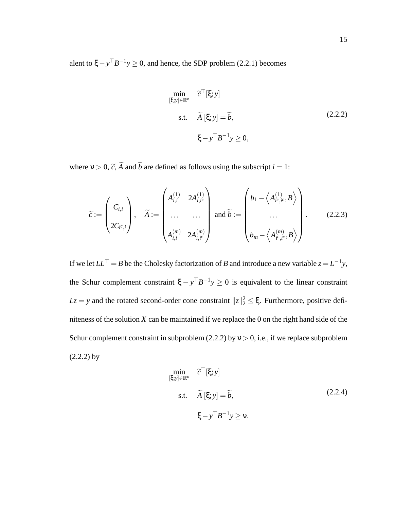alent to  $\xi - y^{\top}B^{-1}y \ge 0$ , and hence, the SDP problem (2.2.1) becomes

$$
\min_{\begin{aligned}\n[\xi; y] \in \mathbb{R}^n & \quad \widetilde{c}^\top[\xi; y] \\
\text{s.t.} & \quad \widetilde{A}[\xi; y] = \widetilde{b}, \\
& \xi - y^\top B^{-1} y \ge 0,\n\end{aligned}\n\tag{2.2.2}
$$

where  $v > 0$ ,  $\tilde{c}$ ,  $\tilde{A}$  and  $\tilde{b}$  are defined as follows using the subscript  $i = 1$ :

$$
\widetilde{c} := \begin{pmatrix} C_{i,i} \\ 2C_{i^c,i} \end{pmatrix}, \quad \widetilde{A} := \begin{pmatrix} A_{i,i}^{(1)} & 2A_{i,i^c}^{(1)} \\ \dots & \dots \\ A_{i,i}^{(m)} & 2A_{i,i^c}^{(m)} \end{pmatrix} \text{ and } \widetilde{b} := \begin{pmatrix} b_1 - \left\langle A_{i^c,i^c}^{(1)}, B \right\rangle \\ \dots \\ b_m - \left\langle A_{i^c,i^c}^{(m)}, B \right\rangle \end{pmatrix}.
$$
 (2.2.3)

If we let  $LL^\top = B$  be the Cholesky factorization of *B* and introduce a new variable  $z = L^{-1}y$ , the Schur complement constraint  $\xi - y^{\top}B^{-1}y \ge 0$  is equivalent to the linear constraint *Lz* = *y* and the rotated second-order cone constraint  $||z||_2^2 \le \xi$ . Furthermore, positive definiteness of the solution *X* can be maintained if we replace the 0 on the right hand side of the Schur complement constraint in subproblem (2.2.2) by  $v > 0$ , i.e., if we replace subproblem  $(2.2.2)$  by

$$
\min_{\begin{aligned}\n[\xi; y] \in \mathbb{R}^n & \quad \widetilde{c}^\top[\xi; y] \\
\text{s.t.} & \quad \widetilde{A} [\xi; y] = \widetilde{b}, \\
&\quad \xi - y^\top B^{-1} y \ge v.\n\end{aligned}\n\tag{2.2.4}
$$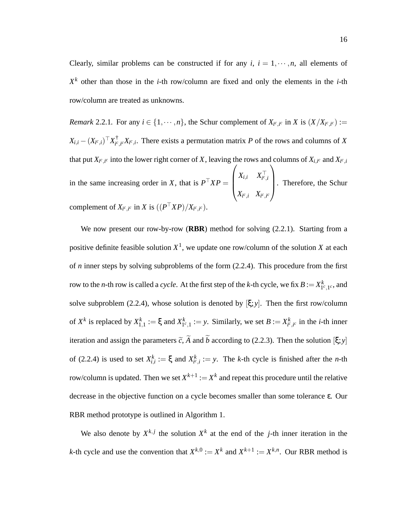Clearly, similar problems can be constructed if for any  $i, i = 1, \dots, n$ , all elements of *X <sup>k</sup>* other than those in the *i*-th row/column are fixed and only the elements in the *i*-th row/column are treated as unknowns.

*Remark* 2.2.1. For any  $i \in \{1, \dots, n\}$ , the Schur complement of  $X_{i^c, i^c}$  in *X* is  $(X/X_{i^c, i^c}) :=$  $X_{i,i} - (X_{i^c,i})^\top X_{i^c}^\dagger$  $\int_{i^c, i^c}^T X_{i^c, i}$ . There exists a permutation matrix *P* of the rows and columns of *X* that put  $X_{i^c,i^c}$  into the lower right corner of *X*, leaving the rows and columns of  $X_{i,i^c}$  and  $X_{i^c,i}$ in the same increasing order in *X*, that is  $P^{\dagger}XP =$  $\sqrt{ }$  $\overline{\phantom{a}}$  $X_{i,i}$  *X*<sub>*i*</sub><sup>*c*</sup>,*i*  $X_{i^c,i}$   $X_{i^c,i^c}$  $\setminus$  . Therefore, the Schur complement of  $X_{i^c,i^c}$  in *X* is  $((P<sup>†</sup>XP)/X_{i^c,i^c})$ .

We now present our row-by-row (**RBR**) method for solving (2.2.1). Starting from a positive definite feasible solution *X* 1 , we update one row/column of the solution *X* at each of *n* inner steps by solving subproblems of the form (2.2.4). This procedure from the first row to the *n*-th row is called a *cycle*. At the first step of the *k*-th cycle, we fix  $B := X^k_{1^c, 1^c}$ , and solve subproblem (2.2.4), whose solution is denoted by  $[\xi; y]$ . Then the first row/column of  $X^k$  is replaced by  $X^k_{1,1} := \xi$  and  $X^k_{1^c,1} := y$ . Similarly, we set  $B := X^k_{i^c,i^c}$  in the *i*-th inner iteration and assign the parameters  $\tilde{c}$ ,  $\tilde{A}$  and  $\tilde{b}$  according to (2.2.3). Then the solution  $[\xi; y]$ of (2.2.4) is used to set  $X_{i,i}^k := \xi$  and  $X_{i^c,i}^k := y$ . The *k*-th cycle is finished after the *n*-th row/column is updated. Then we set  $X^{k+1} := X^k$  and repeat this procedure until the relative decrease in the objective function on a cycle becomes smaller than some tolerance ε. Our RBR method prototype is outlined in Algorithm 1.

We also denote by  $X^{k,j}$  the solution  $X^k$  at the end of the *j*-th inner iteration in the *k*-th cycle and use the convention that  $X^{k,0} := X^k$  and  $X^{k+1} := X^{k,n}$ . Our RBR method is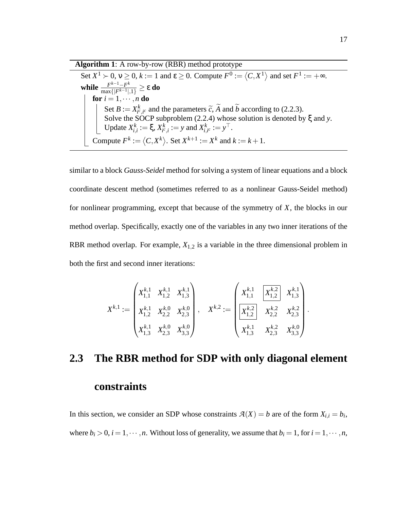| <b>Algorithm 1:</b> A row-by-row (RBR) method prototype                                                                               |  |  |
|---------------------------------------------------------------------------------------------------------------------------------------|--|--|
| Set $X^1 \succ 0$ , $v \ge 0$ , $k := 1$ and $\varepsilon \ge 0$ . Compute $F^0 := \langle C, X^1 \rangle$ and set $F^1 := +\infty$ . |  |  |
| while $\frac{F^{k-1}-F^k}{\max\{ F^{k-1} ,1\}} \geq \varepsilon$ do                                                                   |  |  |
| for $i = 1, \dots, n$ do                                                                                                              |  |  |
| Set $B := X_{j^c, j^c}^k$ and the parameters $\tilde{c}$ , A and b according to (2.2.3).                                              |  |  |
| Solve the SOCP subproblem $(2.2.4)$ whose solution is denoted by $\xi$ and y.                                                         |  |  |
| Update $X_{i,i}^k := \xi, X_{i^c,i}^k := y$ and $X_{i,i^c}^k := y^\top$ .                                                             |  |  |
| Compute $F^k := \langle C, X^k \rangle$ . Set $X^{k+1} := X^k$ and $k := k + 1$ .                                                     |  |  |

similar to a block *Gauss-Seidel* method for solving a system of linear equations and a block coordinate descent method (sometimes referred to as a nonlinear Gauss-Seidel method) for nonlinear programming, except that because of the symmetry of *X*, the blocks in our method overlap. Specifically, exactly one of the variables in any two inner iterations of the RBR method overlap. For example,  $X_{1,2}$  is a variable in the three dimensional problem in both the first and second inner iterations:

$$
X^{k,1}:=\begin{pmatrix} X_{1,1}^{k,1} & X_{1,2}^{k,1} & X_{1,3}^{k,1} \\[1mm] X_{1,2}^{k,1} & X_{2,2}^{k,0} & X_{2,3}^{k,0} \\[1mm] X_{1,3}^{k,1} & X_{2,3}^{k,0} & X_{3,3}^{k,0} \end{pmatrix}, \quad X^{k,2}:=\begin{pmatrix} X_{1,1}^{k,1} & \boxed{X_{1,2}^{k,2}} & X_{1,3}^{k,1} \\[1mm] \boxed{X_{1,2}^{k,2}} & X_{2,2}^{k,2} & X_{2,3}^{k,2} \\[1mm] X_{1,3}^{k,1} & X_{2,3}^{k,0} & X_{3,3}^{k,0} \end{pmatrix}.
$$

# **2.3 The RBR method for SDP with only diagonal element constraints**

In this section, we consider an SDP whose constraints  $A(X) = b$  are of the form  $X_{i,i} = b_i$ , where  $b_i > 0$ ,  $i = 1, \dots, n$ . Without loss of generality, we assume that  $b_i = 1$ , for  $i = 1, \dots, n$ ,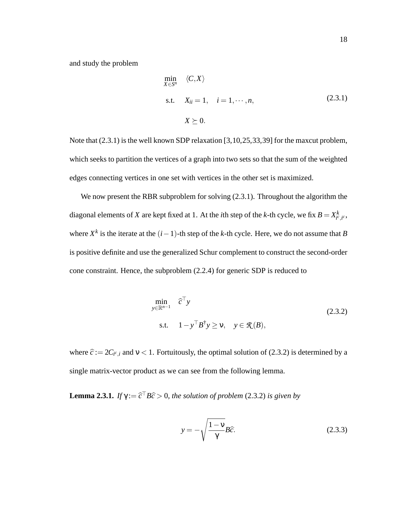and study the problem

$$
\min_{X \in S^n} \langle C, X \rangle
$$
  
s.t.  $X_{ii} = 1, \quad i = 1, \dots, n,$  (2.3.1)  
 $X \succeq 0.$ 

Note that  $(2.3.1)$  is the well known SDP relaxation [3,10,25,33,39] for the maxcut problem, which seeks to partition the vertices of a graph into two sets so that the sum of the weighted edges connecting vertices in one set with vertices in the other set is maximized.

We now present the RBR subproblem for solving  $(2.3.1)$ . Throughout the algorithm the diagonal elements of *X* are kept fixed at 1. At the *i*th step of the *k*-th cycle, we fix  $B = X_{i^c, i^c}^k$ , where  $X^k$  is the iterate at the  $(i-1)$ -th step of the *k*-th cycle. Here, we do not assume that *B* is positive definite and use the generalized Schur complement to construct the second-order cone constraint. Hence, the subproblem (2.2.4) for generic SDP is reduced to

$$
\min_{y \in \mathbb{R}^{n-1}} \hat{c}^{\top} y
$$
\n
$$
\text{s.t.} \quad 1 - y^{\top} B^{\dagger} y \ge v, \quad y \in \mathcal{R}(B),
$$
\n
$$
(2.3.2)
$$

where  $\hat{c} := 2C_{i^c,i}$  and  $v < 1$ . Fortuitously, the optimal solution of (2.3.2) is determined by a single matrix-vector product as we can see from the following lemma.

**Lemma 2.3.1.** *If*  $\gamma := \hat{c}^{\dagger} B\hat{c} > 0$ *, the solution of problem* (2.3.2) *is given by* 

$$
y = -\sqrt{\frac{1-\nu}{\gamma}}B\hat{c}.
$$
 (2.3.3)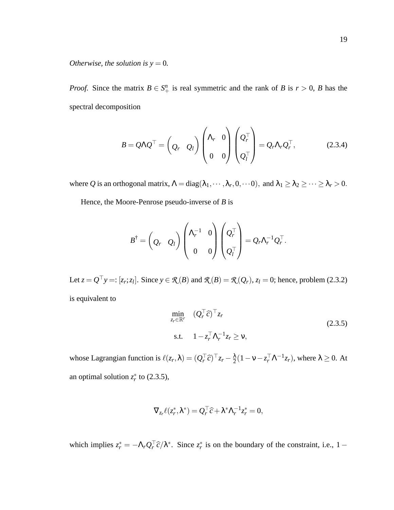*Otherwise, the solution is*  $y = 0$ *.* 

*Proof.* Since the matrix  $B \in S^n_+$  is real symmetric and the rank of *B* is  $r > 0$ , *B* has the spectral decomposition

$$
B = Q\Lambda Q^{\top} = \begin{pmatrix} Q_r & Q_l \end{pmatrix} \begin{pmatrix} \Lambda_r & 0 \\ 0 & 0 \end{pmatrix} \begin{pmatrix} Q_r^{\top} \\ Q_l^{\top} \end{pmatrix} = Q_r \Lambda_r Q_r^{\top}, \qquad (2.3.4)
$$

where *Q* is an orthogonal matrix,  $\Lambda = diag(\lambda_1, \dots, \lambda_r, 0, \dots 0)$ , and  $\lambda_1 \geq \lambda_2 \geq \dots \geq \lambda_r > 0$ .

Hence, the Moore-Penrose pseudo-inverse of *B* is

$$
B^{\dagger} = \begin{pmatrix} Q_r & Q_l \end{pmatrix} \begin{pmatrix} \Lambda_r^{-1} & 0 \\ 0 & 0 \end{pmatrix} \begin{pmatrix} Q_r^{\top} \\ Q_l^{\top} \end{pmatrix} = Q_r \Lambda_r^{-1} Q_r^{\top}.
$$

Let  $z = Q^{\top}y =: [z_r; z_l]$ . Since  $y \in \mathcal{R}(B)$  and  $\mathcal{R}(B) = \mathcal{R}(Q_r)$ ,  $z_l = 0$ ; hence, problem (2.3.2) is equivalent to

$$
\min_{z_r \in \mathbb{R}^r} \quad (Q_r^\top \hat{c})^\top z_r
$$
\n
$$
\text{s.t.} \quad 1 - z_r^\top \Lambda_r^{-1} z_r \ge \nu,
$$
\n
$$
(2.3.5)
$$

whose Lagrangian function is  $\ell(z_r, \lambda) = (Q_r^\top \hat{c})^\top z_r - \frac{\lambda}{2}$  $\frac{\lambda}{2}(1 - \mathsf{v} - z_r^{\top} \mathsf{\Lambda}^{-1} z_r)$ , where  $\lambda \geq 0$ . At an optimal solution  $z_r^*$  to (2.3.5),

$$
\nabla_{z_r} \ell(z_r^*, \lambda^*) = Q_r^\top \widehat{c} + \lambda^* \Lambda_r^{-1} z_r^* = 0,
$$

which implies  $z_r^* = -\Lambda_r Q_r^{\perp} \hat{c}/\lambda^*$ . Since  $z_r^*$  is on the boundary of the constraint, i.e., 1 –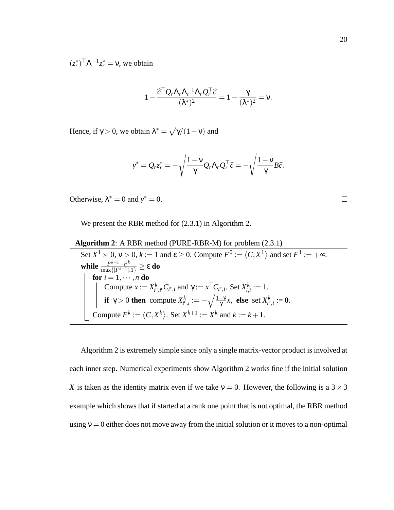$(z_r^*)^\top \Lambda^{-1} z_r^* = v$ , we obtain

$$
1 - \frac{\widehat{c}^{\top} Q_r \Lambda_r \Lambda_r^{-1} \Lambda_r Q_r^{\top} \widehat{c}}{(\lambda^*)^2} = 1 - \frac{\gamma}{(\lambda^*)^2} = \mathsf{v}.
$$

Hence, if  $\gamma > 0$ , we obtain  $\lambda^* = \sqrt{\gamma/(1-\nu)}$  and

$$
y^* = Q_r z_r^* = -\sqrt{\frac{1-\nu}{\gamma}} Q_r \Lambda_r Q_r^\top \widehat{c} = -\sqrt{\frac{1-\nu}{\gamma}} B \widehat{c}.
$$

Otherwise,  $\lambda^* = 0$  and  $y^* = 0$ .

We present the RBR method for (2.3.1) in Algorithm 2.

**Algorithm 2**: A RBR method (PURE-RBR-M) for problem (2.3.1) Set  $X^1 \succ 0$ ,  $v > 0$ ,  $k := 1$  and  $\varepsilon \ge 0$ . Compute  $F^0 := \langle C, X^1 \rangle$  and set  $F^1 := +\infty$ . **while**  $\frac{F^{k-1}-F}{\max\{F^{k-1}\}}$ *k*  $\frac{F^{k-1}-F^{k}}{\max\{|F^{k-1}|,1\}} \geq \varepsilon$  do  ${\bf for} \ i=1,\cdots,n$  do Compute  $x := X_{i^c, i^c}^k C_{i^c, i}$  and  $\gamma := x^\top C_{i^c, i}$ . Set  $X_{i, i}^k := 1$ . **if**  $\gamma > 0$  **then** compute  $X_{i^c,i}^k := -\sqrt{\frac{1-\nu}{\gamma}}x$ , **else** set  $X_{i^c,i}^k := 0$ . Compute  $F^k := \langle C, X^k \rangle$ . Set  $X^{k+1} := X^k$  and  $k := k+1$ .

Algorithm 2 is extremely simple since only a single matrix-vector product is involved at each inner step. Numerical experiments show Algorithm 2 works fine if the initial solution *X* is taken as the identity matrix even if we take  $v = 0$ . However, the following is a  $3 \times 3$ example which shows that if started at a rank one point that is not optimal, the RBR method using  $v = 0$  either does not move away from the initial solution or it moves to a non-optimal

 $\Box$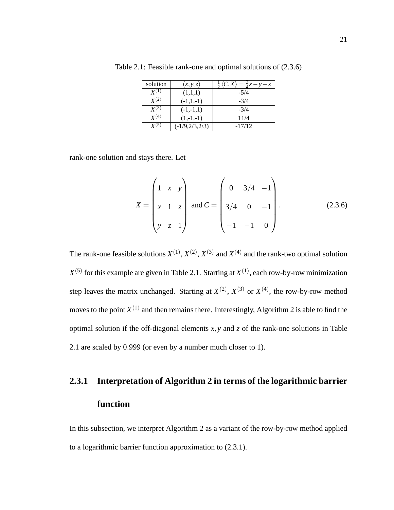| solution           | (x, y, z)          | $\frac{1}{2} \langle C, X \rangle = \frac{3}{4} x - y - z$ |
|--------------------|--------------------|------------------------------------------------------------|
| $\mathbf{Y}^{(1)}$ | (1,1,1)            | $-5/4$                                                     |
| $\mathbf{Y}^{(2)}$ | $(-1,1,-1)$        | $-3/4$                                                     |
| $\mathbf{Y}^{(3)}$ | $(-1,-1,1)$        | $-3/4$                                                     |
| $\mathbf{Y}^{(4)}$ | $(1,-1,-1)$        | 11/4                                                       |
| ${\bf V}^{(5)}$    | $(-1/9, 2/3, 2/3)$ | $-17/12$                                                   |

Table 2.1: Feasible rank-one and optimal solutions of (2.3.6)

rank-one solution and stays there. Let

$$
X = \begin{pmatrix} 1 & x & y \\ x & 1 & z \\ y & z & 1 \end{pmatrix} \text{ and } C = \begin{pmatrix} 0 & 3/4 & -1 \\ 3/4 & 0 & -1 \\ -1 & -1 & 0 \end{pmatrix}.
$$
 (2.3.6)

The rank-one feasible solutions  $X^{(1)}$ ,  $X^{(2)}$ ,  $X^{(3)}$  and  $X^{(4)}$  and the rank-two optimal solution  $X^{(5)}$  for this example are given in Table 2.1. Starting at  $X^{(1)}$ , each row-by-row minimization step leaves the matrix unchanged. Starting at  $X^{(2)}$ ,  $X^{(3)}$  or  $X^{(4)}$ , the row-by-row method moves to the point  $X^{(1)}$  and then remains there. Interestingly, Algorithm 2 is able to find the optimal solution if the off-diagonal elements  $x, y$  and  $z$  of the rank-one solutions in Table 2.1 are scaled by 0.999 (or even by a number much closer to 1).

## **2.3.1 Interpretation of Algorithm 2 in terms of the logarithmic barrier function**

In this subsection, we interpret Algorithm 2 as a variant of the row-by-row method applied to a logarithmic barrier function approximation to (2.3.1).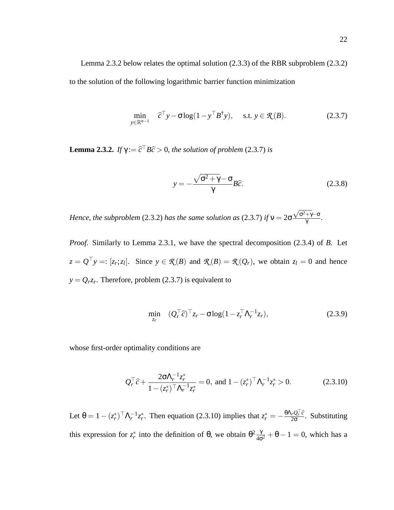$$
\min_{y \in \mathbb{R}^{n-1}} \quad \widehat{c}^{\top} y - \sigma \log(1 - y^{\top} B^{\dagger} y), \quad \text{s.t. } y \in \mathcal{R}(B). \tag{2.3.7}
$$

**Lemma 2.3.2.** *If*  $\gamma := \hat{c}^{\dagger} B\hat{c} > 0$ *, the solution of problem* (2.3.7) *is* 

$$
y = -\frac{\sqrt{\sigma^2 + \gamma} - \sigma}{\gamma} B\hat{c}.
$$
 (2.3.8)

*Hence, the subproblem* (2.3.2) *has the same solution as* (2.3.7) *if* ν = 2σ  $\frac{\sqrt{\sigma^2 + \gamma} - \sigma}{\gamma}$ .

*Proof.* Similarly to Lemma 2.3.1, we have the spectral decomposition (2.3.4) of *B*. Let  $z = Q^{\top}y =: [z_r; z_l]$ . Since  $y \in \mathcal{R}(B)$  and  $\mathcal{R}(B) = \mathcal{R}(Q_r)$ , we obtain  $z_l = 0$  and hence  $y = Q_r z_r$ . Therefore, problem (2.3.7) is equivalent to

$$
\min_{z_r} \quad (Q_r^\top \widehat{c})^\top z_r - \sigma \log(1 - z_r^\top \Lambda_r^{-1} z_r), \tag{2.3.9}
$$

whose first-order optimality conditions are

$$
Q_r^{\top} \hat{c} + \frac{2\sigma \Lambda_r^{-1} z_r^*}{1 - (z_r^*)^{\top} \Lambda_r^{-1} z_r^*} = 0, \text{ and } 1 - (z_r^*)^{\top} \Lambda_r^{-1} z_r^* > 0.
$$
 (2.3.10)

Let  $\theta = 1 - (z_r^*)^\top \Lambda_r^{-1} z_r^*$ . Then equation (2.3.10) implies that  $z_r^* = -\frac{\theta \Lambda_r Q_r^{\top} \hat{c}}{2\sigma}$ . Substituting this expression for  $z_r^*$  into the definition of  $\theta$ , we obtain  $\theta^2 \frac{\gamma}{4\sigma^2} + \theta - 1 = 0$ , which has a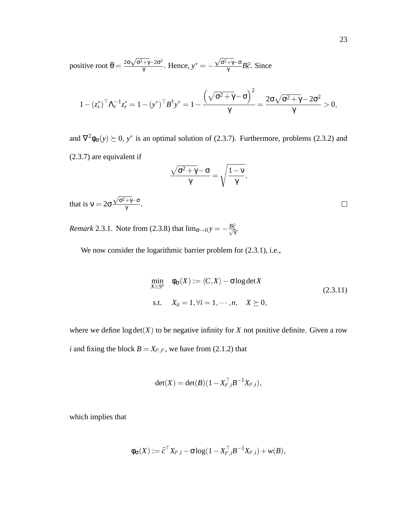positive root  $\theta = \frac{2\sigma\sqrt{\sigma^2 + \gamma} - 2\sigma^2}{\gamma}$  $\frac{+y-20}{\gamma}$ . Hence,  $y^* = \frac{\sqrt{\sigma^2 + \gamma - \sigma}}{\gamma} B \widehat{c}$ . Since

$$
1-(z_r^*)^\top \Lambda_r^{-1} z_r^* = 1-(y^*)^\top B^\dagger y^* = 1-\frac{\left(\sqrt{\sigma^2+\gamma}-\sigma\right)^2}{\gamma} = \frac{2\sigma \sqrt{\sigma^2+\gamma}-2\sigma^2}{\gamma}>0,
$$

and  $\nabla^2 \phi_{\sigma}(y) \succeq 0$ ,  $y^*$  is an optimal solution of (2.3.7). Furthermore, problems (2.3.2) and (2.3.7) are equivalent if

$$
\frac{\sqrt{\sigma^2 + \gamma} - \sigma}{\gamma} = \sqrt{\frac{1 - \nu}{\gamma}},
$$
  
at is  $\nu = 2\sigma \frac{\sqrt{\sigma^2 + \gamma} - \sigma}{\gamma}$ .

th: γ

*Remark* 2.3.1. Note from (2.3.8) that  $\lim_{\sigma \to 0} y = -\frac{B\hat{c}}{\sqrt{\gamma}}$ .

We now consider the logarithmic barrier problem for  $(2.3.1)$ , i.e.,

$$
\min_{X \in S^n} \quad \phi_{\sigma}(X) := \langle C, X \rangle - \sigma \log \det X
$$
\n
$$
\text{s.t.} \quad X_{ii} = 1, \forall i = 1, \cdots, n, \quad X \succeq 0,
$$
\n
$$
(2.3.11)
$$

where we define  $log det(X)$  to be negative infinity for *X* not positive definite. Given a row *i* and fixing the block  $B = X_{i^c, i^c}$ , we have from (2.1.2) that

$$
\det(X) = \det(B)(1 - X_{i^c,i}^\top B^{-1} X_{i^c,i}),
$$

which implies that

$$
\phi_{\sigma}(X) := \widehat{c}^{\top} X_{i^c,i} - \sigma \log(1 - X_{i^c,i}^{\top} B^{-1} X_{i^c,i}) + w(B),
$$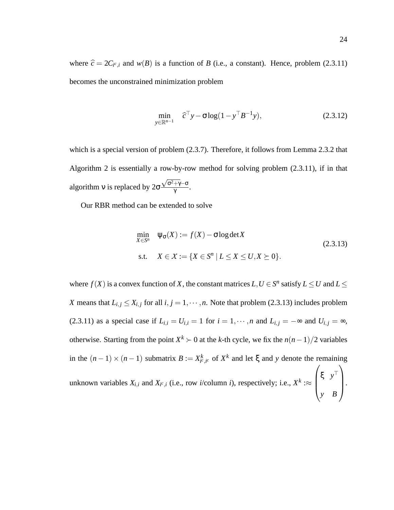where  $\hat{c} = 2C_{i^c,i}$  and  $w(B)$  is a function of *B* (i.e., a constant). Hence, problem (2.3.11) becomes the unconstrained minimization problem

$$
\min_{y \in \mathbb{R}^{n-1}} \quad \widehat{c}^{\top} y - \sigma \log(1 - y^{\top} B^{-1} y), \tag{2.3.12}
$$

which is a special version of problem  $(2.3.7)$ . Therefore, it follows from Lemma 2.3.2 that Algorithm 2 is essentially a row-by-row method for solving problem (2.3.11), if in that algorithm v is replaced by  $2\sigma$  $\frac{\sqrt{\sigma^2 + \gamma} - \sigma}{\gamma}$ .

Our RBR method can be extended to solve

$$
\min_{X \in S^n} \quad \psi_{\sigma}(X) := f(X) - \sigma \log \det X
$$
\n
$$
\text{s.t.} \quad X \in \mathcal{X} := \{ X \in S^n \mid L \le X \le U, X \succeq 0 \}. \tag{2.3.13}
$$

where  $f(X)$  is a convex function of *X*, the constant matrices  $L, U \in S^n$  satisfy  $L \leq U$  and  $L \leq$ *X* means that  $L_{i,j} \leq X_{i,j}$  for all  $i, j = 1, \dots, n$ . Note that problem (2.3.13) includes problem (2.3.11) as a special case if  $L_{i,i} = U_{i,i} = 1$  for  $i = 1, \dots, n$  and  $L_{i,j} = -\infty$  and  $U_{i,j} = \infty$ , otherwise. Starting from the point  $X^k$  ≻ 0 at the *k*-th cycle, we fix the  $n(n-1)/2$  variables in the  $(n-1) \times (n-1)$  submatrix  $B := X^k_{i^c, i^c}$  of  $X^k$  and let  $\xi$  and y denote the remaining unknown variables  $X_{i,i}$  and  $X_{i^c,i}$  (i.e., row *i*/column *i*), respectively; i.e.,  $X^k$  : $\approx$  $\sqrt{ }$  $\overline{\phantom{a}}$ ξ *y* ⊤ *y B*  $\setminus$  $\cdot$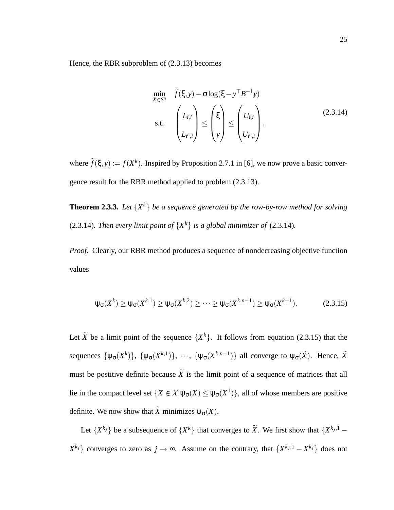Hence, the RBR subproblem of (2.3.13) becomes

$$
\min_{X \in S^n} \quad \widetilde{f}(\xi, y) - \sigma \log(\xi - y^\top B^{-1} y) \ns.t. \quad\n\begin{pmatrix}\nL_{i,i} \\
L_{i^c,i}\n\end{pmatrix}\n\leq\n\begin{pmatrix}\n\xi \\
y\n\end{pmatrix}\n\leq\n\begin{pmatrix}\nU_{i,i} \\
U_{i^c,i}\n\end{pmatrix},
$$
\n(2.3.14)

where  $\tilde{f}(\xi, y) := f(X^k)$ . Inspired by Proposition 2.7.1 in [6], we now prove a basic convergence result for the RBR method applied to problem (2.3.13).

**Theorem 2.3.3.** *Let* {*X <sup>k</sup>*} *be a sequence generated by the row-by-row method for solving* (2.3.14)*. Then every limit point of*  $\{X^k\}$  *is a global minimizer of* (2.3.14)*.* 

*Proof.* Clearly, our RBR method produces a sequence of nondecreasing objective function values

$$
\psi_{\sigma}(X^k) \ge \psi_{\sigma}(X^{k,1}) \ge \psi_{\sigma}(X^{k,2}) \ge \cdots \ge \psi_{\sigma}(X^{k,n-1}) \ge \psi_{\sigma}(X^{k+1}). \tag{2.3.15}
$$

Let  $\widetilde{X}$  be a limit point of the sequence  $\{X^k\}$ . It follows from equation (2.3.15) that the sequences  $\{\psi_{\sigma}(X^k)\}, \{\psi_{\sigma}(X^{k,1})\}, \cdots, \{\psi_{\sigma}(X^{k,n-1})\}\$ all converge to  $\psi_{\sigma}(\widetilde{X})$ . Hence,  $\widetilde{X}$ must be postitive definite because  $\widetilde{X}$  is the limit point of a sequence of matrices that all lie in the compact level set  $\{X \in \mathcal{X} | \psi_{\sigma}(X) \leq \psi_{\sigma}(X^1)\}$ , all of whose members are positive definite. We now show that  $\widetilde{X}$  minimizes  $\Psi_{\sigma}(X)$ .

Let  $\{X^{k_j}\}$  be a subsequence of  $\{X^k\}$  that converges to  $\widetilde{X}$ . We first show that  $\{X^{k_j,1}$  – *X*<sup>*k*</sup>j</sub>} converges to zero as *j* → ∞. Assume on the contrary, that  $\{X^{k_j,1} - X^{k_j}\}$  does not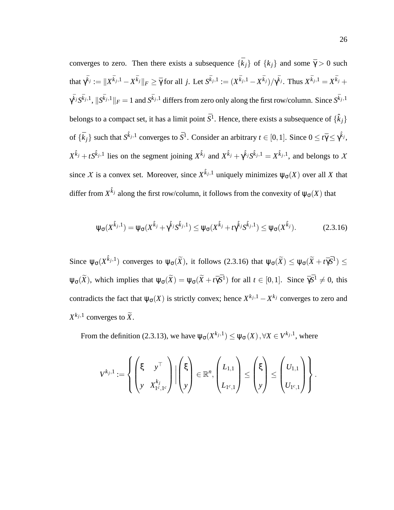converges to zero. Then there exists a subsequence  $\{\bar{k}_i\}$  of  $\{k_i\}$  and some  $\bar{\gamma} > 0$  such that  $\gamma^{\bar{k}_j} := \|X^{\bar{k}_j,1} - X^{\bar{k}_j}\|_F \ge \bar{\gamma}$  for all j. Let  $S^{\bar{k}_j,1} := (X^{\bar{k}_j,1} - X^{\bar{k}_j})/\gamma^{\bar{k}_j}$ . Thus  $X^{\bar{k}_j,1} = X^{\bar{k}_j} +$  $\gamma^{\bar{k}_j}S^{\bar{k}_j,1}, \, \|\hat{S}^{\bar{k}_j,1}\|_F=1$  and  $\hat{S}^{\bar{k}_j,1}$  differs from zero only along the first row/column. Since  $\hat{S}^{\bar{k}_j,1}$ belongs to a compact set, it has a limit point  $\bar{S}^1$ . Hence, there exists a subsequence of  $\{\hat{k}_j\}$ of  $\{\bar{k}_j\}$  such that  $S^{\hat{k}_j,1}$  converges to  $\bar{S}^1$ . Consider an arbitrary  $t \in [0,1]$ . Since  $0 \le t\bar{\gamma} \le \gamma^{\hat{k}_j}$ ,  $X^{\hat{k}_j} + tS^{\hat{k}_j,1}$  lies on the segment joining  $X^{\hat{k}_j}$  and  $X^{\hat{k}_j} + \gamma^{\hat{k}_j}S^{\hat{k}_j,1} = X^{\hat{k}_j,1}$ , and belongs to X since *X* is a convex set. Moreover, since  $X^{\hat{k}_{j},1}$  uniquely minimizes  $\psi_{\sigma}(X)$  over all *X* that differ from  $X^{\hat k_j}$  along the first row/column, it follows from the convexity of  $\psi_\sigma(X)$  that

$$
\psi_{\sigma}(X^{\hat{k}_j,1}) = \psi_{\sigma}(X^{\hat{k}_j} + \hat{\gamma}^{\hat{k}_j} S^{\hat{k}_j,1}) \leq \psi_{\sigma}(X^{\hat{k}_j} + t\hat{\gamma}^{\hat{k}_j} S^{\hat{k}_j,1}) \leq \psi_{\sigma}(X^{\hat{k}_j}).
$$
\n(2.3.16)

Since  $\psi_{\sigma}(X^{\hat{k}_{j},1})$  converges to  $\psi_{\sigma}(\widetilde{X})$ , it follows (2.3.16) that  $\psi_{\sigma}(\widetilde{X}) \leq \psi_{\sigma}(\widetilde{X} + t\bar{\gamma}\bar{S}^{1}) \leq$  $\Psi_{\sigma}(\widetilde{X})$ , which implies that  $\Psi_{\sigma}(\widetilde{X}) = \Psi_{\sigma}(\widetilde{X} + t\bar{\gamma}\bar{S}^{1})$  for all  $t \in [0,1]$ . Since  $\bar{\gamma}\bar{S}^{1} \neq 0$ , this contradicts the fact that  $\psi_{\sigma}(X)$  is strictly convex; hence  $X^{k_j,1} - X^{k_j}$  converges to zero and  $X^{k_j,1}$  converges to  $\widetilde{X}$ .

From the definition (2.3.13), we have  $\psi_{\sigma}(X^{k_j,1}) \leq \psi_{\sigma}(X)$ ,  $\forall X \in V^{k_j,1}$ , where

$$
V^{k_j,1}:=\left\{\begin{pmatrix} \xi & y^\top \\ y & X^{k_j}_{1^c,1^c} \end{pmatrix} \Big| \begin{pmatrix} \xi \\ y \end{pmatrix} \in \mathbb{R}^n, \begin{pmatrix} L_{1,1} \\ L_{1^c,1} \end{pmatrix} \leq \begin{pmatrix} \xi \\ y \end{pmatrix} \leq \begin{pmatrix} U_{1,1} \\ U_{1^c,1} \end{pmatrix} \right\}.
$$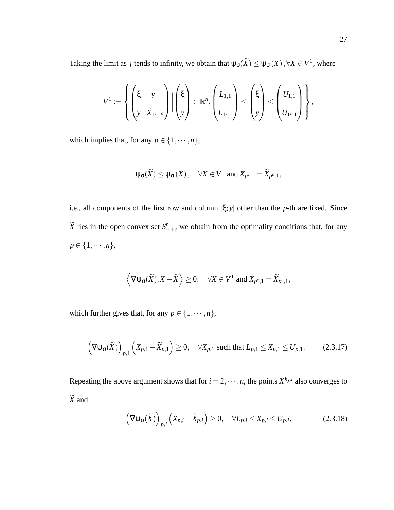Taking the limit as *j* tends to infinity, we obtain that  $\psi_{\sigma}(\widetilde{X}) \leq \psi_{\sigma}(X), \forall X \in V^1$ , where

$$
V^1 := \left\{ \begin{pmatrix} \xi & y^\top \\ y & \widetilde{X}_{1^c,1^c} \end{pmatrix} \Big| \begin{pmatrix} \xi \\ y \end{pmatrix} \in \mathbb{R}^n, \begin{pmatrix} L_{1,1} \\ L_{1^c,1} \end{pmatrix} \leq \begin{pmatrix} \xi \\ y \end{pmatrix} \leq \begin{pmatrix} U_{1,1} \\ U_{1^c,1} \end{pmatrix} \right\},
$$

which implies that, for any  $p \in \{1, \dots, n\}$ ,

$$
\Psi_{\sigma}(\widetilde{X}) \leq \Psi_{\sigma}(X), \quad \forall X \in V^1 \text{ and } X_{p^c,1} = \widetilde{X}_{p^c,1},
$$

i.e., all components of the first row and column [ξ; *y*] other than the *p*-th are fixed. Since  $\widetilde{X}$  lies in the open convex set  $S_{++}^n$ , we obtain from the optimality conditions that, for any  $p \in \{1, \cdots, n\},\$ 

$$
\left\langle \nabla \psi_{\sigma}(\widetilde{X}), X - \widetilde{X} \right\rangle \geq 0, \quad \forall X \in V^1 \text{ and } X_{p^c,1} = \widetilde{X}_{p^c,1},
$$

which further gives that, for any  $p \in \{1, \dots, n\}$ ,

$$
\left(\nabla\psi_{\sigma}(\widetilde{X})\right)_{p,1}\left(X_{p,1}-\widetilde{X}_{p,1}\right)\geq 0,\quad\forall X_{p,1}\text{ such that }L_{p,1}\leq X_{p,1}\leq U_{p,1}.\tag{2.3.17}
$$

Repeating the above argument shows that for  $i = 2, \dots, n$ , the points  $X^{k_j, i}$  also converges to  $\widetilde{X}$  and

$$
\left(\nabla\psi_{\sigma}(\widetilde{X})\right)_{p,i}\left(X_{p,i}-\widetilde{X}_{p,i}\right)\geq 0,\quad\forall L_{p,i}\leq X_{p,i}\leq U_{p,i},\tag{2.3.18}
$$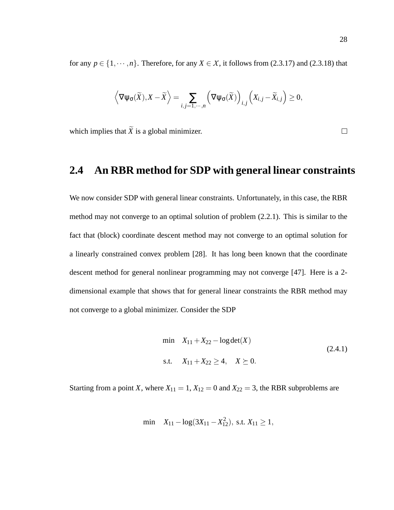for any  $p \in \{1, \dots, n\}$ . Therefore, for any  $X \in \mathcal{X}$ , it follows from (2.3.17) and (2.3.18) that

$$
\left\langle \nabla \psi_{\sigma}(\widetilde{X}), X - \widetilde{X} \right\rangle = \sum_{i,j=1,\cdots,n} \left( \nabla \psi_{\sigma}(\widetilde{X}) \right)_{i,j} \left( X_{i,j} - \widetilde{X}_{i,j} \right) \geq 0,
$$

which implies that  $\widetilde{X}$  is a global minimizer.

## **2.4 An RBR method for SDP with general linear constraints**

We now consider SDP with general linear constraints. Unfortunately, in this case, the RBR method may not converge to an optimal solution of problem (2.2.1). This is similar to the fact that (block) coordinate descent method may not converge to an optimal solution for a linearly constrained convex problem [28]. It has long been known that the coordinate descent method for general nonlinear programming may not converge [47]. Here is a 2 dimensional example that shows that for general linear constraints the RBR method may not converge to a global minimizer. Consider the SDP

$$
\min \quad X_{11} + X_{22} - \log \det(X) \tag{2.4.1}
$$
\n
$$
\text{s.t.} \quad X_{11} + X_{22} \ge 4, \quad X \succeq 0.
$$

Starting from a point *X*, where  $X_{11} = 1$ ,  $X_{12} = 0$  and  $X_{22} = 3$ , the RBR subproblems are

$$
\min \quad X_{11} - \log(3X_{11} - X_{12}^2), \text{ s.t. } X_{11} \ge 1,
$$

 $\Box$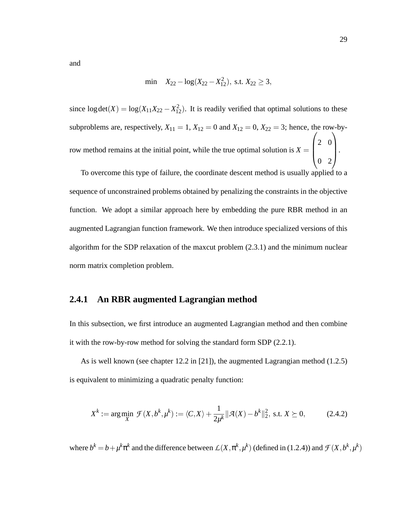and

$$
\min \quad X_{22} - \log(X_{22} - X_{12}^2), \text{ s.t. } X_{22} \ge 3,
$$

since  $log det(X) = log(X_{11}X_{22} - X_{12}^2)$ . It is readily verified that optimal solutions to these subproblems are, respectively,  $X_{11} = 1$ ,  $X_{12} = 0$  and  $X_{12} = 0$ ,  $X_{22} = 3$ ; hence, the row-byrow method remains at the initial point, while the true optimal solution is  $X =$  $\sqrt{ }$  $\overline{\phantom{a}}$ 2 0 0 2  $\setminus$  $\cdot$ 

To overcome this type of failure, the coordinate descent method is usually applied to a sequence of unconstrained problems obtained by penalizing the constraints in the objective function. We adopt a similar approach here by embedding the pure RBR method in an augmented Lagrangian function framework. We then introduce specialized versions of this algorithm for the SDP relaxation of the maxcut problem (2.3.1) and the minimum nuclear norm matrix completion problem.

#### **2.4.1 An RBR augmented Lagrangian method**

In this subsection, we first introduce an augmented Lagrangian method and then combine it with the row-by-row method for solving the standard form SDP (2.2.1).

As is well known (see chapter 12.2 in [21]), the augmented Lagrangian method (1.2.5) is equivalent to minimizing a quadratic penalty function:

$$
X^{k} := \arg\min_{X} \mathcal{F}(X, b^{k}, \mu^{k}) := \langle C, X \rangle + \frac{1}{2\mu^{k}} ||\mathcal{A}(X) - b^{k}||_{2}^{2}, \text{ s.t. } X \succeq 0,
$$
 (2.4.2)

where  $b^k = b + \mu^k \pi^k$  and the difference between  $L(X, \pi^k, \mu^k)$  (defined in (1.2.4)) and  $\mathcal{F}(X, b^k, \mu^k)$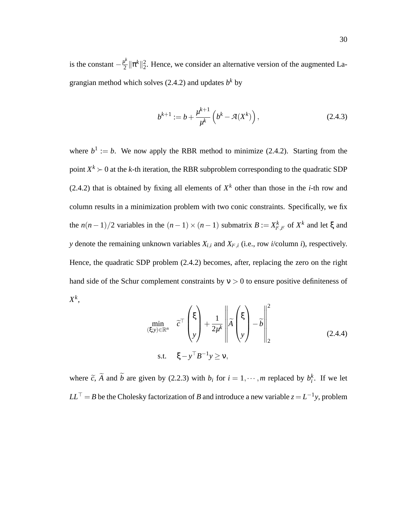is the constant  $-\frac{\mu^k}{2}$  $\frac{d}{2} \|\pi^k\|_2^2$ . Hence, we consider an alternative version of the augmented Lagrangian method which solves  $(2.4.2)$  and updates  $b<sup>k</sup>$  by

$$
b^{k+1} := b + \frac{\mu^{k+1}}{\mu^k} \left( b^k - \mathcal{A}(X^k) \right), \tag{2.4.3}
$$

where  $b^1 := b$ . We now apply the RBR method to minimize (2.4.2). Starting from the point  $X^k$  ≻ 0 at the *k*-th iteration, the RBR subproblem corresponding to the quadratic SDP (2.4.2) that is obtained by fixing all elements of  $X<sup>k</sup>$  other than those in the *i*-th row and column results in a minimization problem with two conic constraints. Specifically, we fix the  $n(n-1)/2$  variables in the  $(n-1) \times (n-1)$  submatrix  $B := X_{i^c, i^c}^k$  of  $X^k$  and let  $\xi$  and *y* denote the remaining unknown variables  $X_{i,i}$  and  $X_{i^c,i}$  (i.e., row *i*/column *i*), respectively. Hence, the quadratic SDP problem (2.4.2) becomes, after, replacing the zero on the right hand side of the Schur complement constraints by  $v > 0$  to ensure positive definiteness of *X k* ,

$$
\min_{\substack{(\xi;y)\in\mathbb{R}^n\\ \text{s.t.} \quad \xi-y^\top B^{-1}y\geq v,}} \tilde{c}^\top \begin{pmatrix} \xi \\ y \end{pmatrix} + \frac{1}{2\mu^k} \left\| \tilde{A} \begin{pmatrix} \xi \\ y \end{pmatrix} - \tilde{b} \right\|_2^2
$$
\n(2.4.4)

where  $\tilde{c}$ ,  $\tilde{A}$  and  $\tilde{b}$  are given by (2.2.3) with  $b_i$  for  $i = 1, \dots, m$  replaced by  $b_i^k$ . If we let  $LL^{\top} = B$  be the Cholesky factorization of *B* and introduce a new variable  $z = L^{-1}y$ , problem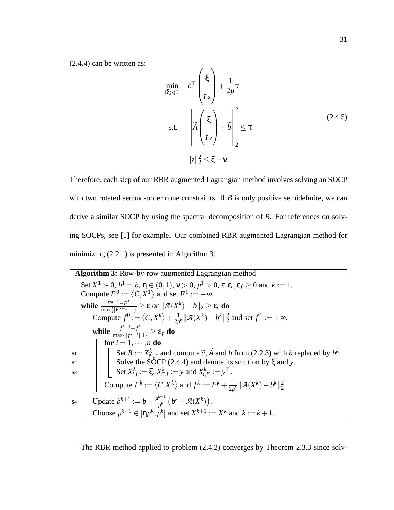(2.4.4) can be written as:

$$
\min_{(\xi;z;\tau)} \quad \widetilde{c}^{\top} \begin{pmatrix} \xi \\ L_z \end{pmatrix} + \frac{1}{2\mu} \tau
$$
\n
$$
\text{s.t.} \quad \left\| \widetilde{A} \begin{pmatrix} \xi \\ L_z \end{pmatrix} - \widetilde{b} \right\|_{2}^{2} \le \tau
$$
\n
$$
\|z\|_{2}^{2} \le \xi - \nu.
$$
\n(2.4.5)

Therefore, each step of our RBR augmented Lagrangian method involves solving an SOCP with two rotated second-order cone constraints. If *B* is only positive semidefinite, we can derive a similar SOCP by using the spectral decomposition of *B*. For references on solving SOCPs, see [1] for example. Our combined RBR augmented Lagrangian method for minimizing (2.2.1) is presented in Algorithm 3.

| <b>Algorithm 3:</b> Row-by-row augmented Lagrangian method                                                                                        |
|---------------------------------------------------------------------------------------------------------------------------------------------------|
| Set $X^1 \succ 0$ , $b^1 = b$ , $\eta \in (0,1)$ , $v > 0$ , $\mu^1 > 0$ , $\varepsilon$ , $\varepsilon_r$ , $\varepsilon_f \ge 0$ and $k := 1$ . |
| Compute $F^0 := \langle C, X^1 \rangle$ and set $F^1 := +\infty$ .                                                                                |
| while $\frac{F^{k-1}-F^k}{\max\{ F^{k-1} ,1\}} \geq \varepsilon$ or $  \mathcal{A}(X^k)-b  _2 \geq \varepsilon_r$ do                              |
| Compute $f^0 := \langle C, X^k \rangle + \frac{1}{2u^k}    \mathcal{A}(X^k) - b^k   _2^2$ and set $f^1 := +\infty$ .                              |
| while $\frac{f^{k-1}-f^k}{\max\{ f^{k-1} ,1\}} \geq \varepsilon_f$ do                                                                             |
| for $i = 1, \dots, n$ do                                                                                                                          |
| Set $B := X_{i^c, i^c}^k$ and compute $\widetilde{c}$ , $\widetilde{A}$ and $\widetilde{b}$ from (2.2.3) with b replaced by $b^k$ .<br>S1         |
| Solve the SOCP $(2.4.4)$ and denote its solution by $\xi$ and y.<br>S <sub>2</sub>                                                                |
| Set $X_{i,i}^k := \xi, X_{i^c,i}^k := y$ and $X_{i,i^c}^k := y^\top$ .<br>S <sub>3</sub>                                                          |
| Compute $F^k := \langle C, X^k \rangle$ and $f^k := F^k + \frac{1}{2u^k}    \mathcal{A}(X^k) - b^k   _2^2$ .                                      |
| Update $b^{k+1} := b + \frac{\mu^{k+1}}{\mu^k} (b^k - \mathcal{A}(X^k)).$<br><b>S4</b>                                                            |
| Choose $\mu^{k+1} \in [\eta \mu^k, \mu^k]$ and set $X^{k+1} := X^k$ and $k := k+1$ .                                                              |

The RBR method applied to problem (2.4.2) converges by Theorem 2.3.3 since solv-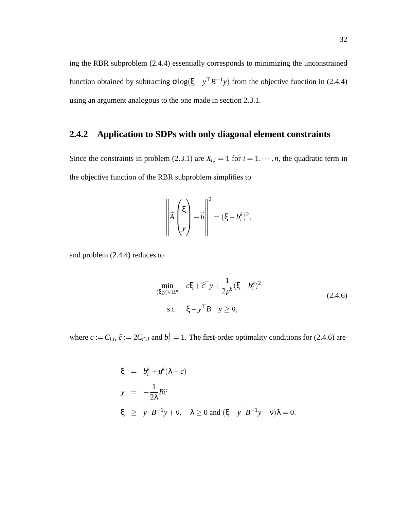ing the RBR subproblem (2.4.4) essentially corresponds to minimizing the unconstrained function obtained by subtracting  $\sigma \log(\xi - y^\top B^{-1}y)$  from the objective function in (2.4.4) using an argument analogous to the one made in section 2.3.1.

## **2.4.2 Application to SDPs with only diagonal element constraints**

Since the constraints in problem (2.3.1) are  $X_{i,i} = 1$  for  $i = 1, \dots, n$ , the quadratic term in the objective function of the RBR subproblem simplifies to

$$
\left\| \widetilde{A} \begin{pmatrix} \xi \\ y \end{pmatrix} - \widetilde{b} \right\|^2 = (\xi - b_i^k)^2,
$$

and problem (2.4.4) reduces to

$$
\min_{\substack{(\xi, y) \in \mathbb{R}^n \\ \text{s.t.} \quad \xi - y^\top B^{-1} y \ge \mathsf{v},}} c\xi + \widehat{c}^\top y + \frac{1}{2\mu^k} (\xi - b_i^k)^2
$$
\n
$$
\tag{2.4.6}
$$

where  $c := C_{i,i}$ ,  $\hat{c} := 2C_{i^c,i}$  and  $b_i^1 = 1$ . The first-order optimality conditions for (2.4.6) are

$$
\xi = b_i^k + \mu^k (\lambda - c)
$$
  
\n
$$
y = -\frac{1}{2\lambda} B \widehat{c}
$$
  
\n
$$
\xi \ge y^{\top} B^{-1} y + v, \quad \lambda \ge 0 \text{ and } (\xi - y^{\top} B^{-1} y - v) \lambda = 0.
$$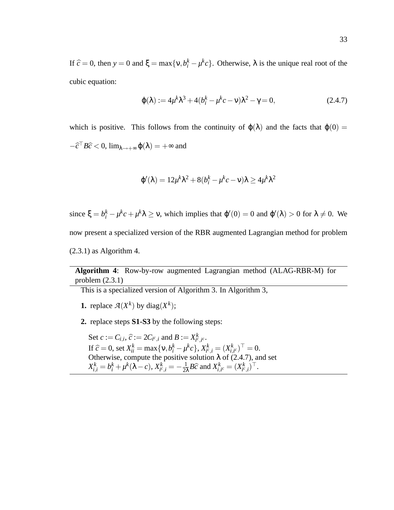If  $\hat{c} = 0$ , then  $y = 0$  and  $\xi = \max\{v, b_i^k - \mu^k c\}$ . Otherwise,  $\lambda$  is the unique real root of the cubic equation:

$$
\varphi(\lambda) := 4\mu^k \lambda^3 + 4(b_i^k - \mu^k c - \nu)\lambda^2 - \gamma = 0,
$$
\n(2.4.7)

which is positive. This follows from the continuity of  $\varphi(\lambda)$  and the facts that  $\varphi(0)$  =  $-\hat{c}^\dagger B\hat{c} < 0$ ,  $\lim_{\lambda \to +\infty} \varphi(\lambda) = +\infty$  and

$$
\varphi'(\lambda) = 12\mu^k\lambda^2 + 8(b_i^k - \mu^k c - \nu)\lambda \ge 4\mu^k\lambda^2
$$

since  $\xi = b_i^k - \mu^k c + \mu^k \lambda \ge \nu$ , which implies that  $\varphi'(0) = 0$  and  $\varphi'(\lambda) > 0$  for  $\lambda \ne 0$ . We now present a specialized version of the RBR augmented Lagrangian method for problem  $(2.3.1)$  as Algorithm 4.

#### **Algorithm 4**: Row-by-row augmented Lagrangian method (ALAG-RBR-M) for problem (2.3.1)

This is a specialized version of Algorithm 3. In Algorithm 3,

- **1.** replace  $\mathcal{A}(X^k)$  by diag $(X^k)$ ;
- **2.** replace steps **S1-S3** by the following steps:

Set  $c := C_{i,i}, \hat{c} := 2C_{i^c,i}$  and  $B := X_{i^c,i^c}^k$ . If  $\hat{c} = 0$ , set  $X_k^k = \max\{v, b_i^k - \mu^k c\}$ ,  $X_{k,i}^k = (X_{i,i}^k)^{\top} = 0$ .<br>Otherwise, aggregate the negitive solution  $\lambda$ ,  $\hat{c}^k$ ,  $\hat{c}^k$ ,  $\lambda$ ,  $\lambda$ ,  $\lambda$ ,  $\lambda$ ,  $\lambda$ ,  $\lambda$ ,  $\lambda$ ,  $\lambda$ ,  $\lambda$ ,  $\lambda$ ,  $\lambda$ ,  $\lambda$ ,  $\lambda$ , Otherwise, compute the positive solution  $\lambda$  of (2.4.7), and set  $X_{i,i}^k = b_i^k + \mu^k(\lambda - c), X_{i^c,i}^k = -\frac{1}{2i}$  $\frac{1}{2\lambda}B\widehat{c}$  and  $X_{i,i^c}^k = (X_{i^c,i}^k)^\top$ .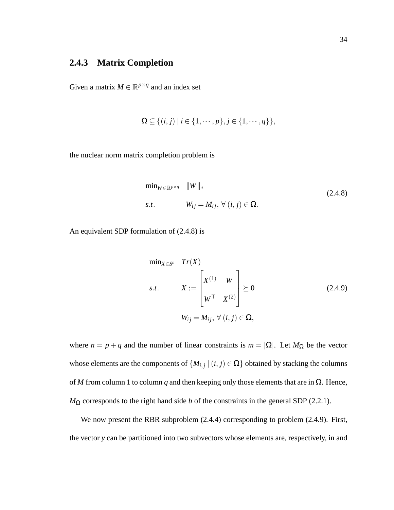## **2.4.3 Matrix Completion**

Given a matrix  $M \in \mathbb{R}^{p \times q}$  and an index set

$$
\Omega \subseteq \{(i,j) \mid i \in \{1,\cdots,p\}, j \in \{1,\cdots,q\}\},\
$$

the nuclear norm matrix completion problem is

$$
\min_{W \in \mathbb{R}^{p \times q}} \|W\|_{*}
$$
  
s.t. 
$$
W_{ij} = M_{ij}, \forall (i, j) \in \Omega.
$$
 (2.4.8)

An equivalent SDP formulation of (2.4.8) is

$$
\min_{X \in S^n} \quad Tr(X)
$$
\n
$$
s.t. \quad X := \begin{bmatrix} X^{(1)} & W \\ W^\top & X^{(2)} \end{bmatrix} \succeq 0 \tag{2.4.9}
$$
\n
$$
W_{ij} = M_{ij}, \forall (i, j) \in \Omega,
$$

where  $n = p + q$  and the number of linear constraints is  $m = |\Omega|$ . Let  $M_{\Omega}$  be the vector whose elements are the components of  $\{M_{i,j} \mid (i,j) \in \Omega\}$  obtained by stacking the columns of *M* from column 1 to column *q* and then keeping only those elements that are in Ω. Hence,  $M_{\Omega}$  corresponds to the right hand side *b* of the constraints in the general SDP (2.2.1).

We now present the RBR subproblem (2.4.4) corresponding to problem (2.4.9). First, the vector *y* can be partitioned into two subvectors whose elements are, respectively, in and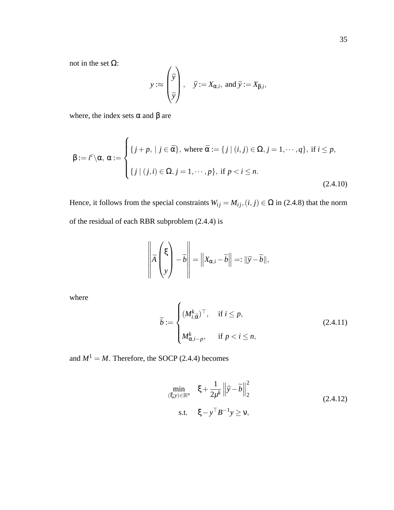not in the set Ω:

$$
y: \approx \begin{pmatrix} \widehat{y} \\ \widehat{y} \\ \widetilde{y} \end{pmatrix}, \quad \widehat{y} := X_{\alpha,i}, \text{ and } \widetilde{y} := X_{\beta,i},
$$

where, the index sets  $\alpha$  and  $\beta$  are

$$
\beta := i^c \setminus \alpha, \ \alpha := \begin{cases} \{j + p, \mid j \in \bar{\alpha}\}, & \text{where } \bar{\alpha} := \{j \mid (i, j) \in \Omega, j = 1, \cdots, q\}, \ \text{if } i \leq p, \\ \{j \mid (j, i) \in \Omega, j = 1, \cdots, p\}, & \text{if } p < i \leq n. \end{cases} \tag{2.4.10}
$$

Hence, it follows from the special constraints  $W_{ij} = M_{ij}$ ,  $(i, j) \in \Omega$  in (2.4.8) that the norm of the residual of each RBR subproblem (2.4.4) is

$$
\left\| \widetilde{A} \begin{pmatrix} \xi \\ y \end{pmatrix} - \widetilde{b} \right\| = \left\| X_{\alpha,i} - \widetilde{b} \right\| =: \|\widehat{y} - \widetilde{b}\|,
$$

where

$$
\widetilde{b} := \begin{cases}\n(M_{i,\bar{\alpha}}^k)^\top, & \text{if } i \leq p, \\
M_{\alpha,i-p}^k, & \text{if } p < i \leq n,\n\end{cases}
$$
\n(2.4.11)

and  $M^1 = M$ . Therefore, the SOCP (2.4.4) becomes

$$
\min_{\substack{(\xi, y) \in \mathbb{R}^n}} \quad \xi + \frac{1}{2\mu^k} \left\| \widehat{y} - \widetilde{b} \right\|_2^2
$$
\n
$$
\text{s.t.} \quad \xi - y^\top B^{-1} y \ge v,
$$
\n(2.4.12)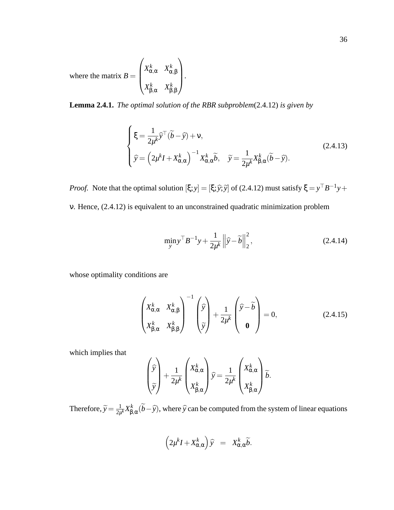where the matrix  $B =$  $\sqrt{ }$  $\begin{bmatrix} \phantom{-} \end{bmatrix}$ *X k* <sup>α</sup>,<sup>α</sup> *X k* α,β  $X^k_{\mathsf{R}}$ β,α *X k* β,β  $\setminus$  $\cdot$ 

**Lemma 2.4.1.** *The optimal solution of the RBR subproblem*(2.4.12) *is given by*

$$
\begin{cases} \xi = \frac{1}{2\mu^k} \widehat{y}^\top (\widetilde{b} - \widehat{y}) + v, \\ \widehat{y} = \left(2\mu^k I + X_{\alpha,\alpha}^k\right)^{-1} X_{\alpha,\alpha}^k \widetilde{b}, \quad \widetilde{y} = \frac{1}{2\mu^k} X_{\beta,\alpha}^k (\widetilde{b} - \widehat{y}). \end{cases}
$$
(2.4.13)

*Proof.* Note that the optimal solution  $[\xi; y] = [\xi; \hat{y}; \hat{y}]$  of (2.4.12) must satisfy  $\xi = y^{\top}B^{-1}y +$ 

ν. Hence, (2.4.12) is equivalent to an unconstrained quadratic minimization problem

$$
\min_{\mathbf{y}} \mathbf{y}^{\top} \mathbf{B}^{-1} \mathbf{y} + \frac{1}{2\mu^k} \left\| \widehat{\mathbf{y}} - \widetilde{\mathbf{b}} \right\|_2^2, \tag{2.4.14}
$$

whose optimality conditions are

$$
\begin{pmatrix} X_{\alpha,\alpha}^k & X_{\alpha,\beta}^k \\ X_{\beta,\alpha}^k & X_{\beta,\beta}^k \end{pmatrix}^{-1} \begin{pmatrix} \hat{y} \\ \tilde{y} \end{pmatrix} + \frac{1}{2\mu^k} \begin{pmatrix} \hat{y} - \tilde{b} \\ \mathbf{0} \end{pmatrix} = 0, \qquad (2.4.15)
$$

which implies that

$$
\begin{pmatrix} \hat{y} \\ \tilde{y} \end{pmatrix} + \frac{1}{2\mu^k} \begin{pmatrix} X_{\alpha,\alpha}^k \\ X_{\beta,\alpha}^k \end{pmatrix} \hat{y} = \frac{1}{2\mu^k} \begin{pmatrix} X_{\alpha,\alpha}^k \\ X_{\beta,\alpha}^k \end{pmatrix} \tilde{b}.
$$

Therefore,  $\widetilde{y} = \frac{1}{2\mu}$  $\frac{1}{2\mu^k}X^k_{\pmb\beta}$  $\int_{\beta,\alpha}^{k}(b-\widehat{y})$ , where  $\widehat{y}$  can be computed from the system of linear equations

$$
\left(2\mu^{k}I + X^{k}_{\alpha,\alpha}\right)\widehat{y} = X^{k}_{\alpha,\alpha}\widetilde{b}.
$$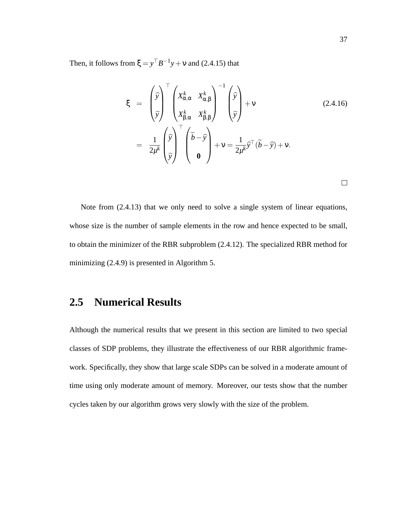Then, it follows from  $\xi = y^\top B^{-1}y + v$  and (2.4.15) that

$$
\xi = \begin{pmatrix} \hat{y} \\ \hat{y} \\ \tilde{y} \end{pmatrix}^{\top} \begin{pmatrix} X_{\alpha,\alpha}^{k} & X_{\alpha,\beta}^{k} \\ X_{\beta,\alpha}^{k} & X_{\beta,\beta}^{k} \end{pmatrix}^{-1} \begin{pmatrix} \hat{y} \\ \tilde{y} \end{pmatrix} + v \qquad (2.4.16)
$$
  

$$
= \frac{1}{2\mu^{k}} \begin{pmatrix} \hat{y} \\ \tilde{y} \end{pmatrix}^{\top} \begin{pmatrix} \tilde{b} - \hat{y} \\ 0 \end{pmatrix} + v = \frac{1}{2\mu^{k}} \hat{y}^{\top} (\tilde{b} - \hat{y}) + v.
$$

Note from (2.4.13) that we only need to solve a single system of linear equations, whose size is the number of sample elements in the row and hence expected to be small, to obtain the minimizer of the RBR subproblem (2.4.12). The specialized RBR method for minimizing (2.4.9) is presented in Algorithm 5.

## **2.5 Numerical Results**

Although the numerical results that we present in this section are limited to two special classes of SDP problems, they illustrate the effectiveness of our RBR algorithmic framework. Specifically, they show that large scale SDPs can be solved in a moderate amount of time using only moderate amount of memory. Moreover, our tests show that the number cycles taken by our algorithm grows very slowly with the size of the problem.

 $\Box$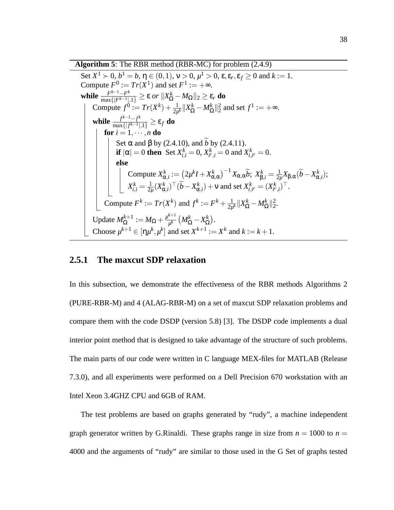**Algorithm 5**: The RBR method (RBR-MC) for problem (2.4.9)

Set  $X^1 \succ 0$ ,  $b^1 = b$ ,  $\eta \in (0,1)$ ,  $v > 0$ ,  $\mu^1 > 0$ ,  $\varepsilon$ ,  $\varepsilon_r$ ,  $\varepsilon_f \ge 0$  and  $k := 1$ . Compute  $F^0 := Tr(X^1)$  and set  $F^1 := +\infty$ . **while**  $\frac{F^{k-1}-F^k}{\max\{F^k-1\}}$  $\frac{F^{k-1}-F^k}{\max\{|F^{k-1}|,1\}} \geq \varepsilon$  or  $||X_{\Omega}^k - M_{\Omega}||_2 \geq \varepsilon_r$  do Compute  $f^0 := Tr(X^k) + \frac{1}{2\mu^k} ||X^k_{\Omega} - M^k_{\Omega}||^2_2$  and set  $f^1 := +\infty$ . **while**  $\frac{f^{k-1}-f^k}{\max\{f|f^{k-1}\}}$  $\frac{f^{k-1}-f^{k}}{\max\{|f^{k-1}|,1\}} \geq \varepsilon_f$  do  ${\bf for} \ i=1,\cdots,n$  do Set α and β by (2.4.10), and *b* by (2.4.11). **if**  $|\alpha| = 0$  **then** Set  $X_{i,i}^k = 0$ ,  $X_{i^c,i}^k = 0$  and  $X_{i,i^c}^k = 0$ . **else**  $\text{Compute } X_{\alpha,i}^k := \left( 2\mu^k I + X_{\alpha,\alpha}^k \right)^{-1} X_{\alpha,\alpha} \widetilde{\nu}; \; X_{\beta,i}^k = \frac{1}{2\mu^k I}$  $\frac{1}{2\mu}X_{\beta,\alpha}(\widetilde{b}-X_{\alpha,i}^k);$  $X_{i,i}^k = \frac{1}{2\mu}$  $\frac{1}{2\mu}(X_{\alpha,i}^k)^\top (\widetilde{b} - X_{\alpha,i}^k) + \nu$  and set  $X_{i,i^c}^k = (X_{i^c,i}^k)^\top$ . Compute  $F^k := Tr(X^k)$  and  $f^k := F^k + \frac{1}{2m}$  $\frac{1}{2\mu^k} \|X^k_{\Omega} - M^k_{\Omega}\|^2_2.$ Update  $M_{\Omega}^{k+1} := M_{\Omega} + \frac{\mu^{k+1}}{\mu^k}$  $\frac{1}{\mu^k}\left(M_\Omega^k - X_\Omega^k\right)$  $\stackrel{k}{\Omega}$ ). Choose  $\mu^{k+1} \in [\eta \mu^k, \mu^k]$  and set  $X^{k+1} := X^k$  and  $k := k+1$ .

#### **2.5.1 The maxcut SDP relaxation**

In this subsection, we demonstrate the effectiveness of the RBR methods Algorithms 2 (PURE-RBR-M) and 4 (ALAG-RBR-M) on a set of maxcut SDP relaxation problems and compare them with the code DSDP (version 5.8) [3]. The DSDP code implements a dual interior point method that is designed to take advantage of the structure of such problems. The main parts of our code were written in C language MEX-files for MATLAB (Release 7.3.0), and all experiments were performed on a Dell Precision 670 workstation with an Intel Xeon 3.4GHZ CPU and 6GB of RAM.

The test problems are based on graphs generated by "rudy", a machine independent graph generator written by G.Rinaldi. These graphs range in size from  $n = 1000$  to  $n =$ 4000 and the arguments of "rudy" are similar to those used in the G Set of graphs tested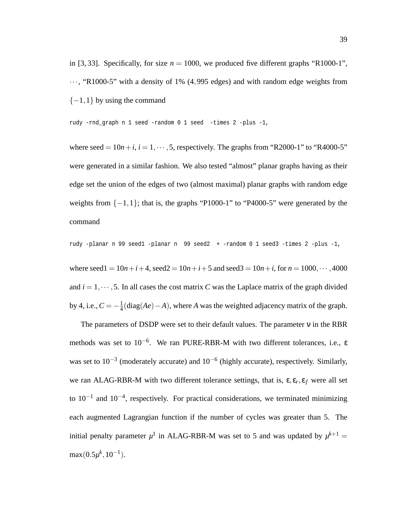in [3, 33]. Specifically, for size  $n = 1000$ , we produced five different graphs "R1000-1",  $\cdots$ , "R1000-5" with a density of 1% (4,995 edges) and with random edge weights from  $\{-1,1\}$  by using the command

rudy -rnd\_graph n 1 seed -random 0 1 seed -times 2 -plus -1,

where seed  $= 10n+i$ ,  $i = 1, \dots, 5$ , respectively. The graphs from "R2000-1" to "R4000-5" were generated in a similar fashion. We also tested "almost" planar graphs having as their edge set the union of the edges of two (almost maximal) planar graphs with random edge weights from  $\{-1,1\}$ ; that is, the graphs "P1000-1" to "P4000-5" were generated by the command

rudy -planar n 99 seed1 -planar n 99 seed2 + -random 0 1 seed3 -times 2 -plus -1,

where seed1 =  $10n+i+4$ , seed2 =  $10n+i+5$  and seed3 =  $10n+i$ , for  $n = 1000, \cdots, 4000$ and  $i = 1, \dots, 5$ . In all cases the cost matrix *C* was the Laplace matrix of the graph divided by 4, i.e.,  $C = -\frac{1}{4}$ 4 (diag(*Ae*)−*A*), where *A* was the weighted adjacency matrix of the graph.

The parameters of DSDP were set to their default values. The parameter  $v$  in the RBR methods was set to 10−<sup>6</sup> . We ran PURE-RBR-M with two different tolerances, i.e., ε was set to  $10^{-3}$  (moderately accurate) and  $10^{-6}$  (highly accurate), respectively. Similarly, we ran ALAG-RBR-M with two different tolerance settings, that is,  $\varepsilon, \varepsilon_r, \varepsilon_f$  were all set to  $10^{-1}$  and  $10^{-4}$ , respectively. For practical considerations, we terminated minimizing each augmented Lagrangian function if the number of cycles was greater than 5. The initial penalty parameter  $\mu^1$  in ALAG-RBR-M was set to 5 and was updated by  $\mu^{k+1}$  =  $max(0.5\mu^k, 10^{-1}).$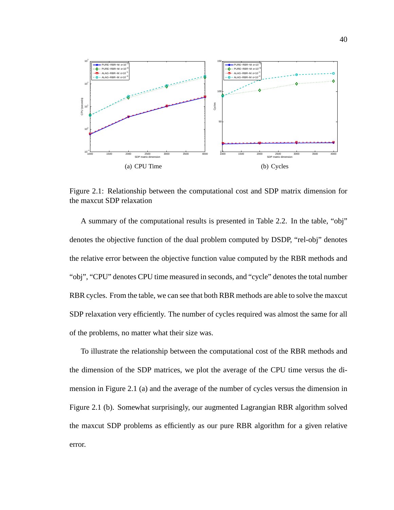

Figure 2.1: Relationship between the computational cost and SDP matrix dimension for the maxcut SDP relaxation

A summary of the computational results is presented in Table 2.2. In the table, "obj" denotes the objective function of the dual problem computed by DSDP, "rel-obj" denotes the relative error between the objective function value computed by the RBR methods and "obj", "CPU" denotes CPU time measured in seconds, and "cycle" denotes the total number RBR cycles. From the table, we can see that both RBR methods are able to solve the maxcut SDP relaxation very efficiently. The number of cycles required was almost the same for all of the problems, no matter what their size was.

To illustrate the relationship between the computational cost of the RBR methods and the dimension of the SDP matrices, we plot the average of the CPU time versus the dimension in Figure 2.1 (a) and the average of the number of cycles versus the dimension in Figure 2.1 (b). Somewhat surprisingly, our augmented Lagrangian RBR algorithm solved the maxcut SDP problems as efficiently as our pure RBR algorithm for a given relative error.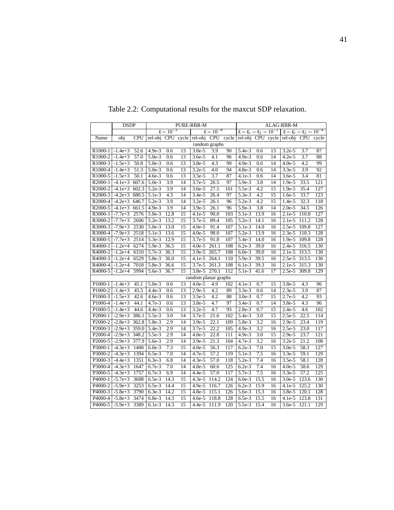|                      | <b>DSDP</b> |            | PURE-RBR-M          |                      |                 |                      | ALAG-RBR-M           |                 |                                                |                  |                 |                                                |                  |                  |
|----------------------|-------------|------------|---------------------|----------------------|-----------------|----------------------|----------------------|-----------------|------------------------------------------------|------------------|-----------------|------------------------------------------------|------------------|------------------|
|                      |             |            |                     | $\epsilon = 10^{-3}$ |                 |                      | $\epsilon = 10^{-6}$ |                 | $\epsilon = \epsilon_r = \epsilon_f = 10^{-1}$ |                  |                 | $\epsilon = \epsilon_r = \epsilon_f = 10^{-4}$ |                  |                  |
| Name                 | obj         | <b>CPU</b> | rel-obj             |                      |                 | CPU cycle rel-obj    |                      |                 | CPU cycle rel-obj CPU cycle rel-obj            |                  |                 |                                                | <b>CPU</b>       | cycle            |
|                      |             |            |                     |                      |                 |                      | random graphs        |                 |                                                |                  |                 |                                                |                  |                  |
| R <sub>1000</sub> -1 | $-1.4e+3$   | 52.6       | 4.9e-3              | 0.6                  | 13              | $3.0e-5$             | 3.9                  | 90              | $5.4e-3$                                       | 0.6              | 13              | $3.2e-5$                                       | 3.7              | 87               |
| R1000-2              | $-1.4e+3$   | 57.0       | $5.0e-3$            | 0.6                  | $\overline{13}$ | $3.6e-5$             | $\overline{4.1}$     | 96              | $4.9e-3$                                       | 0.6              | 14              | $4.2e-5$                                       | $\overline{3.7}$ | $\overline{88}$  |
| R1000-3              | $-1.5e+3$   | 50.8       | $5.0e-3$            | 0.6                  | 13              | $3.8e-5$             | 4.3                  | 99              | $4.9e-3$                                       | 0.6              | 14              | $4.0e-5$                                       | 4.2              | 99               |
| R1000-4              | $-1.4e+3$   | 51.3       | $5.0e-3$            | 0.6                  | 13              | $3.2e-5$             | 4.0                  | 94              | 4.8e-3                                         | 0.6              | 14              | $3.3e-5$                                       | 3.9              | 92               |
| R1000-5              | $-1.5e+3$   | 50.1       | $4.6e-3$            | 0.6                  | $\overline{13}$ | $3.5e-5$             | $\overline{3.7}$     | $\overline{87}$ | $4.1e-3$                                       | 0.6              | 14              | $3.6e-5$                                       | 3.4              | $\overline{81}$  |
| R <sub>2000</sub> -1 | $-4.1e+3$   | 607.6      | $5.0e-3$            | $\overline{3.9}$     | 14              | $3.7e-5$             | 26.5                 | 97              | $5.9e-3$                                       | 3.8              | 14              | $1.9e-5$                                       | 33.5             | 121              |
| R2000-2              | $-4.1e+3$   | 602.3      | $5.2e-3$            | 3.9                  | 14              | $3.6e-5$             | 27.5                 | 101             | 5.5e-3                                         | 4.2              | 15              | 1.9e-5                                         | 35.4             | 127              |
| R2000-3              | $-4.2e+3$   | 680.5      | $5.1e-3$            | $\overline{4.3}$     | 14              | $3.4e-5$             | 26.4                 | 97              | $5.3e-3$                                       | $\overline{4.2}$ | 15              | $1.6e-5$                                       | 33.7             | 123              |
| R2000-4              | $-4.2e+3$   | 646.7      | $5.2e-3$            | $\overline{3.9}$     | 14              | $3.2e-5$             | 26.1                 | 96              | $5.2e-3$                                       | $\overline{4.2}$ | 15              | 1.4e-5                                         | 32.3             | 118              |
| R2000-5              | $-4.1e+3$   | 661.5      | 4.9e-3              | $\overline{3.9}$     | 14              | 3.9e-5               | 26.1                 | 96              | 5.9e-3                                         | 3.8              | 14              | $2.0e-5$                                       | 34.5             | 126              |
| R3000-1              | $-7.7e+3$   | 2576       | $5.0e-3$            | 12.8                 | 15              | $4.1e-5$             | 90.0                 | 103             | $5.1e-3$                                       | 13.9             | 16              | $2.1e-5$                                       | 110.8            | 127              |
| R3000-2              | $-7.7e+3$   | 2606       | $5.2e-3$            | 13.2                 | $\overline{15}$ | 3.7e-5               | 89.4                 | 105             | $\frac{1}{5.2e-3}$                             | 14.1             | 16              | $2.1e-5$                                       | 111.2            | 128              |
| R3000-3              | $-7.9e + 3$ | 2530       | $5.0e-3$            | 13.0                 | 15              | $4.0e-5$             | 91.4                 | 107             | $5.1e-3$                                       | 14.0             | 16              | $2.5e-5$                                       | 109.8            | 127              |
| R3000-4              | $-7.9e + 3$ | 2518       | $5.1e-3$            | 13.6                 | $\overline{15}$ | $4.0e-5$             | 98.0                 | 107             | $5.2e-3$                                       | 13.9             | 16              | $2.3e-5$                                       | 110.3            | 128              |
| R3000-5              | $-7.7e+3$   | 2514       | $5.3e-3$            | 12.9                 | 15              | $3.7e-5$             | 91.8                 | 107             | $5.4e-3$                                       | 14.0             | 16              | $1.9e-5$                                       | 109.8            | 128              |
| R4000-1              | $-1.2e+4$   | 6274       | 5.9e-3              | 36.5                 | 15              | $4.0e-5$             | 261.1                | 108             | $6.2e-3$                                       | 39.0             | 16              | $2.4e-5$                                       | 316.5            | 130              |
| R4000-2              | $-1.2e+4$   | 6310       | $5.7e-3$            | 36.3                 | 15              | $3.9e-5$             | 265.7                | 108             | $6.0e-3$                                       | 39.0             | 16              | $2.1e-5$                                       | 313.5            | 130              |
| R4000-3              | $-1.2e+4$   | 6529       | $5.8e-3$            | 36.0                 | 15              | $4.1e-5$             | 264.1                | 110             | $5.9e-3$                                       | 39.5             | 16              | $2.5e-5$                                       | 313.5            | 130              |
| R4000-4              | $-1.2e+4$   | 7018       | $5.8e-3$            | 36.6                 | 15              | $3.7e-5$             | 261.3                | 108             | $6.1e-3$                                       | 39.3             | 16              | $2.1e-5$                                       | 315.3            | 130              |
| R4000-5              | $-1.2e+4$   | 5994       | 5.6e-3              | 36.7                 | 15              | $3.8e-5$             | 270.1                | 112             | 5.1e-3                                         | 41.6             | 17              | $2.5e-5$                                       | 309.8            | 129              |
|                      |             |            |                     |                      |                 | random planar graphs |                      |                 |                                                |                  |                 |                                                |                  |                  |
| P1000-1              | $-1.4e+3$   | 45.1       | $5.0e-3$            | 0.6                  | 13              | $4.0e-5$             | 4.9                  | 102             | $4.1e-3$                                       | 0.7              | 15              | $3.8e-5$                                       | 4.3              | 96               |
| P1000-2              | $-1.4e+3$   | 45.5       | $4.4e-3$            | 0.6                  | 13              | $2.9e-5$             | 4.2                  | 89              | $3.3e-3$                                       | 0.6              | 14              | $2.3e-5$                                       | 3.9              | 87               |
| P1000-3              | $-1.5e+3$   | 42.6       | $4.6e-3$            | 0.6                  | 13              | $3.5e-5$             | 4.2                  | 88              | $3.0e-3$                                       | 0.7              | 15              | 2.7e-5                                         | 4.2              | 93               |
| P1000-4              | $-1.4e+3$   | 44.1       | $4.7e-3$            | 0.6                  | 13              | $3.8e-5$             | 4.7                  | 97              | $3.4e-3$                                       | 0.7              | 14              | $3.8e-5$                                       | 4.3              | 96               |
| P1000-5              | $-1.4e+3$   | 44.6       | $4.4e-3$            | 0.6                  | $\overline{13}$ | $3.2e-5$             | 4.7                  | 93              | $2.8e-3$                                       | 0.7              | 15              | $2.4e-5$                                       | 4.6              | 102              |
| P2000-1              | $-2.9e+3$   | 386.1      | $\overline{5.5e-3}$ | $\overline{3.0}$     | 14              | $3.7e-5$             | 21.6                 | 102             | $5.4e-3$                                       | 3.0              | 15              | $2.5e-5$                                       | 22.5             | 114              |
| P <sub>2000</sub> -2 | $-2.8e+3$   | 362.8      | 5.8e-3              | $\overline{2.9}$     | 14              | $3.9e-5$             | $\overline{22.1}$    | 109             | 5.8e-3                                         | $\overline{3.2}$ | 16              | $2.9e-5$                                       | 23.4             | 119              |
| P2000-3              | $-2.9e+3$   | 359.0      | 5.4e-3              | $\overline{2.9}$     | 14              | 3.7e-5               | 22.2                 | 105             | $4.9e-3$                                       | $\overline{3.2}$ | $\overline{16}$ | $2.5e-5$                                       | 23.0             | $\overline{117}$ |
| P2000-4              | $-2.9e+3$   | 348.2      | 5.5e-3              | 2.9                  | 14              | $4.0e-5$             | 22.8                 | 111             | $4.9e-3$                                       | 3.0              | 15              | $2.9e-5$                                       | 23.7             | 121              |
| P2000-5              | $-2.9e+3$   | 377.9      | 5.6e-3              | $\overline{2.9}$     | 14              | $3.9e-5$             | $\overline{21.3}$    | 104             | $4.7e-3$                                       | 3.2              | 16              | $3.2e-5$                                       | 21.2             | 108              |
| P3000-1              | $-4.3e+3$   | 1400       | $6.0e-3$            | 7.3                  | 15              | $4.0e-5$             | 56.3                 | 117             | $6.2e-3$                                       | $\overline{7.0}$ | $\overline{15}$ | $3.0e-5$                                       | 58.3             | 127              |
| P3000-2              | $-4.3e+3$   | 1394       | $6.5e-3$            | $\overline{7.0}$     | 14              | 4.7e-5               | $\overline{57.2}$    | 119             | 5.1e-3                                         | 7.5              | 16              | $3.3e-5$                                       | 59.1             | 129              |
| P3000-3              | $-4.4e+3$   | 1351       | $6.3e-3$            | 6.8                  | 14              | $4.3e-5$             | 57.0                 | 118             | $5.2e-3$                                       | 7.4              | 16              | $3.5e-5$                                       | 58.1             | 128              |
| P3000-4              | $-4.3e+3$   | 1647       | $6.7e-3$            | $\overline{7.0}$     | $\overline{14}$ | $4.8e-5$             | 60.6                 | 125             | $6.2e-3$                                       | 7.4              | 16              | $4.0e-5$                                       | 58.6             | 129              |
| P3000-5              | $-4.3e+3$   | 1757       | $6.7e-3$            | 6.9                  | 14              | $4.4e-5$             | 57.0                 | 117             | $5.7e-3$                                       | 7.5              | 16              | $3.3e-5$                                       | 57.2             | 125              |
| P4000-1              | $-5.7e+3$   | 3688       | $6.5e-3$            | 14.3                 | 15              | $4.3e-5$             | 114.2                | 124             | $6.0e-3$                                       | 15.5             | 16              | $3.0e-5$                                       | 123.6            | 130              |
| P4000-2              | $-5.9e+3$   | 3253       | $6.5e-3$            | 14.4                 | 15              | $4.9e-5$             | 116.7                | 126             | $6.2e-3$                                       | 15.9             | 16              | $4.1e-5$                                       | 125.2            | 130              |
| P <sub>4000</sub> -3 | $-5.8e+3$   | 3790       | $6.3e-3$            | 14.2                 | 15              | $4.8e-5$             | 115.1                | 126             | 5.6e-3                                         | 15.3             | 16              | $3.8e-5$                                       | 120.1            | 128              |
| P4000-4              | $-5.8e + 3$ | 3474       | $6.8e-3$            | 14.3                 | $\overline{15}$ | $4.6e-5$             | 118.8                | 128             | $6.5e-3$                                       | 15.5             | 16              | 4.1e-5                                         | 123.8            | 131              |
| P4000-5              | $-5.9e+3$   | 3389       | $6.1e-3$            | 14.3                 | 15              | $4.4e-5$             | 111.9                | 120             | $5.5e-3$                                       | 15.4             | 16              | 3.6e-5 121.1                                   |                  | 129              |

Table 2.2: Computational results for the maxcut SDP relaxation.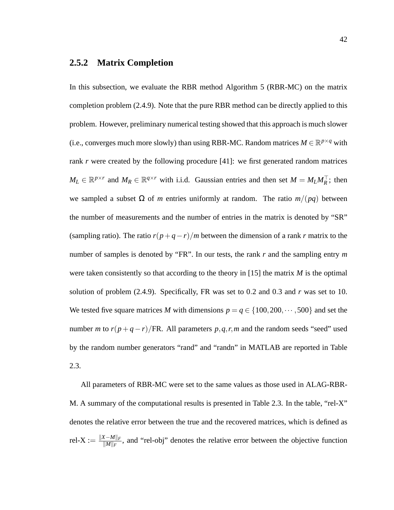#### **2.5.2 Matrix Completion**

In this subsection, we evaluate the RBR method Algorithm 5 (RBR-MC) on the matrix completion problem (2.4.9). Note that the pure RBR method can be directly applied to this problem. However, preliminary numerical testing showed that this approach is much slower (i.e., converges much more slowly) than using RBR-MC. Random matrices  $M \in \mathbb{R}^{p \times q}$  with rank *r* were created by the following procedure [41]: we first generated random matrices  $M_L \in \mathbb{R}^{p \times r}$  and  $M_R \in \mathbb{R}^{q \times r}$  with i.i.d. Gaussian entries and then set  $M = M_L M_R^{\top}$ ; then we sampled a subset Ω of *m* entries uniformly at random. The ratio *m*/(*pq*) between the number of measurements and the number of entries in the matrix is denoted by "SR" (sampling ratio). The ratio  $r(p+q-r)/m$  between the dimension of a rank *r* matrix to the number of samples is denoted by "FR". In our tests, the rank *r* and the sampling entry *m* were taken consistently so that according to the theory in [15] the matrix *M* is the optimal solution of problem (2.4.9). Specifically, FR was set to 0.2 and 0.3 and *r* was set to 10. We tested five square matrices *M* with dimensions  $p = q \in \{100, 200, \dots, 500\}$  and set the number *m* to  $r(p+q-r)/FR$ . All parameters  $p, q, r, m$  and the random seeds "seed" used by the random number generators "rand" and "randn" in MATLAB are reported in Table 2.3.

All parameters of RBR-MC were set to the same values as those used in ALAG-RBR-M. A summary of the computational results is presented in Table 2.3. In the table, "rel-X" denotes the relative error between the true and the recovered matrices, which is defined as  $rel-X := \frac{\|X-M \|_F}{\|M\|_F}$  $\frac{K-M||F}{||M||_F}$ , and "rel-obj" denotes the relative error between the objective function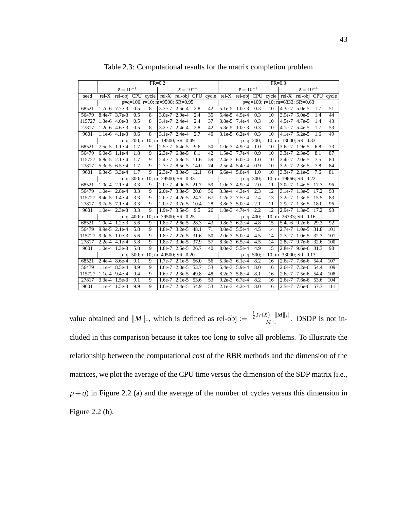|        | $FR = 0.2$      |                      |                  |                |                 |                                                       | $FR = 0.3$        |    |                 |                      |                  |                 |  |                                                                                                 |      |     |
|--------|-----------------|----------------------|------------------|----------------|-----------------|-------------------------------------------------------|-------------------|----|-----------------|----------------------|------------------|-----------------|--|-------------------------------------------------------------------------------------------------|------|-----|
|        |                 | $\epsilon = 10^{-1}$ |                  |                |                 | $\varepsilon = 10^{-4}$                               |                   |    |                 | $\epsilon = 10^{-1}$ |                  |                 |  | $\epsilon = 10^{-4}$                                                                            |      |     |
| seed   |                 |                      |                  |                |                 |                                                       |                   |    |                 |                      |                  |                 |  | rel-X rel-obj CPU cycle rel-X rel-obj CPU cycle rel-X rel-obj CPU cycle rel-X rel-obj CPU cycle |      |     |
|        |                 |                      |                  |                |                 | $p=q=100$ ; $r=10$ ; $m=9500$ ; $SR=0.95$             |                   |    |                 |                      |                  |                 |  | $p=q=100$ ; $r=10$ ; $m=6333$ ; $SR=0.63$                                                       |      |     |
| 68521  |                 | 1.7e-6 7.7e-3        | 0.5              | 8              |                 | $3.3e-7$ $2.5e-4$                                     | 2.8               | 42 |                 | $5.1e-5$ $1.0e-3$    | 0.3              | 10              |  | $4.3e-7$ 5.0e-5                                                                                 | 1.7  | 51  |
| 56479  | 8.4e-7 3.7e-3   |                      | 0.5              | 8              |                 | $3.0e-7$ 2.9e-4                                       | 2.4               | 35 |                 | $5.4e-5$ 4.9e-4      | $\overline{0.3}$ | 10              |  | $3.9e-7$ $5.0e-5$                                                                               | 1.4  | 44  |
| 115727 |                 | $1.3e-6$ 4.0e-3      | 0.5              | 8              |                 | 3.4e-7 2.4e-4                                         | 2.4               | 37 |                 | 3.8e-5 7.4e-4        | 0.3              | 10              |  | 4.5e-7 4.7e-5                                                                                   | 1.4  | 43  |
| 27817  |                 | $1.2e-6$ 4.6e-3      | 0.5              | 8              |                 | $3.2e-7$ 2.4e-4                                       | 2.8               | 42 |                 | $5.3e-5$ 1.0e-3      | 0.3              | 10              |  | 4.1e-7 $5.4e-5$                                                                                 | 1.7  | 53  |
| 9601   |                 | 1.1e-6 4.1e-3        | 0.6              | 8              |                 | $3.1e-7$ 2.4e-4                                       | 2.7               | 40 |                 | $3.1e-5$ 6.2e-4      | 0.3              | 10              |  | $4.1e-7$ 5.2e-5                                                                                 | 1.6  | 49  |
|        |                 |                      |                  |                |                 | $p=q=200$ ; $r=10$ ; $m=19500$ ; $SR=0.49$            |                   |    |                 |                      |                  |                 |  | $p=q=200$ ; $r=10$ ; $m=13000$ ; $\overline{SR}=0.33$                                           |      |     |
| 68521  |                 | 7.5e-5 1.1e-4        | 1.7              | 9              |                 | 2.5e-7 6.4e-5                                         | 9.6               | 50 | $1.0e-3$ 4.9e-4 |                      | 1.0              | 10              |  | $3.6e-7$ 1.9e-5                                                                                 | 6.8  | 73  |
| 56479  |                 | $6.0e-5$ 1.1e-4      | 1.8              | 9              | $2.3e-7$ 6.8e-5 |                                                       | 8.1               | 42 |                 | 1.5e-3 7.7e-4        | 0.9              | 10              |  | 3.3e-7 2.3e-5                                                                                   | 8.1  | 87  |
| 115727 |                 | $6.8e-5$ 2.1e-4      | 1.7              | 9              |                 | 2.4e-7 6.8e-5                                         | 11.6              | 59 |                 | $2.4e-3$ 6.0e-4      | 1.0              | 10              |  | 3.4e-7 2.0e-5                                                                                   | 7.5  | 80  |
| 27817  |                 | 5.3e-5 6.5e-4        | 1.7              | 9              |                 | 2.3e-7 8.5e-5                                         | 14.0              | 74 | 2.5e-4 5.4e-4   |                      | 0.9              | 10              |  | 3.2e-7 2.3e-5                                                                                   | 7.8  | 84  |
| 9601   |                 | $6.3e-5$ 3.3e-4      | 1.7              | $\overline{9}$ |                 | 2.3e-7 8.0e-5 12.1                                    |                   | 64 |                 | $6.6e-4$ $5.0e-4$    | $\overline{1.0}$ | $\overline{10}$ |  | $3.3e-7$ 2.1e-5                                                                                 | 7.6  | 81  |
|        |                 |                      |                  |                |                 | $p=q=300$ ; $r=10$ ; $m=29500$ ; $\overline{SR}=0.33$ |                   |    |                 |                      |                  |                 |  | $p=q=300$ ; $r=10$ ; $m=19666$ ; $SR=0.22$                                                      |      |     |
| 68521  |                 | $1.0e-4$ 2.1e-4      | 3.3              | 9              |                 | $2.0e-7$ 4.0e-5                                       | 21.7              | 59 |                 | $1.0e-3$ 4.9e-4      | 2.0              | 11              |  | $3.0e-7$ 1.4e-5                                                                                 | 17.7 | 96  |
| 56479  |                 | 1.0e-4 2.8e-4        | 3.3              | 9              |                 | $2.0e-7$ 3.8e-5                                       | 20.8              | 56 | 3.3e-4 4.3e-4   |                      | 2.3              | 12              |  | $3.1e-7$ 1.3e-5                                                                                 | 17.2 | 93  |
| 115727 |                 | $9.4e-5$ 1.4e-4      | $\overline{3.3}$ | $\overline{9}$ |                 | $2.0e-7$ 4.2e-5                                       | 24.7              | 67 |                 | $1.2e-2$ 7.5e-4      | 2.4              | 13              |  | $3.2e-7$ 1.3e-5                                                                                 | 15.5 | 83  |
| 27817  |                 | 9.7e-5 7.1e-4        | 3.3              | 9              |                 | $2.0e-7$ 3.7e-5 10.4                                  |                   | 28 |                 | 3.8e-3 5.0e-4        | 2.1              | 11              |  | $2.9e-7$ 1.3e-5                                                                                 | 18.0 | 96  |
| 9601   |                 | $1.0e-4$ 2.3e-3      | 3.3              | 9              |                 | $1.9e-7$ 3.5e-5                                       | 9.5               | 26 |                 | 1.8e-3 4.7e-4        | $\overline{2.2}$ | 12              |  | 2.9e-7 1.3e-5 17.2                                                                              |      | 93  |
|        |                 |                      |                  |                |                 | $p=q=400$ ; $r=10$ ; $m=39500$ ; $SR=0.25$            |                   |    |                 |                      |                  |                 |  | $p=q=400$ ; $r=10$ ; $m=26333$ ; SR=0.16                                                        |      |     |
| 68521  |                 | $1.0e-4$ 1.2e-3      | 5.6              | 9              |                 | $1.8e-7$ 2.6e-5                                       | 28.3              | 43 |                 | 9.8e-3 6.2e-4        | 4.8              | 15              |  | 5.4e-6 9.2e-6 29.3                                                                              |      | 92  |
| 56479  |                 | 9.9e-5 2.1e-4        | 5.8              | 9              |                 | $1.8e-7$ 3.2e-5                                       | 48.1              | 71 |                 | $3.0e-3$ 5.5e-4      | 4.5              | 14              |  | $2.7e-7$ 1.0e-5                                                                                 | 31.8 | 101 |
| 115727 | 9.9e-5 $1.0e-3$ |                      | 5.6              | 9              |                 | $1.8e-7$ 2.7e-5                                       | $-31.6$           | 50 |                 | $2.0e-3$ 5.0e-4      | 4.5              | 14              |  | $2.7e-7$ 1.0e-5                                                                                 | 32.3 | 101 |
| 27817  |                 | $2.2e-4$ 4.1e-4      | 5.8              | 9              |                 | $1.8e-7$ 3.0e-5                                       | $\overline{37.9}$ | 57 | 8.3e-3 6.5e-4   |                      | 4.5              | 14              |  | 2.8e-7 9.7e-6 32.6                                                                              |      | 100 |
| 9601   |                 | $1.0e-4$ 1.3e-3      | $\overline{5.8}$ | 9              |                 | 1.8e-7 2.5e-5 26.7                                    |                   | 40 | 8.0e-3 5.5e-4   |                      | 4.9              | 15              |  | 2.8e-7 9.6e-6 31.3                                                                              |      | 98  |
|        |                 |                      |                  |                |                 | $p=q=500$ ; $r=10$ ; $m=49500$ ; $SR=0.20$            |                   |    |                 |                      |                  |                 |  | $p=q=500$ ; $r=10$ ; $m=33000$ ; $SR=0.13$                                                      |      |     |
| 68521  | $2.4e-4$ 8.6e-4 |                      | 9.1              | 9              |                 | $1.7e-7$ 2.1e-5 56.0                                  |                   | 56 | $5.3e-3$ 6.1e-4 |                      | 8.2              | 16              |  | 2.6e-7 7.6e-6 54.4                                                                              |      | 107 |
| 56479  |                 | 1.1e-4 8.5e-4        | 8.9              | 9              |                 | $1.6e-7$ 2.3e-5                                       | 53.7              | 53 |                 | 5.4e-3 5.9e-4        | 8.0              | 16              |  | 2.6e-7 7.2e-6 54.4                                                                              |      | 109 |
| 115727 |                 | 1.1e-4 9.4e-4        | 9.4              | 9              |                 | $1.6e-7$ 2.3e-5                                       | 49.8              | 48 | 8.2e-3 5.8e-4   |                      | 8.1              | 16              |  | $2.6e-7$ 7.5e-6                                                                                 | 54.4 | 108 |
| 27817  |                 | 3.3e-4 1.5e-3        | 9.1              | 9              |                 | $1.6e-7$ 2.1e-5                                       | 53.6              | 53 |                 | $9.2e-3$ 6.7e-4      | 8.2              | 16              |  | 2.6e-7 7.6e-6 53.6                                                                              |      | 104 |
| 9601   |                 | $1.1e-4$ 1.5e-3      | 9.9              | 9              |                 | 1.6e-7 2.4e-5 54.9                                    |                   | 53 | $2.1e-3$ 4.2e-4 |                      | $\overline{8.0}$ | 16              |  | 2.5e-7 7.6e-6 57.3                                                                              |      | 111 |

Table 2.3: Computational results for the matrix completion problem

value obtained and  $||M||_*$ , which is defined as rel-obj :=  $\frac{|\frac{1}{2}Tr(X) - ||M||_*|}{||M||_*}$  $\frac{A}{\|M\|_{*}}$ . DSDP is not included in this comparison because it takes too long to solve all problems. To illustrate the relationship between the computational cost of the RBR methods and the dimension of the matrices, we plot the average of the CPU time versus the dimension of the SDP matrix (i.e.,  $p+q$ ) in Figure 2.2 (a) and the average of the number of cycles versus this dimension in Figure 2.2 (b).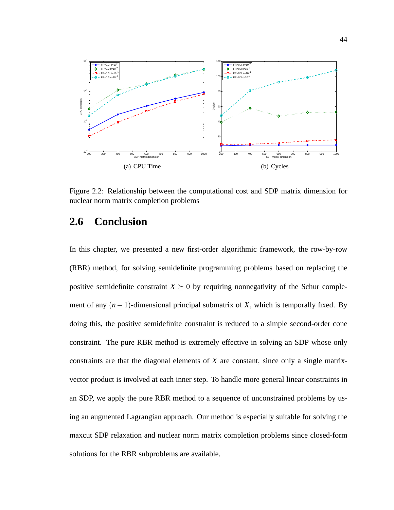

Figure 2.2: Relationship between the computational cost and SDP matrix dimension for nuclear norm matrix completion problems

## **2.6 Conclusion**

In this chapter, we presented a new first-order algorithmic framework, the row-by-row (RBR) method, for solving semidefinite programming problems based on replacing the positive semidefinite constraint  $X \succeq 0$  by requiring nonnegativity of the Schur complement of any (*n*−1)-dimensional principal submatrix of *X*, which is temporally fixed. By doing this, the positive semidefinite constraint is reduced to a simple second-order cone constraint. The pure RBR method is extremely effective in solving an SDP whose only constraints are that the diagonal elements of *X* are constant, since only a single matrixvector product is involved at each inner step. To handle more general linear constraints in an SDP, we apply the pure RBR method to a sequence of unconstrained problems by using an augmented Lagrangian approach. Our method is especially suitable for solving the maxcut SDP relaxation and nuclear norm matrix completion problems since closed-form solutions for the RBR subproblems are available.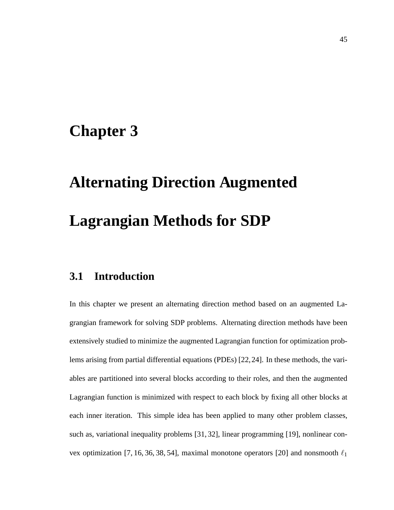## **Chapter 3**

# **Alternating Direction Augmented Lagrangian Methods for SDP**

## **3.1 Introduction**

In this chapter we present an alternating direction method based on an augmented Lagrangian framework for solving SDP problems. Alternating direction methods have been extensively studied to minimize the augmented Lagrangian function for optimization problems arising from partial differential equations (PDEs) [22,24]. In these methods, the variables are partitioned into several blocks according to their roles, and then the augmented Lagrangian function is minimized with respect to each block by fixing all other blocks at each inner iteration. This simple idea has been applied to many other problem classes, such as, variational inequality problems [31, 32], linear programming [19], nonlinear convex optimization [7, 16, 36, 38, 54], maximal monotone operators [20] and nonsmooth  $\ell_1$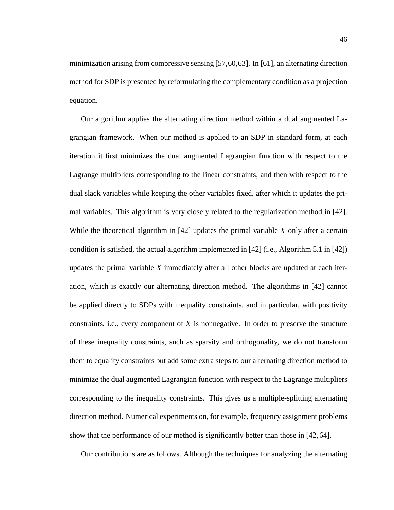minimization arising from compressive sensing [57,60,63]. In [61], an alternating direction method for SDP is presented by reformulating the complementary condition as a projection equation.

Our algorithm applies the alternating direction method within a dual augmented Lagrangian framework. When our method is applied to an SDP in standard form, at each iteration it first minimizes the dual augmented Lagrangian function with respect to the Lagrange multipliers corresponding to the linear constraints, and then with respect to the dual slack variables while keeping the other variables fixed, after which it updates the primal variables. This algorithm is very closely related to the regularization method in [42]. While the theoretical algorithm in [42] updates the primal variable *X* only after a certain condition is satisfied, the actual algorithm implemented in [42] (i.e., Algorithm 5.1 in [42]) updates the primal variable *X* immediately after all other blocks are updated at each iteration, which is exactly our alternating direction method. The algorithms in [42] cannot be applied directly to SDPs with inequality constraints, and in particular, with positivity constraints, i.e., every component of *X* is nonnegative. In order to preserve the structure of these inequality constraints, such as sparsity and orthogonality, we do not transform them to equality constraints but add some extra steps to our alternating direction method to minimize the dual augmented Lagrangian function with respect to the Lagrange multipliers corresponding to the inequality constraints. This gives us a multiple-splitting alternating direction method. Numerical experiments on, for example, frequency assignment problems show that the performance of our method is significantly better than those in [42, 64].

Our contributions are as follows. Although the techniques for analyzing the alternating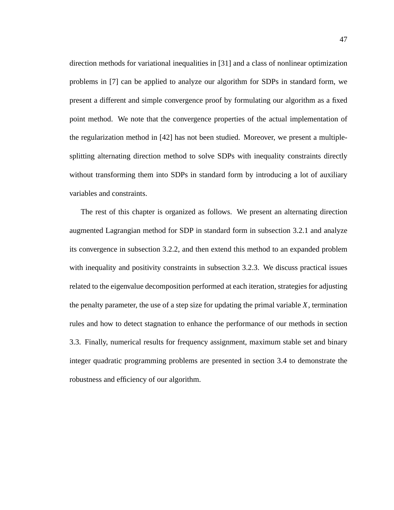direction methods for variational inequalities in [31] and a class of nonlinear optimization problems in [7] can be applied to analyze our algorithm for SDPs in standard form, we present a different and simple convergence proof by formulating our algorithm as a fixed point method. We note that the convergence properties of the actual implementation of the regularization method in [42] has not been studied. Moreover, we present a multiplesplitting alternating direction method to solve SDPs with inequality constraints directly without transforming them into SDPs in standard form by introducing a lot of auxiliary variables and constraints.

The rest of this chapter is organized as follows. We present an alternating direction augmented Lagrangian method for SDP in standard form in subsection 3.2.1 and analyze its convergence in subsection 3.2.2, and then extend this method to an expanded problem with inequality and positivity constraints in subsection 3.2.3. We discuss practical issues related to the eigenvalue decomposition performed at each iteration, strategies for adjusting the penalty parameter, the use of a step size for updating the primal variable *X*, termination rules and how to detect stagnation to enhance the performance of our methods in section 3.3. Finally, numerical results for frequency assignment, maximum stable set and binary integer quadratic programming problems are presented in section 3.4 to demonstrate the robustness and efficiency of our algorithm.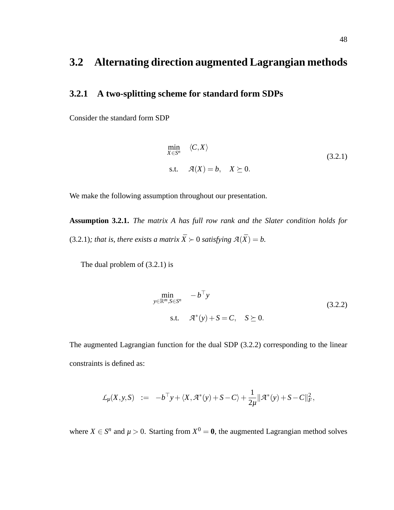## **3.2 Alternating direction augmented Lagrangian methods**

### **3.2.1 A two-splitting scheme for standard form SDPs**

Consider the standard form SDP

$$
\min_{X \in S^n} \langle C, X \rangle
$$
\ns.t.

\n
$$
\mathcal{A}(X) = b, \quad X \succeq 0.
$$
\n(3.2.1)

We make the following assumption throughout our presentation.

**Assumption 3.2.1.** *The matrix A has full row rank and the Slater condition holds for* (3.2.1)*; that is, there exists a matrix*  $\bar{X} \succ 0$  *satisfying*  $\mathcal{A}(\bar{X}) = b$ .

The dual problem of (3.2.1) is

$$
\min_{y \in \mathbb{R}^m, S \in S^n} \quad -b^{\top} y
$$
\n
$$
\text{s.t.} \quad \mathcal{A}^*(y) + S = C, \quad S \succeq 0.
$$
\n(3.2.2)

The augmented Lagrangian function for the dual SDP (3.2.2) corresponding to the linear constraints is defined as:

$$
\mathcal{L}_{\mu}(X, y, S) \quad := \quad -b^{\top} y + \langle X, \mathcal{A}^*(y) + S - C \rangle + \frac{1}{2\mu} ||\mathcal{A}^*(y) + S - C||_F^2,
$$

where  $X \in S^n$  and  $\mu > 0$ . Starting from  $X^0 = \mathbf{0}$ , the augmented Lagrangian method solves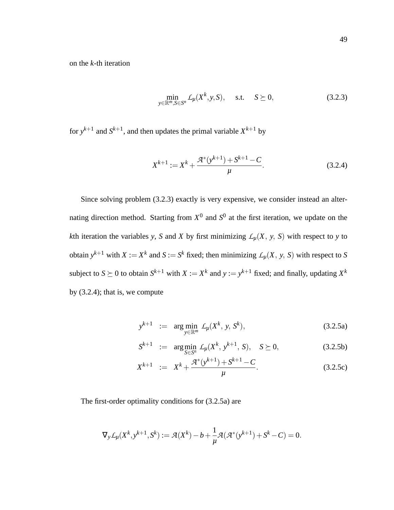on the *k*-th iteration

$$
\min_{y \in \mathbb{R}^m, S \in S^n} L_\mu(X^k, y, S), \quad \text{s.t.} \quad S \succeq 0,
$$
\n(3.2.3)

for  $y^{k+1}$  and  $S^{k+1}$ , and then updates the primal variable  $X^{k+1}$  by

$$
X^{k+1} := X^k + \frac{\mathcal{A}^*(y^{k+1}) + S^{k+1} - C}{\mu}.
$$
 (3.2.4)

Since solving problem (3.2.3) exactly is very expensive, we consider instead an alternating direction method. Starting from  $X^0$  and  $S^0$  at the first iteration, we update on the *k*th iteration the variables *y*, *S* and *X* by first minimizing  $L<sub>\mu</sub>(X, y, S)$  with respect to *y* to obtain  $y^{k+1}$  with  $X := X^k$  and  $S := S^k$  fixed; then minimizing  $\mathcal{L}_\mu(X, y, S)$  with respect to *S* subject to  $S \succeq 0$  to obtain  $S^{k+1}$  with  $X := X^k$  and  $y := y^{k+1}$  fixed; and finally, updating  $X^k$ by (3.2.4); that is, we compute

$$
y^{k+1} := \arg\min_{y \in \mathbb{R}^m} \mathcal{L}_{\mu}(X^k, y, S^k), \tag{3.2.5a}
$$

$$
S^{k+1} := \arg\min_{S \in S^n} \mathcal{L}_{\mu}(X^k, y^{k+1}, S), \quad S \succeq 0,
$$
 (3.2.5b)

$$
X^{k+1} := X^k + \frac{\mathcal{A}^*(y^{k+1}) + S^{k+1} - C}{\mu}.
$$
 (3.2.5c)

The first-order optimality conditions for (3.2.5a) are

$$
\nabla_{y} \mathcal{L}_{\mu}(X^{k}, y^{k+1}, S^{k}) := \mathcal{A}(X^{k}) - b + \frac{1}{\mu} \mathcal{A}(\mathcal{A}^{*}(y^{k+1}) + S^{k} - C) = 0.
$$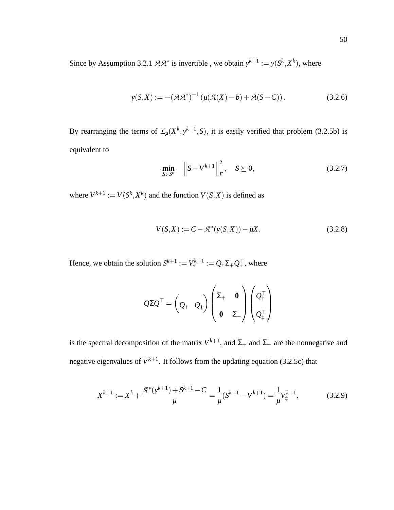Since by Assumption 3.2.1  $AA^*$  is invertible, we obtain  $y^{k+1} := y(S^k, X^k)$ , where

$$
y(S, X) := -(A A^*)^{-1} \left( \mu(A(X) - b) + A(S - C) \right). \tag{3.2.6}
$$

By rearranging the terms of  $\mathcal{L}_{\mu}(X^k, y^{k+1}, S)$ , it is easily verified that problem (3.2.5b) is equivalent to

$$
\min_{S \in S^n} \quad \left\| S - V^{k+1} \right\|_F^2, \quad S \succeq 0,
$$
\n(3.2.7)

where  $V^{k+1} := V(S^k, X^k)$  and the function  $V(S, X)$  is defined as

$$
V(S, X) := C - \mathcal{A}^*(y(S, X)) - \mu X.
$$
 (3.2.8)

Hence, we obtain the solution  $S^{k+1} := V^{k+1}_*$  $Q^{\star k+1}_\dagger := Q_\dagger \Sigma_+ Q_\dagger^\top$  , where

$$
\mathcal{Q} \Sigma \mathcal{Q}^\top = \begin{pmatrix} \mathcal{Q}_\dagger & \mathcal{Q}_\dagger \end{pmatrix} \begin{pmatrix} \Sigma_+ & \mathbf{0} \\ \mathbf{0} & \Sigma_- \end{pmatrix} \begin{pmatrix} \mathcal{Q}_\dagger^\top \\ \mathcal{Q}_\dagger^\top \end{pmatrix}
$$

is the spectral decomposition of the matrix  $V^{k+1}$ , and  $\Sigma_+$  and  $\Sigma_-$  are the nonnegative and negative eigenvalues of  $V^{k+1}$ . It follows from the updating equation (3.2.5c) that

$$
X^{k+1} := X^k + \frac{\mathcal{A}^*(y^{k+1}) + S^{k+1} - C}{\mu} = \frac{1}{\mu} (S^{k+1} - V^{k+1}) = \frac{1}{\mu} V_{\ddagger}^{k+1},\tag{3.2.9}
$$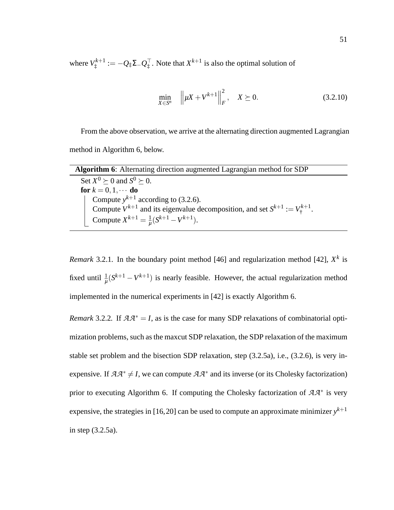where  $V^{k+1}_+$  $\mathcal{L}_{\ddagger}^{k+1} := -Q_{\ddagger}\Sigma_{-}Q_{\ddagger}^{\top}$ . Note that  $X^{k+1}$  is also the optimal solution of

$$
\min_{X \in S^n} \| \mu X + V^{k+1} \|_F^2, \quad X \succeq 0.
$$
\n(3.2.10)

From the above observation, we arrive at the alternating direction augmented Lagrangian method in Algorithm 6, below.

| <b>Algorithm 6:</b> Alternating direction augmented Lagrangian method for SDP      |
|------------------------------------------------------------------------------------|
| Set $X^0 \ge 0$ and $S^0 \ge 0$ .                                                  |
| for $k = 0, 1, \cdots$ do                                                          |
| Compute $y^{k+1}$ according to (3.2.6).                                            |
| Compute $V^{k+1}$ and its eigenvalue decomposition, and set $S^{k+1} := V^{k+1}$ . |
| Compute $X^{k+1} = \frac{1}{n}(S^{k+1} - V^{k+1}).$                                |

*Remark* 3.2.1. In the boundary point method [46] and regularization method [42],  $X<sup>k</sup>$  is fixed until  $\frac{1}{\mu}(S^{k+1} - V^{k+1})$  is nearly feasible. However, the actual regularization method implemented in the numerical experiments in [42] is exactly Algorithm 6.

*Remark* 3.2.2*.* If *AA*<sup>∗</sup> = *I*, as is the case for many SDP relaxations of combinatorial optimization problems, such as the maxcut SDP relaxation, the SDP relaxation of the maximum stable set problem and the bisection SDP relaxation, step (3.2.5a), i.e., (3.2.6), is very inexpensive. If  $A A^* \neq I$ , we can compute  $A A^*$  and its inverse (or its Cholesky factorization) prior to executing Algorithm 6. If computing the Cholesky factorization of *AA*<sup>∗</sup> is very expensive, the strategies in [16,20] can be used to compute an approximate minimizer  $y^{k+1}$ in step (3.2.5a).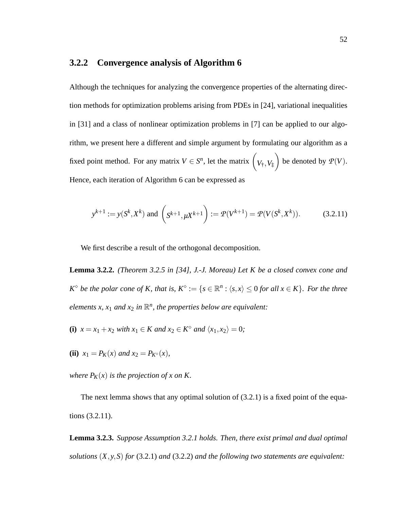#### **3.2.2 Convergence analysis of Algorithm 6**

Although the techniques for analyzing the convergence properties of the alternating direction methods for optimization problems arising from PDEs in [24], variational inequalities in [31] and a class of nonlinear optimization problems in [7] can be applied to our algorithm, we present here a different and simple argument by formulating our algorithm as a fixed point method. For any matrix  $V \in S^n$ , let the matrix  $\left(V_{\dagger}, V_{\dagger}\right)$  $\setminus$ be denoted by  $P(V)$ . Hence, each iteration of Algorithm 6 can be expressed as

$$
y^{k+1} := y(S^k, X^k)
$$
 and  $\left(g^{k+1}, \mu X^{k+1}\right) := \mathcal{P}(V^{k+1}) = \mathcal{P}(V(S^k, X^k)).$  (3.2.11)

We first describe a result of the orthogonal decomposition.

**Lemma 3.2.2.** *(Theorem 3.2.5 in [34], J.-J. Moreau) Let K be a closed convex cone and*  $K^{\diamond}$  *be the polar cone of K, that is,*  $K^{\diamond} := \{s \in \mathbb{R}^n : \langle s, x \rangle \leq 0$  *for all*  $x \in K\}$ *. For the three elements x, x*<sub>1</sub> *and x*<sub>2</sub> *in*  $\mathbb{R}^n$ *, the properties below are equivalent:* 

- **(i)**  $x = x_1 + x_2$  *with*  $x_1 \in K$  *and*  $x_2 \in K^\circ$  *and*  $\langle x_1, x_2 \rangle = 0$ *;*
- **(ii)**  $x_1 = P_K(x)$  *and*  $x_2 = P_{K^{\circ}}(x)$ *,*

*where*  $P_K(x)$  *is the projection of x on K.* 

The next lemma shows that any optimal solution of  $(3.2.1)$  is a fixed point of the equations (3.2.11).

**Lemma 3.2.3.** *Suppose Assumption 3.2.1 holds. Then, there exist primal and dual optimal solutions* (*X*, *y*,*S*) *for* (3.2.1) *and* (3.2.2) *and the following two statements are equivalent:*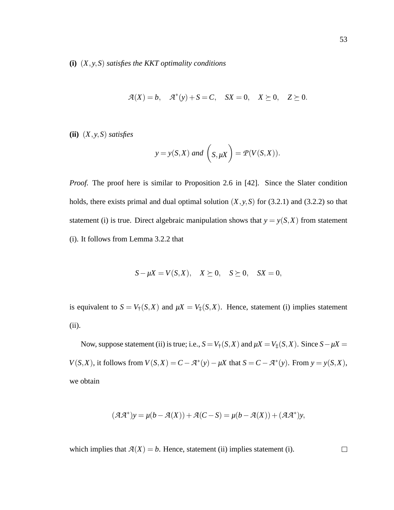**(i)** (*X*, *y*,*S*) *satisfies the KKT optimality conditions*

$$
\mathcal{A}(X) = b, \quad \mathcal{A}^*(y) + S = C, \quad SX = 0, \quad X \succeq 0, \quad Z \succeq 0.
$$

**(ii)** (*X*, *y*,*S*) *satisfies*

$$
y = y(S,X)
$$
 and  $(S,\mu X) = \mathcal{P}(V(S,X)).$ 

*Proof.* The proof here is similar to Proposition 2.6 in [42]. Since the Slater condition holds, there exists primal and dual optimal solution  $(X, y, S)$  for (3.2.1) and (3.2.2) so that statement (i) is true. Direct algebraic manipulation shows that  $y = y(S, X)$  from statement (i). It follows from Lemma 3.2.2 that

$$
S - \mu X = V(S, X), \quad X \succeq 0, \quad S \succeq 0, \quad SX = 0,
$$

is equivalent to  $S = V_{\dagger}(S, X)$  and  $\mu X = V_{\dagger}(S, X)$ . Hence, statement (i) implies statement (ii).

Now, suppose statement (ii) is true; i.e.,  $S = V_{\dagger}(S, X)$  and  $\mu X = V_{\dagger}(S, X)$ . Since  $S - \mu X =$ *V*(*S*,*X*), it follows from *V*(*S*,*X*) = *C*−*A*<sup>\*</sup>(*y*)−*µX* that *S* = *C*−*A*<sup>\*</sup>(*y*). From *y* = *y*(*S*,*X*), we obtain

$$
(\mathcal{A}\mathcal{A}^*)y = \mu(b - \mathcal{A}(X)) + \mathcal{A}(C - S) = \mu(b - \mathcal{A}(X)) + (\mathcal{A}\mathcal{A}^*)y,
$$

which implies that  $A(X) = b$ . Hence, statement (ii) implies statement (i).

 $\Box$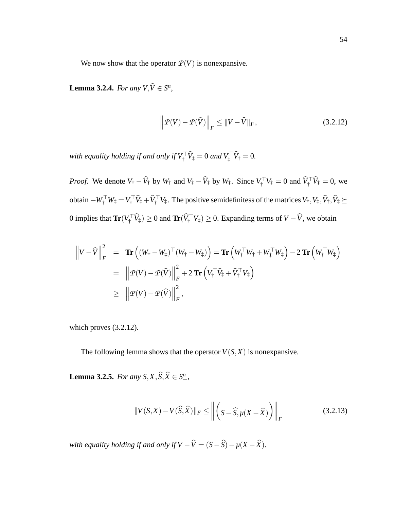We now show that the operator  $P(V)$  is nonexpansive.

**Lemma 3.2.4.** *For any*  $V, \hat{V} \in S^n$ *,* 

$$
\left\| \mathcal{P}(V) - \mathcal{P}(\widehat{V}) \right\|_F \le \|V - \widehat{V}\|_F, \tag{3.2.12}
$$

*with equality holding if and only if*  $V_{{}^{\dagger}}$   $V_{{}^{\dagger}} = 0$  *and*  $V_{{}^{\dagger}}$   $V_{{}^{\dagger}} = 0$ *.* 

*Proof.* We denote  $V_{\dagger} - V_{\dagger}$  by  $W_{\dagger}$  and  $V_{\ddagger} - V_{\ddagger}$  by  $W_{\ddagger}$ . Since  $V_{\dagger} \ V_{\ddagger} = 0$  and  $V_{\dagger} \ V_{\ddagger} = 0$ , we obtain  $-W^{\perp}_\uparrow W^{\perp}_\uparrow = V^{\perp}_\uparrow V^{\perp}_\uparrow + V^{\perp}_\uparrow V^{\perp}_\uparrow$ . The positive semidefinitess of the matrices  $V^{\perp}_\uparrow, V^{\perp}_\uparrow, V^{\perp}_\uparrow, \succeq$ 0 implies that  $\text{Tr}(V^{\top}_\dagger V^{\dagger}_\ddagger) \ge 0$  and  $\text{Tr}(V^{\top}_\dagger V^{\dagger}_\ddagger) \ge 0$ . Expanding terms of  $V - V$ , we obtain

$$
\left\|V - \widehat{V}\right\|_F^2 = \mathbf{Tr}\left((W_{\dagger} - W_{\ddagger})^\top (W_{\dagger} - W_{\ddagger})\right) = \mathbf{Tr}\left(W_{\dagger}^\top W_{\dagger} + W_{\ddagger}^\top W_{\ddagger}\right) - 2 \mathbf{Tr}\left(W_{\dagger}^\top W_{\ddagger}\right)
$$
  
\n
$$
= \left\|P(V) - P(\widehat{V})\right\|_F^2 + 2 \mathbf{Tr}\left(V_{\dagger}^\top \widehat{V}_{\ddagger} + \widehat{V}_{\dagger}^\top V_{\ddagger}\right)
$$
  
\n
$$
\geq \left\|P(V) - P(\widehat{V})\right\|_F^2,
$$

which proves (3.2.12).

 $\Box$ 

The following lemma shows that the operator  $V(S, X)$  is nonexpansive.

**Lemma 3.2.5.** *For any*  $S, X, \widehat{S}, \widehat{X} \in S^n_+$ *,* 

$$
||V(S,X) - V(\widehat{S},\widehat{X})||_F \le ||\left(S - \widehat{S}, \mu(X - \widehat{X})\right)||_F
$$
\n(3.2.13)

*with equality holding if and only if*  $V - \widehat{V} = (S - \widehat{S}) - \mu(X - \widehat{X})$ *.*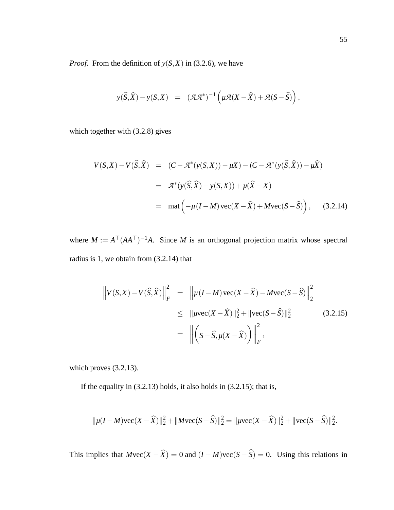*Proof.* From the definition of  $y(S, X)$  in (3.2.6), we have

$$
y(\widehat{S},\widehat{X}) - y(S,X) = (\mathcal{A}\mathcal{A}^*)^{-1} \left( \mu \mathcal{A}(X - \widehat{X}) + \mathcal{A}(S - \widehat{S}) \right),
$$

which together with (3.2.8) gives

$$
V(S,X) - V(\widehat{S}, \widehat{X}) = (C - \mathcal{A}^*(y(S,X)) - \mu X) - (C - \mathcal{A}^*(y(\widehat{S}, \widehat{X})) - \mu \widehat{X})
$$
  

$$
= \mathcal{A}^*(y(\widehat{S}, \widehat{X}) - y(S,X)) + \mu(\widehat{X} - X)
$$
  

$$
= \text{mat} \left( -\mu(I - M)\text{vec}(X - \widehat{X}) + M\text{vec}(S - \widehat{S}) \right), \quad (3.2.14)
$$

where  $M := A^{\top} (A A^{\top})^{-1} A$ . Since M is an orthogonal projection matrix whose spectral radius is 1, we obtain from (3.2.14) that

$$
\left\|V(S,X) - V(\widehat{S},\widehat{X})\right\|_F^2 = \left\|\mu(I-M)\,\text{vec}(X-\widehat{X}) - M\,\text{vec}(S-\widehat{S})\right\|_2^2
$$
  
\n
$$
\leq \|\mu\text{vec}(X-\widehat{X})\|_2^2 + \|\text{vec}(S-\widehat{S})\|_2^2 \qquad (3.2.15)
$$
  
\n
$$
= \left\|\left(S-\widehat{S},\mu(X-\widehat{X})\right)\right\|_F^2,
$$

which proves (3.2.13).

If the equality in  $(3.2.13)$  holds, it also holds in  $(3.2.15)$ ; that is,

$$
\|\mu(I-M)\text{vec}(X-\widehat{X})\|_2^2 + \|M\text{vec}(S-\widehat{S})\|_2^2 = \|\mu \text{vec}(X-\widehat{X})\|_2^2 + \|\text{vec}(S-\widehat{S})\|_2^2.
$$

This implies that  $M\text{vec}(X - \hat{X}) = 0$  and  $(I - M)\text{vec}(S - \hat{S}) = 0$ . Using this relations in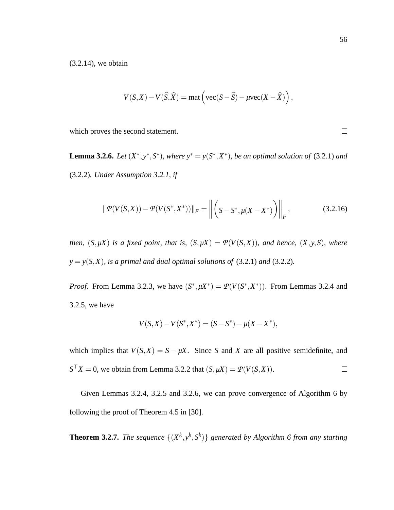(3.2.14), we obtain

$$
V(S, X) - V(\widehat{S}, \widehat{X}) = \text{mat}\left(\text{vec}(S - \widehat{S}) - \mu \text{vec}(X - \widehat{X})\right),
$$

which proves the second statement.

**Lemma 3.2.6.** Let  $(X^*, y^*, S^*)$ , where  $y^* = y(S^*, X^*)$ , be an optimal solution of (3.2.1) and (3.2.2)*. Under Assumption 3.2.1, if*

$$
\|\mathcal{P}(V(S,X)) - \mathcal{P}(V(S^*, X^*))\|_F = \left\| \left(S - S^*, \mu(X - X^*)\right) \right\|_F, \tag{3.2.16}
$$

*then,*  $(S, \mu X)$  *is a fixed point, that is,*  $(S, \mu X) = \mathcal{P}(V(S, X))$ *, and hence,*  $(X, y, S)$ *, where*  $y = y(S,X)$ *, is a primal and dual optimal solutions of* (3.2.1) *and* (3.2.2)*.* 

*Proof.* From Lemma 3.2.3, we have  $(S^*, \mu X^*) = \mathcal{P}(V(S^*, X^*))$ . From Lemmas 3.2.4 and 3.2.5, we have

$$
V(S, X) - V(S^*, X^*) = (S - S^*) - \mu(X - X^*),
$$

which implies that  $V(S, X) = S - \mu X$ . Since *S* and *X* are all positive semidefinite, and  $S<sup>T</sup>X = 0$ , we obtain from Lemma 3.2.2 that  $(S, \mu X) = \mathcal{P}(V(S, X)).$  $\Box$ 

Given Lemmas 3.2.4, 3.2.5 and 3.2.6, we can prove convergence of Algorithm 6 by following the proof of Theorem 4.5 in [30].

**Theorem 3.2.7.** *The sequence*  $\{(X^k, y^k, S^k)\}$  *generated by Algorithm 6 from any starting* 

 $\Box$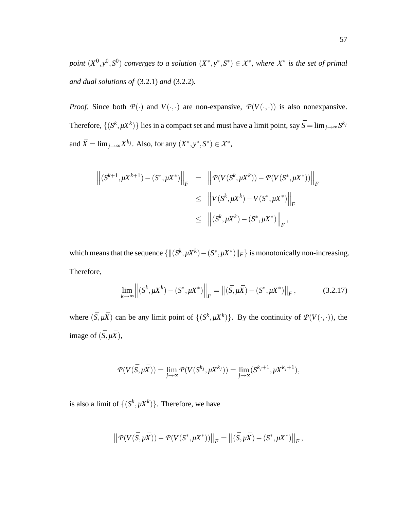$point (X^0, y^0, S^0)$  *converges to a solution*  $(X^*, y^*, S^*) \in X^*$ , *where*  $X^*$  *is the set of primal and dual solutions of* (3.2.1) *and* (3.2.2)*.*

*Proof.* Since both  $\mathcal{P}(\cdot)$  and  $V(\cdot,\cdot)$  are non-expansive,  $\mathcal{P}(V(\cdot,\cdot))$  is also nonexpansive. Therefore,  $\{(S^k, \mu X^k)\}$  lies in a compact set and must have a limit point, say  $\bar{S} = \lim_{j\to\infty} S^{k_j}$ and  $\bar{X} = \lim_{j \to \infty} X^{k_j}$ . Also, for any  $(X^*, y^*, S^*) \in \mathcal{X}^*$ ,

$$
\left\| (S^{k+1}, \mu X^{k+1}) - (S^*, \mu X^*) \right\|_F = \left\| \mathcal{P}(V(S^k, \mu X^k)) - \mathcal{P}(V(S^*, \mu X^*)) \right\|_F
$$
  
\n
$$
\leq \left\| V(S^k, \mu X^k) - V(S^*, \mu X^*) \right\|_F
$$
  
\n
$$
\leq \left\| (S^k, \mu X^k) - (S^*, \mu X^*) \right\|_F,
$$

which means that the sequence  $\{ \| (S^k, \mu X^k) - (S^*, \mu X^*) \|_F \}$  is monotonically non-increasing. Therefore,

$$
\lim_{k \to \infty} \left\| (S^k, \mu X^k) - (S^*, \mu X^*) \right\|_F = \left\| (\bar{S}, \mu \bar{X}) - (S^*, \mu X^*) \right\|_F, \tag{3.2.17}
$$

where  $(\bar{S}, \mu \bar{X})$  can be any limit point of  $\{(S^k, \mu X^k)\}$ . By the continuity of  $\mathcal{P}(V(\cdot, \cdot))$ , the image of  $(\bar{S}, \mu \bar{X})$ ,

$$
\mathcal{P}(V(\bar{S}, \mu \bar{X})) = \lim_{j \to \infty} \mathcal{P}(V(S^{k_j}, \mu X^{k_j})) = \lim_{j \to \infty} (S^{k_j+1}, \mu X^{k_j+1}),
$$

is also a limit of  $\{(S^k, \mu X^k)\}$ . Therefore, we have

$$
\left\| \mathcal{P}(V(\bar{S}, \mu \bar{X})) - \mathcal{P}(V(S^*, \mu X^*)) \right\|_F = \left\| (\bar{S}, \mu \bar{X}) - (S^*, \mu X^*) \right\|_F,
$$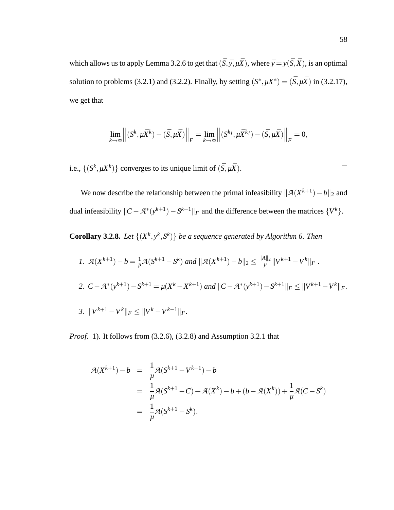which allows us to apply Lemma 3.2.6 to get that  $(\bar{S}, \bar{y}, \mu \bar{X})$ , where  $\bar{y} = y(\bar{S}, \bar{X})$ , is an optimal solution to problems (3.2.1) and (3.2.2). Finally, by setting  $(S^*, \mu X^*) = (\bar{S}, \mu \bar{X})$  in (3.2.17), we get that

$$
\lim_{k\to\infty}\left\|\left(S^k,\mu\bar{X}^k\right)-\left(\bar{S},\mu\bar{X}\right)\right\|_F=\lim_{k\to\infty}\left\|\left(S^{k_j},\mu\bar{X}^{k_j}\right)-\left(\bar{S},\mu\bar{X}\right)\right\|_F=0,
$$

i.e.,  $\{(S^k, \mu X^k)\}$  converges to its unique limit of  $(\bar{S}, \mu \bar{X})$ .

We now describe the relationship between the primal infeasibility  $\|\mathcal{A}(X^{k+1}) - b\|_2$  and dual infeasibility  $||C - \mathcal{A}^*(y^{k+1}) - S^{k+1}||_F$  and the difference between the matrices  $\{V^k\}$ .

**Corollary 3.2.8.** Let  $\{(X^k, y^k, S^k)\}$  be a sequence generated by Algorithm 6. Then

\n- 1. 
$$
\mathcal{A}(X^{k+1}) - b = \frac{1}{\mu} \mathcal{A}(S^{k+1} - S^k)
$$
 and  $\|\mathcal{A}(X^{k+1}) - b\|_2 \leq \frac{\|A\|_2}{\mu} \|V^{k+1} - V^k\|_F$ .
\n- 2.  $C - \mathcal{A}^*(y^{k+1}) - S^{k+1} = \mu(X^k - X^{k+1})$  and  $\|C - \mathcal{A}^*(y^{k+1}) - S^{k+1}\|_F \leq \|V^{k+1} - V^k\|_F$ .
\n- 3.  $\|V^{k+1} - V^k\|_F \leq \|V^k - V^{k-1}\|_F$ .
\n

*Proof.* 1). It follows from (3.2.6), (3.2.8) and Assumption 3.2.1 that

$$
\mathcal{A}(X^{k+1}) - b = \frac{1}{\mu} \mathcal{A}(S^{k+1} - V^{k+1}) - b
$$
  
= 
$$
\frac{1}{\mu} \mathcal{A}(S^{k+1} - C) + \mathcal{A}(X^k) - b + (b - \mathcal{A}(X^k)) + \frac{1}{\mu} \mathcal{A}(C - S^k)
$$
  
= 
$$
\frac{1}{\mu} \mathcal{A}(S^{k+1} - S^k).
$$

 $\Box$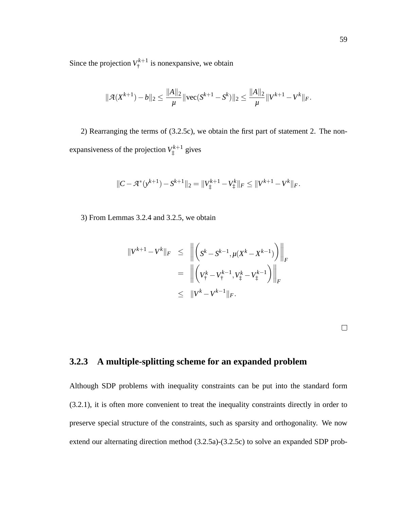Since the projection  $V^{k+1}_+$  $t_i^{k+1}$  is nonexpansive, we obtain

$$
\|\mathcal{A}(X^{k+1}) - b\|_2 \le \frac{\|A\|_2}{\mu} \|\text{vec}(S^{k+1} - S^k)\|_2 \le \frac{\|A\|_2}{\mu} \|V^{k+1} - V^k\|_F.
$$

2) Rearranging the terms of (3.2.5c), we obtain the first part of statement 2. The nonexpansiveness of the projection  $V^{k+1}_*$  $i^{k+1}$  gives

$$
||C - \mathcal{A}^*(y^{k+1}) - S^{k+1}||_2 = ||V_{\ddagger}^{k+1} - V_{\ddagger}^k||_F \le ||V^{k+1} - V^k||_F.
$$

3) From Lemmas 3.2.4 and 3.2.5, we obtain

$$
||V^{k+1} - V^k||_F \le ||\left(S^k - S^{k-1}, \mu(X^k - X^{k-1})\right)||_F
$$
  
=  $||\left(V^k_{\dagger} - V^{k-1}_{\dagger}, V^k_{\dagger} - V^{k-1}_{\dagger}\right)||_F$   
 $\le ||V^k - V^{k-1}||_F.$ 

#### **3.2.3 A multiple-splitting scheme for an expanded problem**

Although SDP problems with inequality constraints can be put into the standard form (3.2.1), it is often more convenient to treat the inequality constraints directly in order to preserve special structure of the constraints, such as sparsity and orthogonality. We now extend our alternating direction method (3.2.5a)-(3.2.5c) to solve an expanded SDP prob-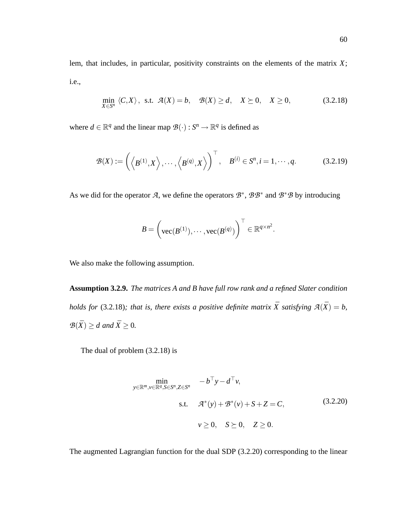lem, that includes, in particular, positivity constraints on the elements of the matrix *X*; i.e.,

$$
\min_{X \in S^n} \langle C, X \rangle, \text{ s.t. } \mathcal{A}(X) = b, \quad \mathcal{B}(X) \ge d, \quad X \ge 0, \quad X \ge 0,
$$
\n(3.2.18)

where  $d \in \mathbb{R}^q$  and the linear map  $\mathcal{B}(\cdot) : S^n \to \mathbb{R}^q$  is defined as

$$
\mathcal{B}(X) := \left( \left\langle B^{(1)}, X \right\rangle, \cdots, \left\langle B^{(q)}, X \right\rangle \right)^{\top}, \quad B^{(i)} \in S^n, i = 1, \cdots, q. \tag{3.2.19}
$$

As we did for the operator *A*, we define the operators  $\mathcal{B}^*$ ,  $\mathcal{B}\mathcal{B}^*$  and  $\mathcal{B}^*\mathcal{B}$  by introducing

$$
B = \left(\text{vec}(B^{(1)}), \cdots, \text{vec}(B^{(q)})\right)^{\top} \in \mathbb{R}^{q \times n^2}.
$$

We also make the following assumption.

**Assumption 3.2.9.** *The matrices A and B have full row rank and a refined Slater condition holds for* (3.2.18)*; that is, there exists a positive definite matrix*  $\bar{X}$  *satisfying*  $A(\bar{X}) = b$ *,*  $B(\bar{X}) \geq d$  *and*  $\bar{X} \geq 0$ *.* 

The dual of problem (3.2.18) is

$$
\min_{y \in \mathbb{R}^m, v \in \mathbb{R}^q, S \in S^n, Z \in S^n} \quad -b^\top y - d^\top v,
$$
\n
$$
\text{s.t.} \quad \mathcal{A}^*(y) + \mathcal{B}^*(v) + S + Z = C,
$$
\n
$$
v \ge 0, \quad S \succeq 0, \quad Z \ge 0.
$$
\n
$$
(3.2.20)
$$

The augmented Lagrangian function for the dual SDP (3.2.20) corresponding to the linear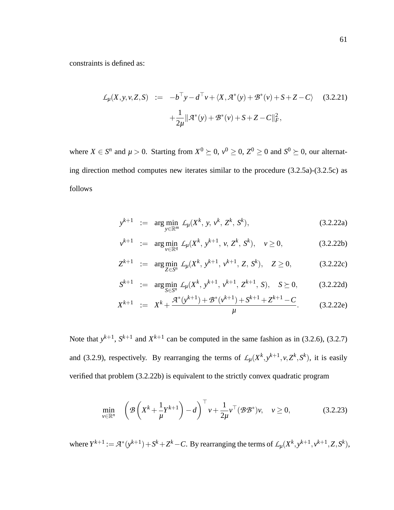constraints is defined as:

$$
\mathcal{L}_{\mu}(X, y, v, Z, S) := -b^{\top}y - d^{\top}v + \langle X, \mathcal{A}^*(y) + \mathcal{B}^*(v) + S + Z - C \rangle \quad (3.2.21)
$$

$$
+ \frac{1}{2\mu} ||\mathcal{A}^*(y) + \mathcal{B}^*(v) + S + Z - C||_F^2,
$$

where  $X \in S^n$  and  $\mu > 0$ . Starting from  $X^0 \succeq 0$ ,  $v^0 \ge 0$ ,  $Z^0 \ge 0$  and  $S^0 \succeq 0$ , our alternating direction method computes new iterates similar to the procedure (3.2.5a)-(3.2.5c) as follows

$$
y^{k+1} := \arg\min_{y \in \mathbb{R}^m} \mathcal{L}_{\mu}(X^k, y, v^k, Z^k, S^k), \tag{3.2.22a}
$$

$$
v^{k+1} := \arg\min_{v \in \mathbb{R}^q} \mathcal{L}_{\mu}(X^k, y^{k+1}, v, Z^k, S^k), \quad v \ge 0,
$$
 (3.2.22b)

$$
Z^{k+1} := \arg\min_{Z \in S^n} \mathcal{L}_{\mu}(X^k, y^{k+1}, v^{k+1}, Z, S^k), \quad Z \ge 0,
$$
 (3.2.22c)

$$
S^{k+1} := \arg\min_{S \in S^n} \mathcal{L}_{\mu}(X^k, y^{k+1}, v^{k+1}, Z^{k+1}, S), \quad S \succeq 0, \quad (3.2.22d)
$$

$$
X^{k+1} := X^k + \frac{\mathcal{A}^*(y^{k+1}) + \mathcal{B}^*(y^{k+1}) + S^{k+1} + Z^{k+1} - C}{\mu}.
$$
 (3.2.22e)

Note that  $y^{k+1}$ ,  $S^{k+1}$  and  $X^{k+1}$  can be computed in the same fashion as in (3.2.6), (3.2.7) and (3.2.9), respectively. By rearranging the terms of  $\mathcal{L}_{\mu}(X^k, y^{k+1}, v, Z^k, S^k)$ , it is easily verified that problem (3.2.22b) is equivalent to the strictly convex quadratic program

$$
\min_{\nu \in \mathbb{R}^n} \quad \left( \mathcal{B} \left( X^k + \frac{1}{\mu} Y^{k+1} \right) - d \right)^\top \nu + \frac{1}{2\mu} \nu^\top (\mathcal{B} \mathcal{B}^*) \nu, \quad \nu \ge 0, \tag{3.2.23}
$$

where  $Y^{k+1} := \mathcal{A}^*(y^{k+1}) + S^k + Z^k - C$ . By rearranging the terms of  $\mathcal{L}_{\mu}(X^k, y^{k+1}, v^{k+1}, Z, S^k)$ ,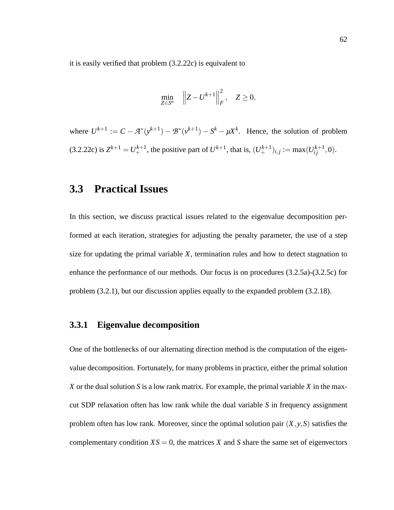it is easily verified that problem (3.2.22c) is equivalent to

$$
\min_{Z \in S^n} \quad \left\| Z - U^{k+1} \right\|_F^2, \quad Z \ge 0,
$$

where  $U^{k+1} := C - \mathcal{A}^*(y^{k+1}) - \mathcal{B}^*(y^{k+1}) - S^k - \mu X^k$ . Hence, the solution of problem  $(3.2.22c)$  is  $Z^{k+1} = U^{k+1}$ , the positive part of  $U^{k+1}$ , that is,  $(U^{k+1}_+)_{i,j} := \max(U^{k+1}_{ij}, 0)$ .

## **3.3 Practical Issues**

In this section, we discuss practical issues related to the eigenvalue decomposition performed at each iteration, strategies for adjusting the penalty parameter, the use of a step size for updating the primal variable *X*, termination rules and how to detect stagnation to enhance the performance of our methods. Our focus is on procedures (3.2.5a)-(3.2.5c) for problem (3.2.1), but our discussion applies equally to the expanded problem (3.2.18).

#### **3.3.1 Eigenvalue decomposition**

One of the bottlenecks of our alternating direction method is the computation of the eigenvalue decomposition. Fortunately, for many problems in practice, either the primal solution *X* or the dual solution *S* is a low rank matrix. For example, the primal variable *X* in the maxcut SDP relaxation often has low rank while the dual variable *S* in frequency assignment problem often has low rank. Moreover, since the optimal solution pair  $(X, y, S)$  satisfies the complementary condition  $XS = 0$ , the matrices X and S share the same set of eigenvectors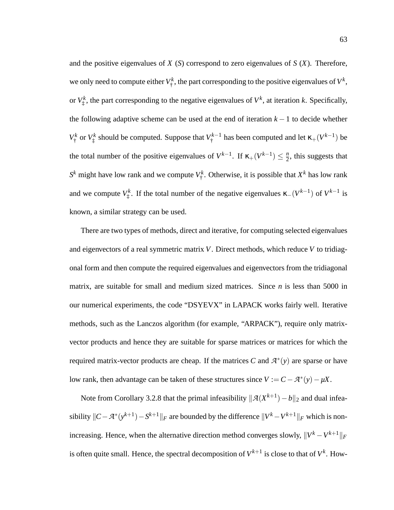and the positive eigenvalues of *X* (*S*) correspond to zero eigenvalues of *S* (*X*). Therefore, we only need to compute either  $V^k$  $V^k$ , the part corresponding to the positive eigenvalues of  $V^k$ , or  $V^k_\dagger$  $x^k$ , the part corresponding to the negative eigenvalues of  $V^k$ , at iteration *k*. Specifically, the following adaptive scheme can be used at the end of iteration  $k - 1$  to decide whether  $V^k_+$  $V^k_\dagger$  or  $V^k_\ddagger$  $Y^k_\ddagger$  should be computed. Suppose that  $V^{k-1}_\dagger$  has been computed and let  $\kappa_+(V^{k-1})$  be the total number of the positive eigenvalues of  $V^{k-1}$ . If  $\kappa_+(V^{k-1}) \leq \frac{n}{2}$  $\frac{n}{2}$ , this suggests that  $S^k$  might have low rank and we compute  $V^k$  $k_{\dagger}^{k}$ . Otherwise, it is possible that  $X^{k}$  has low rank and we compute *V k* <sup>*k*</sup>. If the total number of the negative eigenvalues  $\kappa_-(V^{k-1})$  of  $V^{k-1}$  is known, a similar strategy can be used.

There are two types of methods, direct and iterative, for computing selected eigenvalues and eigenvectors of a real symmetric matrix *V*. Direct methods, which reduce *V* to tridiagonal form and then compute the required eigenvalues and eigenvectors from the tridiagonal matrix, are suitable for small and medium sized matrices. Since *n* is less than 5000 in our numerical experiments, the code "DSYEVX" in LAPACK works fairly well. Iterative methods, such as the Lanczos algorithm (for example, "ARPACK"), require only matrixvector products and hence they are suitable for sparse matrices or matrices for which the required matrix-vector products are cheap. If the matrices  $C$  and  $A^*(y)$  are sparse or have low rank, then advantage can be taken of these structures since  $V := C - \mathcal{A}^*(y) - \mu X$ .

Note from Corollary 3.2.8 that the primal infeasibility  $\|\mathcal{A}(X^{k+1}) - b\|_2$  and dual infeasibility  $\|C - \mathcal{A}^*(y^{k+1}) - S^{k+1}\|_F$  are bounded by the difference  $\|V^k - V^{k+1}\|_F$  which is nonincreasing. Hence, when the alternative direction method converges slowly,  $\|V^k - V^{k+1}\|_F$ is often quite small. Hence, the spectral decomposition of  $V^{k+1}$  is close to that of  $V^k$ . How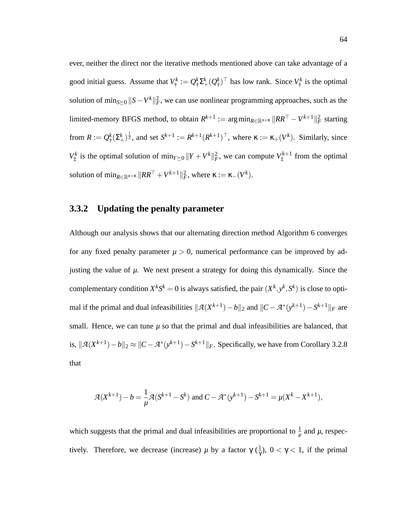ever, neither the direct nor the iterative methods mentioned above can take advantage of a good initial guess. Assume that *V k*  $q^k_\dagger := Q^k_\dagger$  $_{\dagger}^{k}\Sigma_{+}^{k}(Q_{\dagger}^{k}% )=0$  $(\frac{k}{\dagger})^{\top}$  has low rank. Since  $V_{\dagger}^{k}$  $T^k$  is the optimal solution of  $\min_{S\succeq 0} ||S-V^k||_F^2$ , we can use nonlinear programming approaches, such as the limited-memory BFGS method, to obtain  $R^{k+1}$  :=  $\arg\min_{R \in \mathbb{R}^{n \times \kappa}} \|RR^{\top} - V^{k+1} \|_{F}^{2}$  starting from  $R:=Q^k_\pm$  $f^k_{\dagger}(\Sigma^k_+)^\frac{1}{2}$ , and set  $S^{k+1} := R^{k+1}(R^{k+1})^\top$ , where  $\kappa := \kappa_+(V^k)$ . Similarly, since  $V^k_\dagger$  $V_{\ddagger}^{k}$  is the optimal solution of  $\min_{Y\succeq 0} ||Y + V^{k}||_{F}^{2}$ , we can compute  $V_{\ddagger}^{k+1}$  $t_i^{k+1}$  from the optimal solution of  $\min_{R \in \mathbb{R}^{n \times \kappa}} \|RR^{\top} + V^{k+1} \|_F^2$ , where  $\kappa := \kappa_-(V^k)$ .

#### **3.3.2 Updating the penalty parameter**

Although our analysis shows that our alternating direction method Algorithm 6 converges for any fixed penalty parameter  $\mu > 0$ , numerical performance can be improved by adjusting the value of *µ*. We next present a strategy for doing this dynamically. Since the complementary condition  $X^k S^k = 0$  is always satisfied, the pair  $(X^k, y^k, S^k)$  is close to optimal if the primal and dual infeasibilities  $\|\mathcal{A}(X^{k+1}) - b\|_2$  and  $\|C - \mathcal{A}^*(y^{k+1}) - S^{k+1}\|_F$  are small. Hence, we can tune  $\mu$  so that the primal and dual infeasibilities are balanced, that is,  $||A(X^{k+1}) – b||_2 ≈ ||C – A^*(y^{k+1}) – S^{k+1}||_F$ . Specifically, we have from Corollary 3.2.8 that

$$
\mathcal{A}(X^{k+1}) - b = \frac{1}{\mu}\mathcal{A}(S^{k+1} - S^k) \text{ and } C - \mathcal{A}^*(y^{k+1}) - S^{k+1} = \mu(X^k - X^{k+1}),
$$

which suggests that the primal and dual infeasibilities are proportional to  $\frac{1}{\mu}$  and  $\mu$ , respectively. Therefore, we decrease (increase)  $\mu$  by a factor γ ( $\frac{1}{\gamma}$  $\frac{1}{\gamma}$ ),  $0 < \gamma < 1$ , if the primal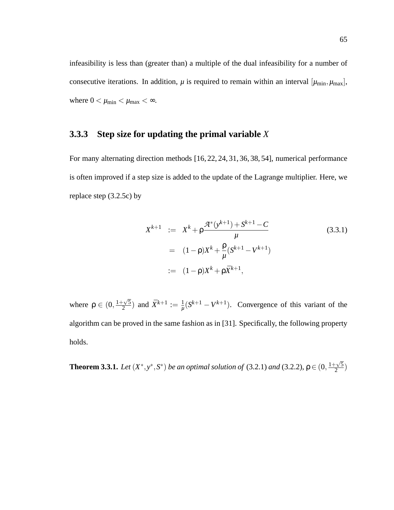infeasibility is less than (greater than) a multiple of the dual infeasibility for a number of consecutive iterations. In addition,  $\mu$  is required to remain within an interval  $[\mu_{min}, \mu_{max}]$ , where  $0 < \mu_{\min} < \mu_{\max} < \infty$ .

#### **3.3.3 Step size for updating the primal variable** *X*

For many alternating direction methods [16, 22, 24, 31, 36, 38, 54], numerical performance is often improved if a step size is added to the update of the Lagrange multiplier. Here, we replace step (3.2.5c) by

$$
X^{k+1} := X^{k} + \rho \frac{\mathcal{A}^{*}(y^{k+1}) + S^{k+1} - C}{\mu}
$$
\n
$$
= (1 - \rho)X^{k} + \frac{\rho}{\mu}(S^{k+1} - V^{k+1})
$$
\n
$$
:= (1 - \rho)X^{k} + \rho \bar{X}^{k+1},
$$
\n(3.3.1)

where  $\rho \in (0, \frac{1+\sqrt{5}}{2})$  $\frac{1}{2}(\frac{\sqrt{5}}{2})$  and  $\bar{X}^{k+1} := \frac{1}{\mu}$  $\frac{1}{\mu}(S^{k+1} - V^{k+1})$ . Convergence of this variant of the algorithm can be proved in the same fashion as in [31]. Specifically, the following property holds.

**Theorem 3.3.1.** *Let*  $(X^*, y^*, S^*)$  *be an optimal solution of* (3.2.1) *and* (3.2.2),  $\rho \in (0, \frac{1+\sqrt{5}}{2})$  $\frac{2}{2}^{2}$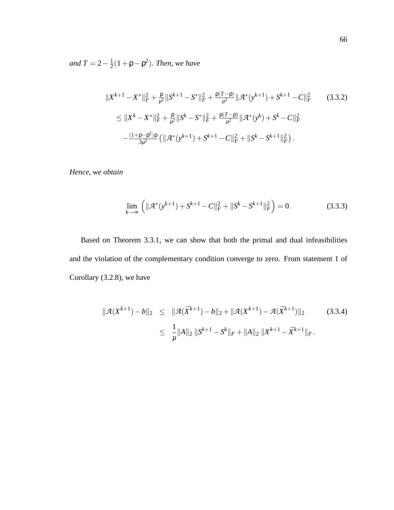*and*  $T = 2 - \frac{1}{2}$  $\frac{1}{2}(1+\rho-\rho^2)$ *. Then, we have* 

$$
||X^{k+1} - X^*||_F^2 + \frac{\rho}{\mu^2} ||S^{k+1} - S^*||_F^2 + \frac{\rho(T - \rho)}{\mu^2} ||\mathcal{A}^*(y^{k+1}) + S^{k+1} - C||_F^2 \qquad (3.3.2)
$$
  
\n
$$
\leq ||X^k - X^*||_F^2 + \frac{\rho}{\mu^2} ||S^k - S^*||_F^2 + \frac{\rho(T - \rho)}{\mu^2} ||\mathcal{A}^*(y^k) + S^k - C||_F^2
$$
  
\n
$$
-\frac{(1 + \rho - \rho^2)\rho}{3\mu^2} (||\mathcal{A}^*(y^{k+1}) + S^{k+1} - C||_F^2 + ||S^k - S^{k+1}||_F^2).
$$

*Hence, we obtain*

$$
\lim_{k \to \infty} \left( \|\mathcal{A}^*(y^{k+1}) + S^{k+1} - C\|_F^2 + \|S^k - S^{k+1}\|_F^2 \right) = 0.
$$
\n(3.3.3)

Based on Theorem 3.3.1, we can show that both the primal and dual infeasibilities and the violation of the complementary condition converge to zero. From statement 1 of Corollary (3.2.8), we have

$$
\|\mathcal{A}(X^{k+1}) - b\|_2 \leq \|\mathcal{A}(\bar{X}^{k+1}) - b\|_2 + \|\mathcal{A}(X^{k+1}) - \mathcal{A}(\bar{X}^{k+1})\|_2
$$
(3.3.4)  

$$
\leq \frac{1}{\mu} \|A\|_2 \|S^{k+1} - S^k\|_F + \|A\|_2 \|X^{k+1} - \bar{X}^{k+1}\|_F.
$$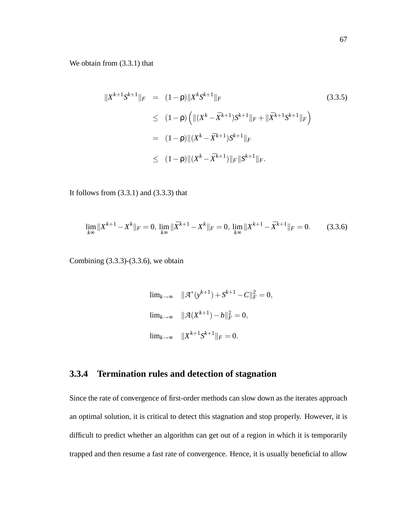We obtain from (3.3.1) that

$$
||X^{k+1}S^{k+1}||_F = (1 - \rho)||X^kS^{k+1}||_F
$$
\n
$$
\leq (1 - \rho) \left( ||(X^k - \bar{X}^{k+1})S^{k+1}||_F + ||\bar{X}^{k+1}S^{k+1}||_F \right)
$$
\n
$$
= (1 - \rho)||(X^k - \bar{X}^{k+1})S^{k+1}||_F
$$
\n
$$
\leq (1 - \rho)||(X^k - \bar{X}^{k+1})||_F||S^{k+1}||_F.
$$
\n(3.3.5)

It follows from  $(3.3.1)$  and  $(3.3.3)$  that

$$
\lim_{k \infty} \|X^{k+1} - X^k\|_F = 0, \ \lim_{k \infty} \|\bar{X}^{k+1} - X^k\|_F = 0, \ \lim_{k \infty} \|X^{k+1} - \bar{X}^{k+1}\|_F = 0. \tag{3.3.6}
$$

Combining (3.3.3)-(3.3.6), we obtain

$$
\lim_{k \to \infty} \| \mathcal{A}^*(y^{k+1}) + S^{k+1} - C \|^2 = 0,
$$
  

$$
\lim_{k \to \infty} \| \mathcal{A}(X^{k+1}) - b \|^2 = 0,
$$
  

$$
\lim_{k \to \infty} \| X^{k+1} S^{k+1} \|_F = 0.
$$

#### **3.3.4 Termination rules and detection of stagnation**

Since the rate of convergence of first-order methods can slow down as the iterates approach an optimal solution, it is critical to detect this stagnation and stop properly. However, it is difficult to predict whether an algorithm can get out of a region in which it is temporarily trapped and then resume a fast rate of convergence. Hence, it is usually beneficial to allow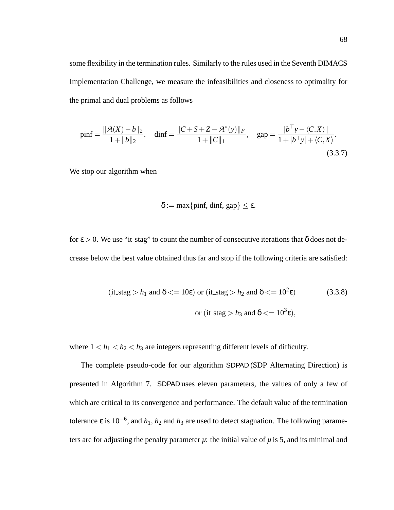some flexibility in the termination rules. Similarly to the rules used in the Seventh DIMACS Implementation Challenge, we measure the infeasibilities and closeness to optimality for the primal and dual problems as follows

$$
\text{pinf} = \frac{\|\mathcal{A}(X) - b\|_2}{1 + \|b\|_2}, \quad \text{dinf} = \frac{\|C + S + Z - \mathcal{A}^*(y)\|_F}{1 + \|C\|_1}, \quad \text{gap} = \frac{\|b^\top y - \langle C, X \rangle\|}{1 + |b^\top y| + \langle C, X \rangle}.
$$
\n(3.3.7)

We stop our algorithm when

$$
\delta := \max\{\text{pinf, } \text{dimf, } \text{gap}\} \leq \epsilon,
$$

for  $\epsilon > 0$ . We use "it\_stag" to count the number of consecutive iterations that  $\delta$  does not decrease below the best value obtained thus far and stop if the following criteria are satisfied:

$$
(\text{it\_stag} > h_1 \text{ and } \delta <= 10\epsilon) \text{ or } (\text{it\_stag} > h_2 \text{ and } \delta <= 10^2\epsilon) \tag{3.3.8}
$$
\n
$$
\text{or } (\text{it\_stag} > h_3 \text{ and } \delta <= 10^3\epsilon),
$$

where  $1 < h_1 < h_2 < h_3$  are integers representing different levels of difficulty.

The complete pseudo-code for our algorithm SDPAD (SDP Alternating Direction) is presented in Algorithm 7. SDPAD uses eleven parameters, the values of only a few of which are critical to its convergence and performance. The default value of the termination tolerance  $\varepsilon$  is 10<sup>-6</sup>, and  $h_1$ ,  $h_2$  and  $h_3$  are used to detect stagnation. The following parameters are for adjusting the penalty parameter  $\mu$ : the initial value of  $\mu$  is 5, and its minimal and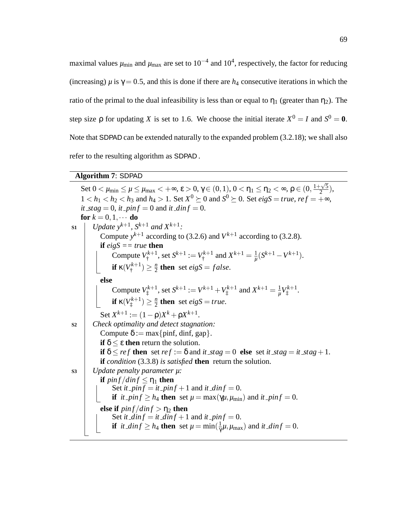maximal values  $\mu_{\rm min}$  and  $\mu_{\rm max}$  are set to  $10^{-4}$  and  $10^{4}$ , respectively, the factor for reducing (increasing)  $\mu$  is  $\gamma = 0.5$ , and this is done if there are  $h_4$  consecutive iterations in which the ratio of the primal to the dual infeasibility is less than or equal to  $\eta_1$  (greater than  $\eta_2$ ). The step size  $\rho$  for updating *X* is set to 1.6. We choose the initial iterate  $X^0 = I$  and  $S^0 = 0$ . Note that SDPAD can be extended naturally to the expanded problem (3.2.18); we shall also refer to the resulting algorithm as SDPAD .

#### **Algorithm 7**: SDPAD

Set  $0 < \mu_{\min} \le \mu \le \mu_{\max} < +\infty$ ,  $\varepsilon > 0$ ,  $\gamma \in (0, 1)$ ,  $0 < \eta_1 \le \eta_2 < \infty$ ,  $\rho \in (0, \frac{1+\sqrt{5}}{2})$  $\frac{1}{2}$ ),  $1 < h_1 < h_2 < h_3$  and  $h_4 > 1$ . Set  $X^0 \succeq 0$  and  $S^0 \succeq 0$ . Set *eigS* = *true*, *ref* =  $\frac{1}{2} \infty$ ,  $it\_stag = 0$ ,  $it\_pin f = 0$  and  $it\_din f = 0$ . **for**  $k = 0, 1, \cdots$  **do**  $\mathbf{S1}$  | *Update*  $y^{k+1}$ *,*  $S^{k+1}$  *and*  $X^{k+1}$ *:* Compute  $y^{k+1}$  according to (3.2.6) and  $V^{k+1}$  according to (3.2.8). **if** *eigS == true* **then** Compute  $V^{k+1}_*$  $S^{k+1}_{\dagger}$ , set  $S^{k+1} := V^{k+1}_{\dagger}$  $X^{k+1}$  and  $X^{k+1} = \frac{1}{\mu}$  $\frac{1}{\mu}(S^{k+1}-V^{k+1}).$ **if**  $\kappa(V^{k+1}_{\dagger}$  $\binom{k+1}{1} \geq \frac{n}{2}$  $\frac{n}{2}$  **then** set *eigS* = *false*. **else** Compute  $V^{k+1}_*$  $J_{\ddagger}^{k+1}$ , set  $S^{k+1} := V^{k+1} + V_{\ddagger}^{k+1}$  $X^{k+1}_{\ddag}$  and  $X^{k+1} = \frac{1}{\mu}$  $\frac{1}{\mu}V_{\ddagger}^{k+1}$ <sup>rk+1</sup>.<br>‡ **if** κ $(V^{k+1}_)$  $\binom{k+1}{1} \geq \frac{n}{2}$  $\frac{n}{2}$  then set *eigS* = *true*. Set  $X^{k+1} := (1 - \rho)X^k + \rho X^{k+1}$ . **S2** *Check optimality and detect stagnation:* Compute  $\delta := \max\{\text{pinf, diff, gap}\}.$ **if**  $\delta$  < ε **then** return the solution. **if**  $\delta \leq ref$  **then** set  $ref := \delta$  and *it*  $stag = 0$  **else** set *it*  $stag = it\_stag + 1$ . **if** *condition* (3.3.8) *is satisfied* **then** return the solution. **S3** *Update penalty parameter µ:* **if**  $\frac{pinf}{dinf} \leq \eta_1$  **then** Set *it*  $\_pin f = it\_pin f + 1$  and *it*  $\_din f = 0$ . **if** *it pinf*  $\geq h_4$  **then** set  $\mu = \max(\gamma \mu, \mu_{\min})$  and *it pinf* = 0. **else if**  $pinf/dinf > \eta_2$  **then** Set *it*  $\Delta \text{inf} = \text{if } \Delta \text{inf} + 1$  and *it*  $\Delta \text{inf} = 0$ . **if** *it dinf*  $\geq h_4$  **then** set  $\mu = \min(\frac{1}{\gamma})$  $\frac{1}{\gamma}\mu, \mu_{\text{max}})$  and *it dinf* = 0.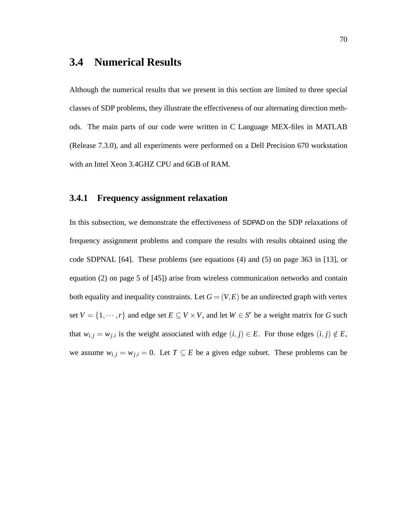## **3.4 Numerical Results**

Although the numerical results that we present in this section are limited to three special classes of SDP problems, they illustrate the effectiveness of our alternating direction methods. The main parts of our code were written in C Language MEX-files in MATLAB (Release 7.3.0), and all experiments were performed on a Dell Precision 670 workstation with an Intel Xeon 3.4GHZ CPU and 6GB of RAM.

#### **3.4.1 Frequency assignment relaxation**

In this subsection, we demonstrate the effectiveness of SDPAD on the SDP relaxations of frequency assignment problems and compare the results with results obtained using the code SDPNAL [64]. These problems (see equations (4) and (5) on page 363 in [13], or equation (2) on page 5 of [45]) arise from wireless communication networks and contain both equality and inequality constraints. Let  $G = (V, E)$  be an undirected graph with vertex set  $V = \{1, \dots, r\}$  and edge set  $E \subseteq V \times V$ , and let  $W \in S^r$  be a weight matrix for *G* such that  $w_{i,j} = w_{j,i}$  is the weight associated with edge  $(i, j) \in E$ . For those edges  $(i, j) \notin E$ , we assume  $w_{i,j} = w_{j,i} = 0$ . Let  $T \subseteq E$  be a given edge subset. These problems can be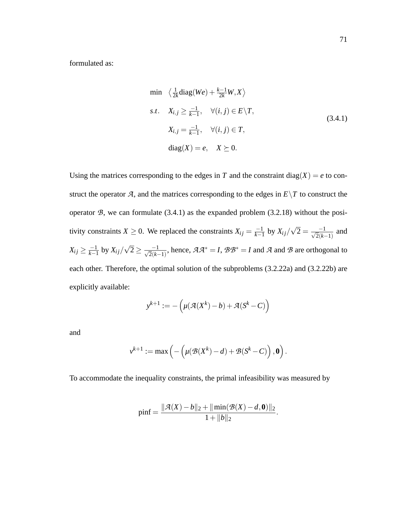formulated as:

$$
\min \quad \left\langle \frac{1}{2k} \text{diag}(We) + \frac{k-1}{2k} W, X \right\rangle
$$
\n
$$
s.t. \quad X_{i,j} \ge \frac{-1}{k-1}, \quad \forall (i,j) \in E \setminus T,
$$
\n
$$
X_{i,j} = \frac{-1}{k-1}, \quad \forall (i,j) \in T,
$$
\n
$$
\text{diag}(X) = e, \quad X \succeq 0.
$$
\n
$$
(3.4.1)
$$

Using the matrices corresponding to the edges in *T* and the constraint diag(*X*) = *e* to construct the operator  $\mathcal{A}$ , and the matrices corresponding to the edges in  $E\setminus T$  to construct the operator  $\mathcal{B}$ , we can formulate (3.4.1) as the expanded problem (3.2.18) without the positivity constraints *X*  $\geq$  0. We replaced the constraints *X<sub>ij</sub>* =  $\frac{-1}{k-1}$  $\frac{-1}{k-1}$  by  $X_{ij}/\sqrt{2} = \frac{-1}{\sqrt{2}(k-1)}$ and  $X_{ij} \geq \frac{-1}{k-1}$  $\frac{-1}{k-1}$  by  $X_{ij}/\sqrt{2} \geq \frac{-1}{\sqrt{2}(k-1)}$ , hence,  $A A^* = I$ ,  $B B^* = I$  and  $A$  and  $B$  are orthogonal to each other. Therefore, the optimal solution of the subproblems (3.2.22a) and (3.2.22b) are explicitly available:

$$
y^{k+1} := -\left(\mu(\mathcal{A}(X^k) - b) + \mathcal{A}(S^k - C)\right)
$$

and

$$
v^{k+1}:=\max\left(-\left(\mu(\mathcal{B}(X^k)-d)+\mathcal{B}(S^k-C)\right),\mathbf{0}\right).
$$

To accommodate the inequality constraints, the primal infeasibility was measured by

$$
pinf = \frac{\|\mathcal{A}(X) - b\|_2 + \|\min(\mathcal{B}(X) - d, \mathbf{0})\|_2}{1 + \|b\|_2}
$$

.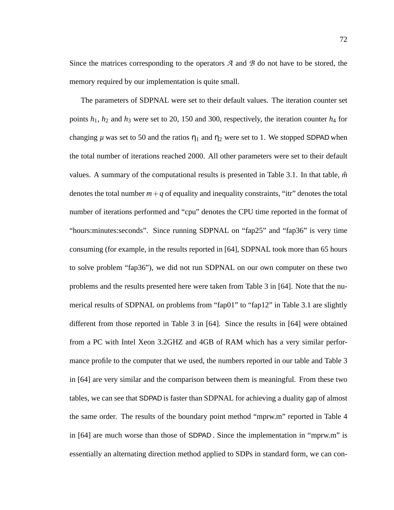Since the matrices corresponding to the operators *A* and *B* do not have to be stored, the memory required by our implementation is quite small.

The parameters of SDPNAL were set to their default values. The iteration counter set points *h*1, *h*<sup>2</sup> and *h*<sup>3</sup> were set to 20, 150 and 300, respectively, the iteration counter *h*<sup>4</sup> for changing  $\mu$  was set to 50 and the ratios  $\eta_1$  and  $\eta_2$  were set to 1. We stopped SDPAD when the total number of iterations reached 2000. All other parameters were set to their default values. A summary of the computational results is presented in Table 3.1. In that table,  $\hat{m}$ denotes the total number  $m + q$  of equality and inequality constraints, "itr" denotes the total number of iterations performed and "cpu" denotes the CPU time reported in the format of "hours:minutes:seconds". Since running SDPNAL on "fap25" and "fap36" is very time consuming (for example, in the results reported in [64], SDPNAL took more than 65 hours to solve problem "fap36"), we did not run SDPNAL on our own computer on these two problems and the results presented here were taken from Table 3 in [64]. Note that the numerical results of SDPNAL on problems from "fap01" to "fap12" in Table 3.1 are slightly different from those reported in Table 3 in [64]. Since the results in [64] were obtained from a PC with Intel Xeon 3.2GHZ and 4GB of RAM which has a very similar performance profile to the computer that we used, the numbers reported in our table and Table 3 in [64] are very similar and the comparison between them is meaningful. From these two tables, we can see that SDPAD is faster than SDPNAL for achieving a duality gap of almost the same order. The results of the boundary point method "mprw.m" reported in Table 4 in [64] are much worse than those of SDPAD . Since the implementation in "mprw.m" is essentially an alternating direction method applied to SDPs in standard form, we can con-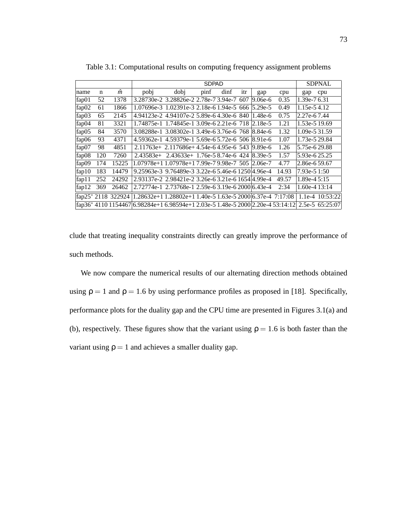|       |     |                   |                                                                                 |                                                        | <b>SDPAD</b>  |      |     |         |       |               |                 |
|-------|-----|-------------------|---------------------------------------------------------------------------------|--------------------------------------------------------|---------------|------|-----|---------|-------|---------------|-----------------|
|       |     |                   |                                                                                 |                                                        | <b>SDPNAL</b> |      |     |         |       |               |                 |
| name  | n   | m                 | pobj                                                                            | dobj                                                   | pinf          | dinf | itr | gap     | cpu   | gap           | cpu             |
| fap01 | 52  | 1378              |                                                                                 | 3.28730e-2 3.28826e-2 2.78e-7 3.94e-7                  |               |      | 607 | 9.06е-б | 0.35  | 1.39e-76.31   |                 |
| fap02 | 61  | 1866              |                                                                                 | 1.07696e-3 1.02391e-3 2.18e-6 1.94e-5 666 5.29e-5      |               |      |     |         | 0.49  | 1.15e-54.12   |                 |
| fap03 | 65  | 2145              |                                                                                 | 4.94123e-2 4.94107e-2 5.89e-6 4.30e-6 840 1.48e-6      |               |      |     |         | 0.75  | 2.27e-67.44   |                 |
| fap04 | 81  | 3321              |                                                                                 | 1.74875e-1 1.74845e-1 3.09e-6 2.21e-6 718 2.18e-5      |               |      |     |         | 1.21  | 1.53e-5 19.69 |                 |
| fap05 | 84  | 3570              |                                                                                 | 3.08288e-1 3.08302e-1 3.49e-6 3.76e-6 768 8.84e-6      |               |      |     |         | 1.32  | 1.09e-5 31.59 |                 |
| fap06 | 93  | 4371              |                                                                                 | 4.59362e-1 4.59379e-1 5.69e-6 5.72e-6 506 8.91e-6      |               |      |     |         | 1.07  | 1.73e-5 29.84 |                 |
| fap07 | 98  | 4851              |                                                                                 | $2.11763e+ 2.117686e+ 4.54e-6 4.95e-6 543   9.89e-6$   |               |      |     |         | 1.26  | 5.75e-629.88  |                 |
| fap08 | 120 | 7260              |                                                                                 | $2.43583e+ 2.43633e+ 1.76e-58.74e-6$ 424 $8.39e-5$     |               |      |     |         | 1.57  | 5.93e-625.25  |                 |
| fap09 | 174 | 15225             |                                                                                 | 1.07978e+1 1.07978e+1 7.99e-7 9.98e-7 505 2.06e-7      |               |      |     |         | 4.77  | 2.86e-6 59.67 |                 |
| fap10 | 183 | 14479             |                                                                                 | 9.25963e-3 9.76489e-3 3.22e-6 5.46e-6 1250 4.96e-4     |               |      |     |         | 14.93 | 7.93e-5 1:50  |                 |
| fap11 | 252 | 24292             | 2.93137e-2 2.98421e-2 3.26e-6 3.21e-6 1654 4.99e-4                              |                                                        |               |      |     |         | 49.57 | 1.89e-4 5:15  |                 |
| fap12 | 369 | 26462             |                                                                                 | 2.72774e-1 2.73768e-1 2.59e-6 3.19e-6 2000 6.43e-4     |               |      |     |         | 2:34  | 1.60e-4 13:14 |                 |
|       |     | fap25*2118 322924 |                                                                                 | 1.28632e+11.28802e+11.40e-51.63e-52000 6.37e-4 7:17:08 |               |      |     |         |       |               | 1.1e-4 10:53:22 |
|       |     |                   | fap36* 4110 1154467 6.98284e+1 6.98594e+1 2.03e-5 1.48e-5 2000 2.20e-4 53:14:12 |                                                        |               |      |     |         |       |               | 2.5e-5 65:25:07 |

Table 3.1: Computational results on computing frequency assignment problems

clude that treating inequality constraints directly can greatly improve the performance of such methods.

We now compare the numerical results of our alternating direction methods obtained using  $\rho = 1$  and  $\rho = 1.6$  by using performance profiles as proposed in [18]. Specifically, performance plots for the duality gap and the CPU time are presented in Figures 3.1(a) and (b), respectively. These figures show that the variant using  $\rho = 1.6$  is both faster than the variant using  $\rho = 1$  and achieves a smaller duality gap.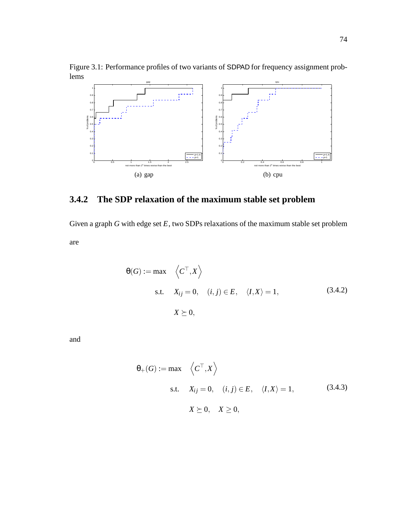Figure 3.1: Performance profiles of two variants of SDPAD for frequency assignment problems



# **3.4.2 The SDP relaxation of the maximum stable set problem**

Given a graph *G* with edge set *E*, two SDPs relaxations of the maximum stable set problem are

$$
\theta(G) := \max \left\langle C^{\top}, X \right\rangle
$$
  
s.t.  $X_{ij} = 0$ ,  $(i, j) \in E$ ,  $\langle I, X \rangle = 1$ ,  $(3.4.2)$   
 $X \succeq 0$ ,

and

$$
\theta_{+}(G) := \max \left\langle C^{\top}, X \right\rangle
$$
  
s.t.  $X_{ij} = 0$ ,  $(i, j) \in E$ ,  $\langle I, X \rangle = 1$ , (3.4.3)  
 $X \succeq 0$ ,  $X \ge 0$ ,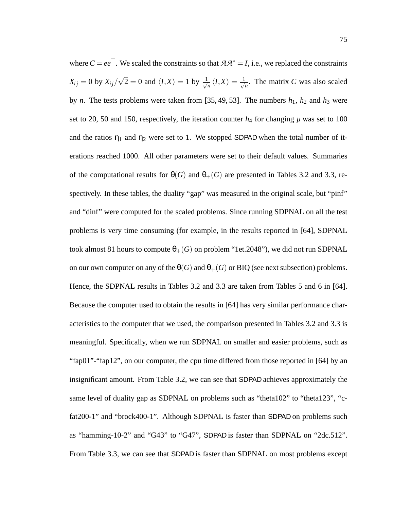where  $C = ee^{\top}$ . We scaled the constraints so that  $A A^* = I$ , i.e., we replaced the constraints  $X_{ij} = 0$  by  $X_{ij}/\sqrt{2} = 0$  and  $\langle I, X \rangle = 1$  by  $\frac{1}{\sqrt{2}}$  $\frac{1}{n}\langle I,X\rangle=\frac{1}{\sqrt{n}}$  $\overline{n}$ . The matrix *C* was also scaled by *n*. The tests problems were taken from [35, 49, 53]. The numbers  $h_1$ ,  $h_2$  and  $h_3$  were set to 20, 50 and 150, respectively, the iteration counter  $h_4$  for changing  $\mu$  was set to 100 and the ratios  $\eta_1$  and  $\eta_2$  were set to 1. We stopped SDPAD when the total number of iterations reached 1000. All other parameters were set to their default values. Summaries of the computational results for  $\theta(G)$  and  $\theta_+(G)$  are presented in Tables 3.2 and 3.3, respectively. In these tables, the duality "gap" was measured in the original scale, but "pinf" and "dinf" were computed for the scaled problems. Since running SDPNAL on all the test problems is very time consuming (for example, in the results reported in [64], SDPNAL took almost 81 hours to compute  $\theta_{+}(G)$  on problem "1et.2048"), we did not run SDPNAL on our own computer on any of the  $\theta(G)$  and  $\theta_+(G)$  or BIQ (see next subsection) problems. Hence, the SDPNAL results in Tables 3.2 and 3.3 are taken from Tables 5 and 6 in [64]. Because the computer used to obtain the results in [64] has very similar performance characteristics to the computer that we used, the comparison presented in Tables 3.2 and 3.3 is meaningful. Specifically, when we run SDPNAL on smaller and easier problems, such as "fap01"-"fap12", on our computer, the cpu time differed from those reported in [64] by an insignificant amount. From Table 3.2, we can see that SDPAD achieves approximately the same level of duality gap as SDPNAL on problems such as "theta102" to "theta123", "cfat200-1" and "brock400-1". Although SDPNAL is faster than SDPAD on problems such as "hamming-10-2" and "G43" to "G47", SDPAD is faster than SDPNAL on "2dc.512". From Table 3.3, we can see that SDPAD is faster than SDPNAL on most problems except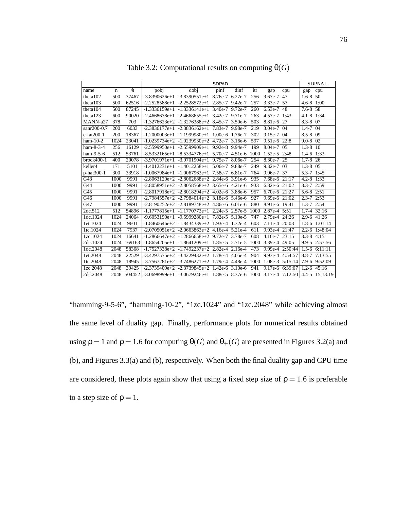|                  |      |        |      |                                                        | <b>SDPAD</b> |           |      |                 |                 |                  | <b>SDPNAL</b>                    |
|------------------|------|--------|------|--------------------------------------------------------|--------------|-----------|------|-----------------|-----------------|------------------|----------------------------------|
| name             | n    | m      | pobj | dobi                                                   | pinf         | dinf      | itr  | gap             | cpu             | gap              | cpu                              |
| theta102         | 500  | 37467  |      | $-3.8390626e+1 -3.8390551e+1 8.76e-7 6.27e-7$          |              |           | 256  | 9.67e-7 47      |                 | $1.6 - 8$        | 50                               |
| theta103         | 500  | 62516  |      | $-2.2528588e+1$ $-2.2528572e+1$ $2.85e-7$ $9.42e-7$    |              |           | 257  | 3.33e-7 57      |                 | $4.6 - 8$ 1:00   |                                  |
| theta104         | 500  | 87245  |      | $-1.3336159e+1$ $-1.3336141e+1$ 3.40e-7 9.72e-7        |              |           | 260  | 6.53e-7 48      |                 | $7.6 - 8.58$     |                                  |
| theta123         | 600  | 90020  |      | $-2.4668678e+1$ $-2.4668655e+1$ 3.42e-7 9.71e-7        |              |           | 263  | 4.57e-7 1:43    |                 | $4.1 - 8$        | 1:34                             |
| MANN-a27         | 378  | 703    |      | $-1.3276623e+2$ $-1.3276388e+2$ 8.45e-7 3.50e-6        |              |           | 503  | 8.81e-6 27      |                 | $8.3 - 8$ 07     |                                  |
| sanr200-0.7      | 200  | 6033   |      | $-2.3836177e+1$ $-2.3836162e+1$ 7.83e-7 9.98e-7        |              |           | 219  | $3.04e-7$ 04    |                 | $1.4 - 7$        | 04                               |
| $c$ -fat $200-1$ | 200  | 18367  |      | $-1.2000003e+1$ $-1.1999980e+1$ $1.00e-6$ 1.76e-7      |              |           | 302  | 9.15e-7 04      |                 | $8.5 - 8$        | 09                               |
| $ham-10-2$       | 1024 | 23041  |      | $-1.0239734e+2$ $-1.0239930e+2$ 4.72e-7 3.16e-6        |              |           | 597  | 9.51e-6 22:8    |                 | $9.0 - 8$ 02     |                                  |
| $ham-8-3-4$      | 256  | 16129  |      | $-2.5599950e+1$ $-2.5599909e+1$ 9.92e-8 9.94e-7        |              |           | 199  | 8.04e-7 05      |                 | $1.3 - 8$ 10     |                                  |
| ham-9-5-6        | 512  | 53761  |      | $-8.5332165e+1$ $-8.5334776e+1$ 5.70e-7                |              | $4.51e-6$ | 1000 | 1.52e-5 2:48    |                 | $1.4 - 6$        | 1:33                             |
| brock400-1       | 400  | 20078  |      | $-3.9701971e+1$ $-3.9701904e+1$ 9.75e-7 8.06e-7        |              |           | 254  | 8.30e-7 25      |                 | $1.7 - 8$ 26     |                                  |
| keller4          | 171  | 5101   |      | $-1.4012231e+1$ $-1.4012258e+1$ 5.06e-7 9.88e-7        |              |           | 249  | $9.32e-7$ 03    |                 | $1.3 - 8$ 05     |                                  |
| p-hat300-1       | 300  | 33918  |      | $-1.0067984e+1$ $-1.0067963e+1$ 7.58e-7 6.81e-7        |              |           | 764  | 9.96e-7 37      |                 | 5.3-7 1:45       |                                  |
| G43              | 1000 | 9991   |      | $-2.8063120e+2$ $-2.8062688e+2$ $2.84e-6$ 3.91e-6      |              |           | 935  | 7.68e-6 21:17   |                 | $4.2 - 8$        | 1:33                             |
| G44              | 1000 | 9991   |      | $-2.8058951e+2$ $-2.8058568e+2$ 3.65e-6 4.21e-6        |              |           | 933  | 6.82e-6 21:02   |                 | $3.3 - 7$ 2:59   |                                  |
| G45              | 1000 | 9991   |      | $-2.8017918e+2$ $-2.8018294e+2$ 4.02e-6 3.88e-6        |              |           | 957  | 6.70e-6 21:27   |                 | 5.6-8 2:51       |                                  |
| G46              | 1000 | 9991   |      | $-2.7984557e+2$ $-2.7984014e+2$ 3.18e-6 5.46e-6        |              |           | 927  | 9.69e-6 21:02   |                 | $2.3 - 7$        | 2:53                             |
| G47              | 1000 | 9991   |      | $-2.8190252e+2$ $-2.8189748e+2$ $4.86e-6$ 6.01e-6      |              |           | 880  | 8.91e-6 19:41   |                 | $1.3 - 7$ $2:54$ |                                  |
| 2dc.512          | 512  | 54896  |      | $-1.1777815e+1$ $-1.1770773e+1$ 2.24e-5 2.57e-5        |              |           | 1000 | 2.87e-4 5:51    |                 | $1.7 - 4$        | 32:16                            |
| 1dc.1024         | 1024 | 24064  |      | $-9.6053190e+1$ $-9.5999280e+1$ 7.82e-5 5.10e-5        |              |           | 747  | 2.79e-4 24:26   |                 | $2.9 - 6$        | 41:26                            |
| 1et.1024         | 1024 | 9601   |      | $-1.8460646e+2$ $-1.8434339e+2$ 1.93e-4 1.32e-4        |              |           | 603  | 7.11e-4 20:03   |                 | $1.8 - 6$        | 1:01:14                          |
| 1tc.1024         | 1024 | 7937   |      | $-2.0705051e+2$ $-2.0663863e+2$ 4.16e-4 5.21e-4        |              |           | 611  | 9.93e-4 21:47   |                 |                  | 2.2-6 1:48:04                    |
| 1zc.1024         | 1024 | 16641  |      | $-1.2866647e+2$ $-1.2866658e+2$ 9.72e-7 3.78e-7        |              |           | 608  | 4.16e-7 23:15   |                 | $3.3 - 8$        | 4:15                             |
| 2dc.1024         | 1024 | 169163 |      | $-1.8654205e+1$ $-1.8641209e+1$ $1.85e-5$ 2.71e-5      |              |           | 1000 | 3.39e-4 49:05   |                 |                  | 9.9-5 2:57:56                    |
| 1dc.2048         | 2048 | 58368  |      | $-1.7527338e+2$ $-1.7492237e+2$ 2.82e-4 2.16e-4        |              |           | 473  |                 | 9.99e-4 2:50:44 |                  | $1.5 - 6$ $6:11:11$              |
| 1et.2048         | 2048 | 22529  |      | $-3.4297575e+2$ $-3.4229432e+2$ 1.78e-4 4.05e-4        |              |           | 904  | 9.93e-4 4:54:57 |                 | $8.8 - 7$        | 7:13:55                          |
| 1tc.2048         | 2048 | 18945  |      | $-3.7567281e+2$ $-3.7486271e+2$ 1.79e-4 4.48e-4        |              |           | 1000 | $1.08e-3$       | 5:15:14         | $7.9 - 6$        | 9:52:09                          |
| 1zc.2048         | 2048 | 39425  |      | $-2.3739409e+2$ $-2.3739845e+2$ 1.42e-6 3.10e-6        |              |           | 941  |                 | 9.17e-6 6:39:07 |                  | $1.2 - 6$ 45:16                  |
| 2dc.2048         | 2048 | 504452 |      | $-3.0698999e+1$ $-3.0679246e+1$ $1.88e-5$ 8.37e-6 1000 |              |           |      |                 |                 |                  | $3.17e-4$ 7:12:50 4.4-5 15:13:19 |

Table 3.2: Computational results on computing  $\Theta(G)$ 

"hamming-9-5-6", "hamming-10-2", "1zc.1024" and "1zc.2048" while achieving almost the same level of duality gap. Finally, performance plots for numerical results obtained using  $\rho = 1$  and  $\rho = 1.6$  for computing  $\theta(G)$  and  $\theta_{+}(G)$  are presented in Figures 3.2(a) and (b), and Figures 3.3(a) and (b), respectively. When both the final duality gap and CPU time are considered, these plots again show that using a fixed step size of  $p = 1.6$  is preferable to a step size of  $\rho = 1$ .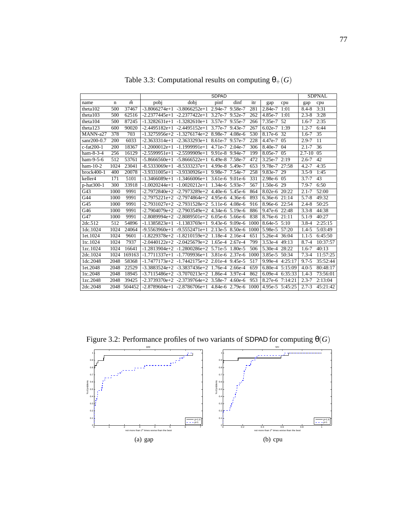|                  |                  |        | <b>SDPAD</b>    |                                                        |                 |         |      |                 |                 | <b>SDPNAL</b> |                 |
|------------------|------------------|--------|-----------------|--------------------------------------------------------|-----------------|---------|------|-----------------|-----------------|---------------|-----------------|
| name             | $\mathbf n$      | m      | pobj            | dobi                                                   | pinf            | dinf    | itr  | gap             | cpu             | gap           | cpu             |
| theta102         | 500              | 37467  | $-3.8066274e+1$ | $-3.8066252e+1$ 2.94e-7                                |                 | 9.58e-7 | 281  | 2.84e-7         | 1:01            | $8.4 - 8$     | 3:31            |
| theta103         | 500              | 62516  | $-2.2377445e+1$ | $-2.2377422e+1$ 3.27e-7 9.52e-7                        |                 |         | 262  | 4.85e-7         | 1:01            | $2.3 - 8$     | 3:28            |
| theta104         | 500              | 87245  | $-1.3282631e+1$ | $-1.3282610e+1$ 3.57e-7 9.55e-7                        |                 |         | 266  | 7.35e-7         | $\overline{52}$ | $1.6 - 7$     | 2:35            |
| theta123         | 600              | 90020  | $-2.4495182e+1$ | $-2.4495152e+1$                                        | 3.77e-7 9.43e-7 |         | 267  | $6.02e-7$       | 1:39            | $1.2 - 7$     | 6:44            |
| MANN-a27         | 378              | 703    |                 | $-1.3275956e+2$ $-1.3276174e+2$ 8.98e-7 4.08e-6        |                 |         | 530  | $8.17e-6$       | $\overline{32}$ | $1.6 - 7$     | $\overline{35}$ |
| sanr200-0.7      | 200              | 6033   |                 | $-2.3633314e+1$ $-2.3633293e+1$ 8.61e-7 9.57e-7        |                 |         | 228  | $4.47e-7$ 05    |                 | $2.9 - 7$     | $\overline{11}$ |
| $c$ -fat $200-1$ | 200              | 18367  | $-1.2000012e+1$ | $-1.1999991e+1$ 4.71e-7 2.04e-7                        |                 |         | 306  | 8.40e-7         | 04              | $2.1 - 7$     | 36              |
| $ham-8-3-4$      | 256              | 16129  |                 | $-2.5599951e+1$ $-2.5599909e+1$ 9.91e-8 9.94e-7        |                 |         | 199  | $8.05e-7$       | 0 <sub>5</sub>  | $2.7 - 10$    | 0 <sub>5</sub>  |
| ham-9-5-6        | 512              | 53761  |                 | $-5.8666560e+1$ $-5.8666522e+1$ 6.49e-8 7.58e-7        |                 |         | 472  | $3.25e-7$       | 2:19            | $2.6 - 7$     | $\overline{42}$ |
| $ham-10-2$       | 1024             | 23041  | $-8.5333069e+1$ | $-8.5333237e+1$                                        | 4.99e-8 5.49e-7 |         | 653  | 9.78e-7         | 27:58           | $4.2 - 7$     | 4:35            |
| $brock400-1$     | 400              | 20078  |                 | $-3.9331005e+1$ $-3.9330926e+1$ 9.98e-7 7.54e-7        |                 |         | 258  | $9.83e-7$       | 29              | $3.5 - 9$     | 1:45            |
| keller4          | 171              | 5101   | $-1.3466089e+1$ | $-1.3466006e+1$ 3.61e-6 9.01e-6                        |                 |         | 331  | 2.98e-6 05      |                 | $3.7 - 7$     | 43              |
| p-hat300-1       | $\overline{300}$ | 33918  | $-1.0020244e+1$ | $-1.0020212e+1$ 1.34e-6 5.93e-7                        |                 |         | 567  | $1.50e-6$       | 29              | $7.9 - 7$     | 6:50            |
| G43              | 1000             | 9991   |                 | $-2.7972840e+2$ $-2.7973289e+2$ 4.40e-6 5.45e-6        |                 |         | 864  | 8.02e-6         | 20:22           | $2.1 - 7$     | 52:00           |
| G44              | 1000             | 9991   |                 | $-2.7975221e+2$ $-2.7974864e+2$ 4.95e-6 4.36e-6        |                 |         | 893  | 6.36e-6 21:14   |                 | $5.7 - 8$     | 49:32           |
| G45              | 1000             | 9991   |                 | $-2.7931027e+2$ $-2.7931528e+2$ $5.11e-6$ $4.08e-6$    |                 |         | 916  | 8.96e-6 22:54   |                 | $2.4 - 8$     | 50:25           |
| G46              | 1000             | 9991   |                 | $-2.7904079e+2$ $-2.7903549e+2$ 4.34e-6 5.19e-6        |                 |         | 886  | 9.47e-6 22:48   |                 | $3.3 - 8$     | 44:38           |
| G47              | 1000             | 9991   |                 | $-2.8089994e+2$ $-2.8089501e+2$ 6.05e-6 5.66e-6        |                 |         | 838  | 8.76e-6         | 21:11           | $5.1 - 9$     | 40:27           |
| 2dc.512          | 512              | 54896  |                 | $-1.1385823e+1$ $-1.1383769e+1$ 9.43e-6 9.09e-6        |                 |         | 1000 | 8.64e-5 5:10    |                 | $3.8 - 4$     | 2:25:15         |
| 1dc.1024         | 1024             | 24064  |                 | $-9.5563960e+1$ $-9.5552471e+1$ 2.13e-5 8.50e-6        |                 |         | 1000 | 5.98e-5 57:20   |                 | $1.4 - 5$     | 5:03:49         |
| 1et.1024         | 1024             | 9601   |                 | $-1.8229378e+2$ $-1.8210159e+2$ 1.18e-4 2.16e-4        |                 |         | 651  | 5.26e-4 36:04   |                 | $1.1 - 5$     | 6:45:50         |
| 1tc.1024         | 1024             | 7937   |                 | $-2.0440122e+2$ $-2.0425679e+2$ 1.65e-4 2.67e-4        |                 |         | 799  | 3.53e-4 49:13   |                 | $8.7 - 4$     | 10:37:57        |
| 1zc.1024         | 1024             | 16641  |                 | $-1.2813904e+2$ $-1.2800286e+2$ 5.71e-5 1.80e-5        |                 |         | 506  | $5.30e-4$       | 28:22           | $1.6 - 7$     | 40:13           |
| 2dc.1024         | 1024             | 169163 |                 | $-1.7711337e+1$ $-1.7709936e+1$ 3.81e-6 2.37e-6        |                 |         | 1000 | 3.85e-5         | 50:34           | $7.3 - 4$     | 11:57:25        |
| 1dc.2048         | 2048             | 58368  |                 | $-1.7477173e+2 -1.7442175e+2 2.01e-4 9.45e-5$          |                 |         | 517  | 9.99e-4 4:25:17 |                 | $9.7 - 5$     | 35:52:44        |
| 1et.2048         | 2048             | 22529  |                 | $-3.3883524e+2$ $-3.3837436e+2$ 1.76e-4 2.66e-4        |                 |         | 659  | 6.80e-4 5:15:09 |                 | $4.0 - 5$     | 80:48:17        |
| 1tc.2048         | 2048             | 18945  | $-3.7115486e+2$ | $-3.7070213e+2$ 1.86e-4 3.97e-4                        |                 |         | 862  | $6.09e-4$       | 6:35:33         | $1.4 - 3$     | 73:56:01        |
| 1zc.2048         | 2048             | 39425  |                 | $-2.3739370e+2$ $-2.3739764e+2$ 3.58e-7 4.60e-6        |                 |         | 953  | 8.27e-6         | 7:14:21         | $2.3 - 7$     | 2:13:04         |
| 2dc.2048         | 2048             | 504452 |                 | $-2.8789604e+1$ $-2.8786706e+1$ $4.84e-6$ 2.79e-6 1000 |                 |         |      | 4.95e-5 5:45:25 |                 | $2.7 - 3$     | 45:21:42        |

Table 3.3: Computational results on computing  $\theta_+(G)$ 

Figure 3.2: Performance profiles of two variants of SDPAD for computing  $\theta(G)$ 

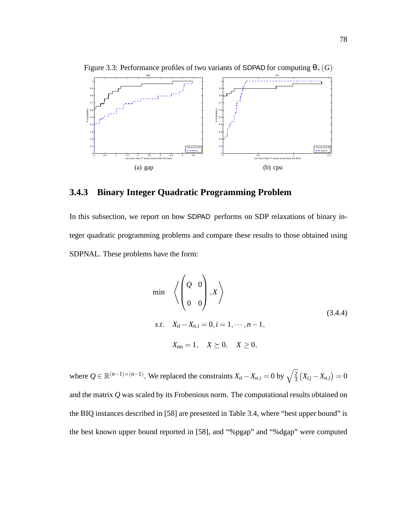

Figure 3.3: Performance profiles of two variants of SDPAD for computing  $\theta_{+}(G)$ 

### **3.4.3 Binary Integer Quadratic Programming Problem**

In this subsection, we report on how SDPAD performs on SDP relaxations of binary integer quadratic programming problems and compare these results to those obtained using SDPNAL. These problems have the form:

$$
\min \left\langle \left( \begin{array}{cc} Q & 0 \\ 0 & 0 \end{array} \right), X \right\rangle
$$
\ns.t.

\n
$$
X_{ii} - X_{n,i} = 0, i = 1, \dots, n-1,
$$
\n
$$
X_{nn} = 1, \quad X \succeq 0, \quad X \geq 0,
$$
\n(3.4.4)

where  $Q \in \mathbb{R}^{(n-1)\times(n-1)}$ . We replaced the constraints  $X_{ii} - X_{n,i} = 0$  by  $\sqrt{\frac{2}{3}}$  $\frac{2}{3}(X_{ij}-X_{n,i})=0$ and the matrix *Q* was scaled by its Frobenious norm. The computational results obtained on the BIQ instances described in [58] are presented in Table 3.4, where "best upper bound" is the best known upper bound reported in [58], and "%pgap" and "%dgap" were computed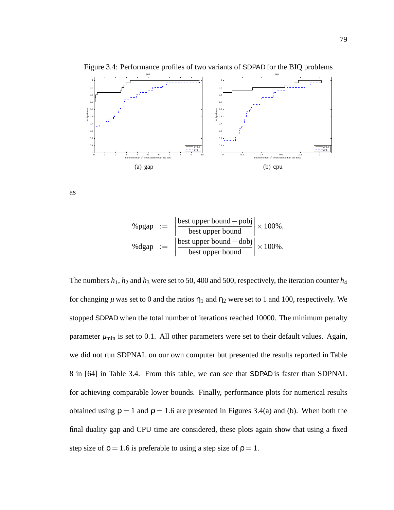

Figure 3.4: Performance profiles of two variants of SDPAD for the BIQ problems

as

$$
\% \text{pgap} := \left| \frac{\text{best upper bound} - \text{pobj}}{\text{best upper bound}} \right| \times 100\%,
$$
  

$$
\% \text{dgap} := \left| \frac{\text{best upper bound} - \text{dobj}}{\text{best upper bound}} \right| \times 100\%.
$$

The numbers  $h_1$ ,  $h_2$  and  $h_3$  were set to 50, 400 and 500, respectively, the iteration counter  $h_4$ for changing  $\mu$  was set to 0 and the ratios  $\eta_1$  and  $\eta_2$  were set to 1 and 100, respectively. We stopped SDPAD when the total number of iterations reached 10000. The minimum penalty parameter  $\mu_{\text{min}}$  is set to 0.1. All other parameters were set to their default values. Again, we did not run SDPNAL on our own computer but presented the results reported in Table 8 in [64] in Table 3.4. From this table, we can see that SDPAD is faster than SDPNAL for achieving comparable lower bounds. Finally, performance plots for numerical results obtained using  $\rho = 1$  and  $\rho = 1.6$  are presented in Figures 3.4(a) and (b). When both the final duality gap and CPU time are considered, these plots again show that using a fixed step size of  $\rho = 1.6$  is preferable to using a step size of  $\rho = 1$ .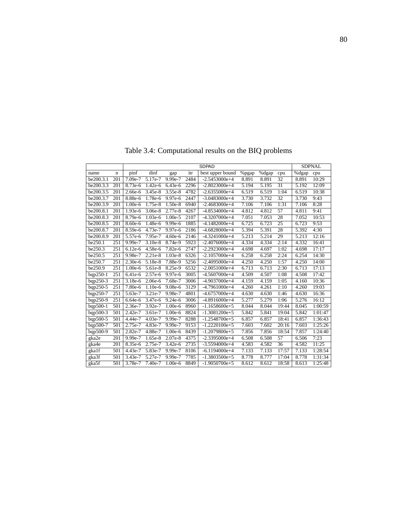|                      |                  | <b>SDPAD</b> |                      |           |      |                  |       |       |                 |       | <b>SDPNAL</b> |
|----------------------|------------------|--------------|----------------------|-----------|------|------------------|-------|-------|-----------------|-------|---------------|
| name                 | n                | pinf         | dinf                 | gap       | itr  | best upper bound | %pgap | %dgap | cpu             | %dgap | cpu           |
| be200.3.1            | 201              | 7.09e-7      | $\overline{5.17}e-7$ | 9.99e-7   | 2484 | $-2.5453000e+4$  | 8.891 | 8.891 | 32              | 8.891 | 10:29         |
| be200.3.3            | 201              | 8.73e-6      | $1.42e-6$            | 6.43e-6   | 2296 | $-2.8023000e+4$  | 5.194 | 5.195 | 31              | 5.192 | 12:09         |
| be200.3.5            | 201              | 2.66e-6      | 3.45e-8              | 3.55e-8   | 4782 | $-2.6355000e+4$  | 6.519 | 6.519 | 1:04            | 6.519 | 10:38         |
| be200.3.7            | $\overline{201}$ | 8.88e-6      | 1.78e-6              | $9.97e-6$ | 2447 | $-3.0483000e+4$  | 3.730 | 3.732 | $\overline{32}$ | 3.730 | 9:43          |
| be200.3.9            | 201              | 1.00e-6      | 1.75e-8              | 1.50e-8   | 6940 | $-2.4683000e+4$  | 7.106 | 7.106 | 1:31            | 7.106 | 8:28          |
| be200.8.1            | 201              | 1.93e-6      | 3.06e-8              | 2.77e-8   | 4267 | $-4.8534000e+4$  | 4.812 | 4.812 | $\overline{57}$ | 4.811 | 9:41          |
| be200.8.3            | $\overline{201}$ | $8.79e-6$    | 1.03e-6              | 1.00e-5   | 2107 | $-4.3207000e+4$  | 7.051 | 7.053 | $\overline{28}$ | 7.052 | 10:53         |
| be200.8.5            | 201              | $8.60e-6$    | 1.48e-6              | $9.99e-6$ | 1885 | $-4.1482000e+4$  | 6.725 | 6.723 | $\overline{25}$ | 6.723 | 9:53          |
| be200.8.7            | 201              | 8.59e-6      | 4.73e-7              | 9.97e-6   | 2186 | $-4.6828000e+4$  | 5.394 | 5.391 | 28              | 5.392 | 4:30          |
| be200.8.9            | $\overline{201}$ | 5.57e-6      | 7.95e-7              | $4.60e-6$ | 2146 | $-4.3241000e+4$  | 5.213 | 5.214 | 29              | 5.213 | 12:16         |
| be250.1              | 251              | 9.99e-7      | 3.10e-8              | 8.74e-9   | 5923 | $-2.4076000e+4$  | 4.334 | 4.334 | 2:14            | 4.332 | 16:41         |
| be250.3              | 251              | $6.12e-6$    | 4.58e-6              | 7.82e-6   | 2747 | $-2.2923000e+4$  | 4.698 | 4.697 | 1:02            | 4.698 | 17:17         |
| be250.5              | 251              | 9.98e-7      | $2.21e-8$            | 1.03e-8   | 6326 | $-2.1057000e+4$  | 6.258 | 6.258 | 2:24            | 6.254 | 14:30         |
| be250.7              | 251              | 2.30e-6      | 5.18e-8              | 7.88e-9   | 5256 | $-2.4095000e+4$  | 4.250 | 4.250 | 1:57            | 4.250 | 14:00         |
| be250.9              | 251              | 1.00e-6      | 5.61e-8              | 8.25e-9   | 6532 | $-2.0051000e+4$  | 6.713 | 6.713 | 2:30            | 6.713 | 17:13         |
| $bqp250-1$           | 251              | 6.41e-6      | 2.57e-6              | 9.97e-6   | 3005 | $-4.5607000e+4$  | 4.509 | 4.507 | 1:08            | 4.508 | 17:42         |
| $bqp250-3$           | 251              | 3.18e-6      | 2.06e-6              | 7.68e-7   | 3006 | $-4.9037000e+4$  | 4.159 | 4.159 | 1:05            | 4.160 | 10:36         |
| $bqp250-5$           | 251              | $7.80e-6$    | 1.10e-6              | 9.08e-6   | 3129 | $-4.7961000e+4$  | 4.260 | 4.261 | 1:10            | 4.260 | 19:03         |
| bqp250-7             | 251              | 5.63e-7      | 3.21e-7              | 9.98e-7   | 4801 | $-4.6757000e+4$  | 4.630 | 4.630 | 1:46            | 4.630 | 16:36         |
| bqp250-9             | 251              | 6.64e-6      | 3.47e-6              | 9.24e-6   | 3006 | $-4.8916000e+4$  | 5.277 | 5.279 | 1:06            | 5.276 | 16:12         |
| $bqp500-1$           | 501              | 2.36e-7      | 3.92e-7              | $1.00e-6$ | 8960 | $-1.1658600e+5$  | 8.044 | 8.044 | 19:44           | 8.045 | 1:00:59       |
| $bqp500-3$           | 501              | $2.42e-7$    | 3.61e-7              | $1.00e-6$ | 8824 | $-1.3081200e+5$  | 5.842 | 5.841 | 19:04           | 5.842 | 1:01:47       |
| $bqp500-5$           | 501              | 4.44e-7      | 4.03e-7              | 9.99e-7   | 8288 | $-1.2548700e+5$  | 6.857 | 6.857 | 18:41           | 6.857 | 1:36:43       |
| bqp500-7             | 501              | 2.75e-7      | 4.83e-7              | 9.99e-7   | 9153 | $-1.2220100e+5$  | 7.603 | 7.602 | 20:16           | 7.603 | 1:25:26       |
| bqp500-9             | 501              | 2.82e-7      | 4.88e-7              | 1.00e-6   | 8439 | $-1.2079800e+5$  | 7.856 | 7.856 | 18:54           | 7.857 | 1:24:40       |
| gka2e                | 201              | 9.99e-7      | 1.65e-8              | 2.07e-8   | 4375 | $-2.3395000e+4$  | 6.508 | 6.508 | 57              | 6.506 | 7:23          |
| gka4e                | 201              | 8.35e-6      | $2.75e-7$            | 3.42e-6   | 2735 | $-3.5594000e+4$  | 4.583 | 4.582 | 36              | 4.582 | 11:25         |
| $g$ ka <sub>1f</sub> | 501              | 4.43e-7      | 5.83e-7              | 9.99e-7   | 8106 | $-6.1194000e+4$  | 7.133 | 7.133 | 17:57           | 7.133 | 1:28:54       |
| gka3f                | 501              | 3.43e-7      | 5.27e-7              | 9.99e-7   | 7785 | $-1.3803500e+5$  | 8.778 | 8.777 | 17:04           | 8.778 | 1:31:34       |
| $g$ ka5f             | 501              | 3.78e-7      | 7.40e-7              | $1.00e-6$ | 8849 | $-1.9050700e+5$  | 8.612 | 8.612 | 18:58           | 8.613 | 1:25:48       |

Table 3.4: Computational results on the BIQ problems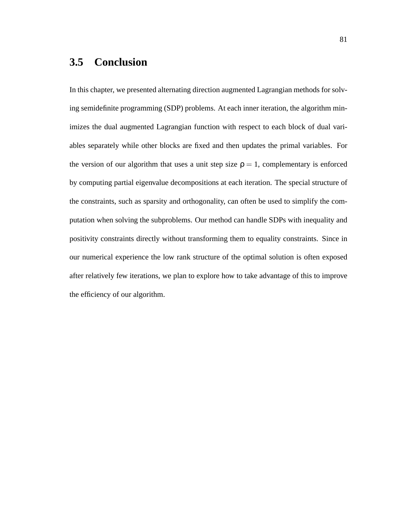# **3.5 Conclusion**

In this chapter, we presented alternating direction augmented Lagrangian methods for solving semidefinite programming (SDP) problems. At each inner iteration, the algorithm minimizes the dual augmented Lagrangian function with respect to each block of dual variables separately while other blocks are fixed and then updates the primal variables. For the version of our algorithm that uses a unit step size  $\rho = 1$ , complementary is enforced by computing partial eigenvalue decompositions at each iteration. The special structure of the constraints, such as sparsity and orthogonality, can often be used to simplify the computation when solving the subproblems. Our method can handle SDPs with inequality and positivity constraints directly without transforming them to equality constraints. Since in our numerical experience the low rank structure of the optimal solution is often exposed after relatively few iterations, we plan to explore how to take advantage of this to improve the efficiency of our algorithm.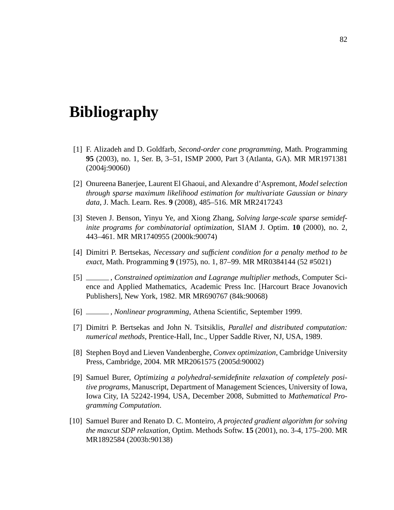# **Bibliography**

- [1] F. Alizadeh and D. Goldfarb, *Second-order cone programming*, Math. Programming **95** (2003), no. 1, Ser. B, 3–51, ISMP 2000, Part 3 (Atlanta, GA). MR MR1971381 (2004j:90060)
- [2] Onureena Banerjee, Laurent El Ghaoui, and Alexandre d'Aspremont, *Model selection through sparse maximum likelihood estimation for multivariate Gaussian or binary data*, J. Mach. Learn. Res. **9** (2008), 485–516. MR MR2417243
- [3] Steven J. Benson, Yinyu Ye, and Xiong Zhang, *Solving large-scale sparse semidefinite programs for combinatorial optimization*, SIAM J. Optim. **10** (2000), no. 2, 443–461. MR MR1740955 (2000k:90074)
- [4] Dimitri P. Bertsekas, *Necessary and sufficient condition for a penalty method to be exact*, Math. Programming **9** (1975), no. 1, 87–99. MR MR0384144 (52 #5021)
- [5] , *Constrained optimization and Lagrange multiplier methods*, Computer Science and Applied Mathematics, Academic Press Inc. [Harcourt Brace Jovanovich Publishers], New York, 1982. MR MR690767 (84k:90068)
- [6] , *Nonlinear programming*, Athena Scientific, September 1999.
- [7] Dimitri P. Bertsekas and John N. Tsitsiklis, *Parallel and distributed computation: numerical methods*, Prentice-Hall, Inc., Upper Saddle River, NJ, USA, 1989.
- [8] Stephen Boyd and Lieven Vandenberghe, *Convex optimization*, Cambridge University Press, Cambridge, 2004. MR MR2061575 (2005d:90002)
- [9] Samuel Burer, *Optimizing a polyhedral-semidefinite relaxation of completely positive programs*, Manuscript, Department of Management Sciences, University of Iowa, Iowa City, IA 52242-1994, USA, December 2008, Submitted to *Mathematical Programming Computation*.
- [10] Samuel Burer and Renato D. C. Monteiro, *A projected gradient algorithm for solving the maxcut SDP relaxation*, Optim. Methods Softw. **15** (2001), no. 3-4, 175–200. MR MR1892584 (2003b:90138)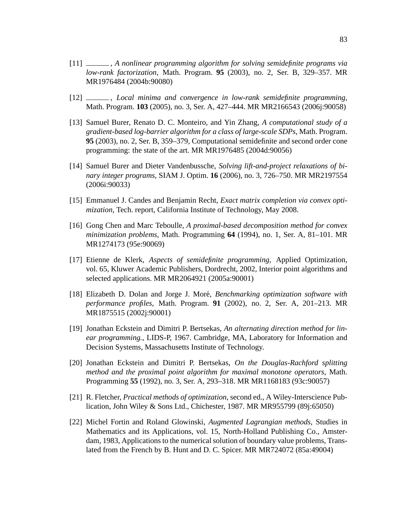- [11] , *A nonlinear programming algorithm for solving semidefinite programs via low-rank factorization*, Math. Program. **95** (2003), no. 2, Ser. B, 329–357. MR MR1976484 (2004b:90080)
- [12] , *Local minima and convergence in low-rank semidefinite programming*, Math. Program. **103** (2005), no. 3, Ser. A, 427–444. MR MR2166543 (2006j:90058)
- [13] Samuel Burer, Renato D. C. Monteiro, and Yin Zhang, *A computational study of a gradient-based log-barrier algorithm for a class of large-scale SDPs*, Math. Program. **95** (2003), no. 2, Ser. B, 359–379, Computational semidefinite and second order cone programming: the state of the art. MR MR1976485 (2004d:90056)
- [14] Samuel Burer and Dieter Vandenbussche, *Solving lift-and-project relaxations of binary integer programs*, SIAM J. Optim. **16** (2006), no. 3, 726–750. MR MR2197554 (2006i:90033)
- [15] Emmanuel J. Candes and Benjamin Recht, *Exact matrix completion via convex optimization*, Tech. report, California Institute of Technology, May 2008.
- [16] Gong Chen and Marc Teboulle, *A proximal-based decomposition method for convex minimization problems*, Math. Programming **64** (1994), no. 1, Ser. A, 81–101. MR MR1274173 (95e:90069)
- [17] Etienne de Klerk, *Aspects of semidefinite programming*, Applied Optimization, vol. 65, Kluwer Academic Publishers, Dordrecht, 2002, Interior point algorithms and selected applications. MR MR2064921 (2005a:90001)
- [18] Elizabeth D. Dolan and Jorge J. Moré, *Benchmarking optimization software with performance profiles*, Math. Program. **91** (2002), no. 2, Ser. A, 201–213. MR MR1875515 (2002j:90001)
- [19] Jonathan Eckstein and Dimitri P. Bertsekas, *An alternating direction method for linear programming.*, LIDS-P, 1967. Cambridge, MA, Laboratory for Information and Decision Systems, Massachusetts Institute of Technology.
- [20] Jonathan Eckstein and Dimitri P. Bertsekas, *On the Douglas-Rachford splitting method and the proximal point algorithm for maximal monotone operators*, Math. Programming **55** (1992), no. 3, Ser. A, 293–318. MR MR1168183 (93c:90057)
- [21] R. Fletcher, *Practical methods of optimization*, second ed., A Wiley-Interscience Publication, John Wiley & Sons Ltd., Chichester, 1987. MR MR955799 (89j:65050)
- [22] Michel Fortin and Roland Glowinski, *Augmented Lagrangian methods*, Studies in Mathematics and its Applications, vol. 15, North-Holland Publishing Co., Amsterdam, 1983, Applications to the numerical solution of boundary value problems, Translated from the French by B. Hunt and D. C. Spicer. MR MR724072 (85a:49004)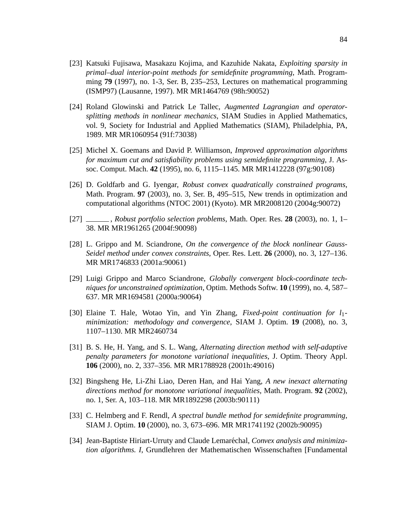- [23] Katsuki Fujisawa, Masakazu Kojima, and Kazuhide Nakata, *Exploiting sparsity in primal–dual interior-point methods for semidefinite programming*, Math. Programming **79** (1997), no. 1-3, Ser. B, 235–253, Lectures on mathematical programming (ISMP97) (Lausanne, 1997). MR MR1464769 (98h:90052)
- [24] Roland Glowinski and Patrick Le Tallec, *Augmented Lagrangian and operatorsplitting methods in nonlinear mechanics*, SIAM Studies in Applied Mathematics, vol. 9, Society for Industrial and Applied Mathematics (SIAM), Philadelphia, PA, 1989. MR MR1060954 (91f:73038)
- [25] Michel X. Goemans and David P. Williamson, *Improved approximation algorithms for maximum cut and satisfiability problems using semidefinite programming*, J. Assoc. Comput. Mach. **42** (1995), no. 6, 1115–1145. MR MR1412228 (97g:90108)
- [26] D. Goldfarb and G. Iyengar, *Robust convex quadratically constrained programs*, Math. Program. **97** (2003), no. 3, Ser. B, 495–515, New trends in optimization and computational algorithms (NTOC 2001) (Kyoto). MR MR2008120 (2004g:90072)
- [27] , *Robust portfolio selection problems*, Math. Oper. Res. **28** (2003), no. 1, 1– 38. MR MR1961265 (2004f:90098)
- [28] L. Grippo and M. Sciandrone, *On the convergence of the block nonlinear Gauss-Seidel method under convex constraints*, Oper. Res. Lett. **26** (2000), no. 3, 127–136. MR MR1746833 (2001a:90061)
- [29] Luigi Grippo and Marco Sciandrone, *Globally convergent block-coordinate techniques for unconstrained optimization*, Optim. Methods Softw. **10** (1999), no. 4, 587– 637. MR MR1694581 (2000a:90064)
- [30] Elaine T. Hale, Wotao Yin, and Yin Zhang, *Fixed-point continuation for l*1 *minimization: methodology and convergence*, SIAM J. Optim. **19** (2008), no. 3, 1107–1130. MR MR2460734
- [31] B. S. He, H. Yang, and S. L. Wang, *Alternating direction method with self-adaptive penalty parameters for monotone variational inequalities*, J. Optim. Theory Appl. **106** (2000), no. 2, 337–356. MR MR1788928 (2001h:49016)
- [32] Bingsheng He, Li-Zhi Liao, Deren Han, and Hai Yang, *A new inexact alternating directions method for monotone variational inequalities*, Math. Program. **92** (2002), no. 1, Ser. A, 103–118. MR MR1892298 (2003b:90111)
- [33] C. Helmberg and F. Rendl, *A spectral bundle method for semidefinite programming*, SIAM J. Optim. **10** (2000), no. 3, 673–696. MR MR1741192 (2002b:90095)
- [34] Jean-Baptiste Hiriart-Urruty and Claude Lemaréchal, *Convex analysis and minimization algorithms. I*, Grundlehren der Mathematischen Wissenschaften [Fundamental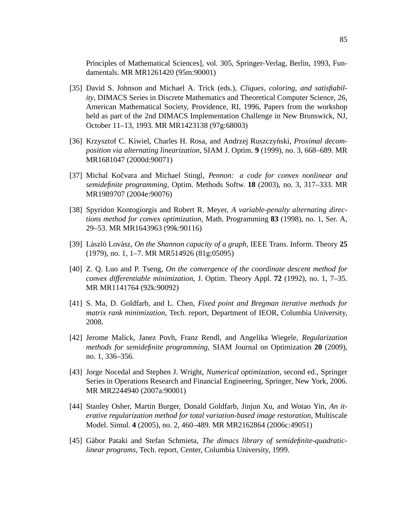Principles of Mathematical Sciences], vol. 305, Springer-Verlag, Berlin, 1993, Fundamentals. MR MR1261420 (95m:90001)

- [35] David S. Johnson and Michael A. Trick (eds.), *Cliques, coloring, and satisfiability*, DIMACS Series in Discrete Mathematics and Theoretical Computer Science, 26, American Mathematical Society, Providence, RI, 1996, Papers from the workshop held as part of the 2nd DIMACS Implementation Challenge in New Brunswick, NJ, October 11–13, 1993. MR MR1423138 (97g:68003)
- [36] Krzysztof C. Kiwiel, Charles H. Rosa, and Andrzej Ruszczyński, *Proximal decomposition via alternating linearization*, SIAM J. Optim. **9** (1999), no. 3, 668–689. MR MR1681047 (2000d:90071)
- [37] Michal Kočvara and Michael Stingl, *Pennon: a code for convex nonlinear and semidefinite programming*, Optim. Methods Softw. **18** (2003), no. 3, 317–333. MR MR1989707 (2004e:90076)
- [38] Spyridon Kontogiorgis and Robert R. Meyer, *A variable-penalty alternating directions method for convex optimization*, Math. Programming **83** (1998), no. 1, Ser. A, 29–53. MR MR1643963 (99k:90116)
- [39] László Lovász, *On the Shannon capacity of a graph*, IEEE Trans. Inform. Theory 25 (1979), no. 1, 1–7. MR MR514926 (81g:05095)
- [40] Z. Q. Luo and P. Tseng, *On the convergence of the coordinate descent method for convex differentiable minimization*, J. Optim. Theory Appl. **72** (1992), no. 1, 7–35. MR MR1141764 (92k:90092)
- [41] S. Ma, D. Goldfarb, and L. Chen, *Fixed point and Bregman iterative methods for matrix rank minimization*, Tech. report, Department of IEOR, Columbia University, 2008.
- [42] Jerome Malick, Janez Povh, Franz Rendl, and Angelika Wiegele, *Regularization methods for semidefinite programming*, SIAM Journal on Optimization **20** (2009), no. 1, 336–356.
- [43] Jorge Nocedal and Stephen J. Wright, *Numerical optimization*, second ed., Springer Series in Operations Research and Financial Engineering, Springer, New York, 2006. MR MR2244940 (2007a:90001)
- [44] Stanley Osher, Martin Burger, Donald Goldfarb, Jinjun Xu, and Wotao Yin, *An iterative regularization method for total variation-based image restoration*, Multiscale Model. Simul. **4** (2005), no. 2, 460–489. MR MR2162864 (2006c:49051)
- [45] Gàbor Pataki and Stefan Schmieta, The dimacs library of semidefinite-quadratic*linear programs*, Tech. report, Center, Columbia University, 1999.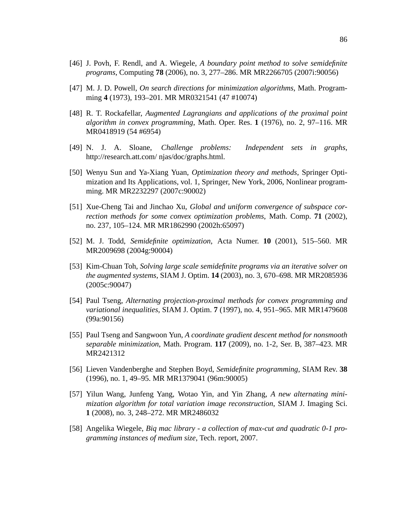- [46] J. Povh, F. Rendl, and A. Wiegele, *A boundary point method to solve semidefinite programs*, Computing **78** (2006), no. 3, 277–286. MR MR2266705 (2007i:90056)
- [47] M. J. D. Powell, *On search directions for minimization algorithms*, Math. Programming **4** (1973), 193–201. MR MR0321541 (47 #10074)
- [48] R. T. Rockafellar, *Augmented Lagrangians and applications of the proximal point algorithm in convex programming*, Math. Oper. Res. **1** (1976), no. 2, 97–116. MR MR0418919 (54 #6954)
- [49] N. J. A. Sloane, *Challenge problems: Independent sets in graphs*, http://research.att.com/ njas/doc/graphs.html.
- [50] Wenyu Sun and Ya-Xiang Yuan, *Optimization theory and methods*, Springer Optimization and Its Applications, vol. 1, Springer, New York, 2006, Nonlinear programming. MR MR2232297 (2007c:90002)
- [51] Xue-Cheng Tai and Jinchao Xu, *Global and uniform convergence of subspace correction methods for some convex optimization problems*, Math. Comp. **71** (2002), no. 237, 105–124. MR MR1862990 (2002h:65097)
- [52] M. J. Todd, *Semidefinite optimization*, Acta Numer. **10** (2001), 515–560. MR MR2009698 (2004g:90004)
- [53] Kim-Chuan Toh, *Solving large scale semidefinite programs via an iterative solver on the augmented systems*, SIAM J. Optim. **14** (2003), no. 3, 670–698. MR MR2085936 (2005c:90047)
- [54] Paul Tseng, *Alternating projection-proximal methods for convex programming and variational inequalities*, SIAM J. Optim. **7** (1997), no. 4, 951–965. MR MR1479608 (99a:90156)
- [55] Paul Tseng and Sangwoon Yun, *A coordinate gradient descent method for nonsmooth separable minimization*, Math. Program. **117** (2009), no. 1-2, Ser. B, 387–423. MR MR2421312
- [56] Lieven Vandenberghe and Stephen Boyd, *Semidefinite programming*, SIAM Rev. **38** (1996), no. 1, 49–95. MR MR1379041 (96m:90005)
- [57] Yilun Wang, Junfeng Yang, Wotao Yin, and Yin Zhang, *A new alternating minimization algorithm for total variation image reconstruction*, SIAM J. Imaging Sci. **1** (2008), no. 3, 248–272. MR MR2486032
- [58] Angelika Wiegele, *Biq mac library a collection of max-cut and quadratic 0-1 programming instances of medium size*, Tech. report, 2007.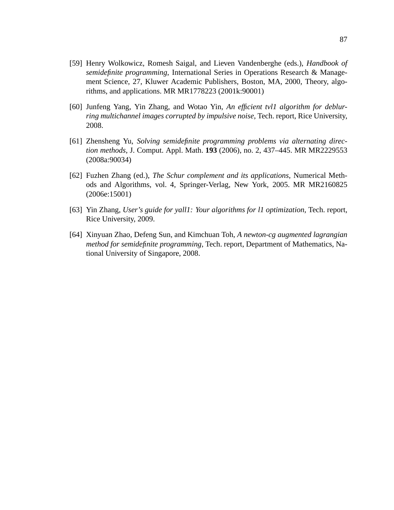- [59] Henry Wolkowicz, Romesh Saigal, and Lieven Vandenberghe (eds.), *Handbook of semidefinite programming*, International Series in Operations Research & Management Science, 27, Kluwer Academic Publishers, Boston, MA, 2000, Theory, algorithms, and applications. MR MR1778223 (2001k:90001)
- [60] Junfeng Yang, Yin Zhang, and Wotao Yin, *An efficient tvl1 algorithm for deblurring multichannel images corrupted by impulsive noise*, Tech. report, Rice University, 2008.
- [61] Zhensheng Yu, *Solving semidefinite programming problems via alternating direction methods*, J. Comput. Appl. Math. **193** (2006), no. 2, 437–445. MR MR2229553 (2008a:90034)
- [62] Fuzhen Zhang (ed.), *The Schur complement and its applications*, Numerical Methods and Algorithms, vol. 4, Springer-Verlag, New York, 2005. MR MR2160825 (2006e:15001)
- [63] Yin Zhang, *User's guide for yall1: Your algorithms for l1 optimization*, Tech. report, Rice University, 2009.
- [64] Xinyuan Zhao, Defeng Sun, and Kimchuan Toh, *A newton-cg augmented lagrangian method for semidefinite programming*, Tech. report, Department of Mathematics, National University of Singapore, 2008.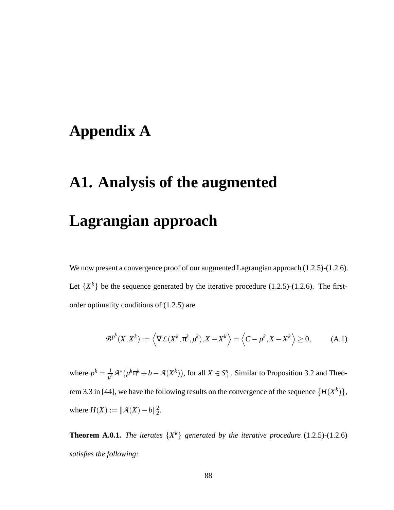# **Appendix A**

# **A1. Analysis of the augmented Lagrangian approach**

We now present a convergence proof of our augmented Lagrangian approach  $(1.2.5)-(1.2.6)$ . Let  $\{X^k\}$  be the sequence generated by the iterative procedure (1.2.5)-(1.2.6). The firstorder optimality conditions of (1.2.5) are

$$
\mathcal{B}^{p^k}(X, X^k) := \left\langle \nabla \mathcal{L}(X^k, \pi^k, \mu^k), X - X^k \right\rangle = \left\langle C - p^k, X - X^k \right\rangle \ge 0,
$$
 (A.1)

where  $p^k = \frac{1}{\mu^k}$  $\frac{1}{\mu^k} \mathcal{A}^*(\mu^k \pi^k + b - \mathcal{A}(X^k))$ , for all  $X \in S^n_+$ . Similar to Proposition 3.2 and Theorem 3.3 in [44], we have the following results on the convergence of the sequence  $\{H(X^k)\},$ where  $H(X) := ||A(X) - b||_2^2$ .

**Theorem A.0.1.** *The iterates*  $\{X^k\}$  *generated by the iterative procedure* (1.2.5)-(1.2.6) *satisfies the following:*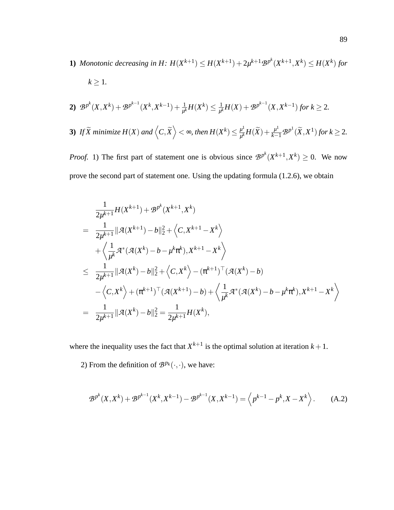**1)** Monotonic decreasing in H:  $H(X^{k+1}) \leq H(X^{k+1}) + 2\mu^{k+1}B^{p^k}(X^{k+1},X^k) \leq H(X^k)$  for  $k \geq 1$ .

\n- **2)** 
$$
\mathcal{B}^{p^k}(X, X^k) + \mathcal{B}^{p^{k-1}}(X^k, X^{k-1}) + \frac{1}{\mu^k}H(X^k) \leq \frac{1}{\mu^k}H(X) + \mathcal{B}^{p^{k-1}}(X, X^{k-1})
$$
 for  $k \geq 2$ .
\n- **3)** If  $\widetilde{X}$  minimize  $H(X)$  and  $\left\langle C, \widetilde{X} \right\rangle < \infty$ , then  $H(X^k) \leq \frac{\mu^1}{\mu^k}H(\widetilde{X}) + \frac{\mu^1}{k-1}\mathcal{B}^{p^1}(\widetilde{X}, X^1)$  for  $k \geq 2$ .
\n

*Proof.* 1) The first part of statement one is obvious since  $B^{p^k}(X^{k+1}, X^k) \ge 0$ . We now prove the second part of statement one. Using the updating formula (1.2.6), we obtain

$$
\frac{1}{2\mu^{k+1}}H(X^{k+1}) + B^{p^{k}}(X^{k+1}, X^{k})
$$
\n
$$
= \frac{1}{2\mu^{k+1}}\|\mathcal{A}(X^{k+1}) - b\|_{2}^{2} + \langle C, X^{k+1} - X^{k} \rangle
$$
\n
$$
+ \langle \frac{1}{\mu^{k}}\mathcal{A}^{*}(\mathcal{A}(X^{k}) - b - \mu^{k}\pi^{k}), X^{k+1} - X^{k} \rangle
$$
\n
$$
\leq \frac{1}{2\mu^{k+1}}\|\mathcal{A}(X^{k}) - b\|_{2}^{2} + \langle C, X^{k} \rangle - (\pi^{k+1})^{\top}(\mathcal{A}(X^{k}) - b)
$$
\n
$$
- \langle C, X^{k} \rangle + (\pi^{k+1})^{\top}(\mathcal{A}(X^{k+1}) - b) + \langle \frac{1}{\mu^{k}}\mathcal{A}^{*}(\mathcal{A}(X^{k}) - b - \mu^{k}\pi^{k}), X^{k+1} - X^{k} \rangle
$$
\n
$$
= \frac{1}{2\mu^{k+1}}\|\mathcal{A}(X^{k}) - b\|_{2}^{2} = \frac{1}{2\mu^{k+1}}H(X^{k}),
$$

where the inequality uses the fact that  $X^{k+1}$  is the optimal solution at iteration  $k+1$ .

2) From the definition of  $\mathcal{B}^{p_k}(\cdot,\cdot)$ , we have:

$$
\mathcal{B}^{p^k}(X, X^k) + \mathcal{B}^{p^{k-1}}(X^k, X^{k-1}) - \mathcal{B}^{p^{k-1}}(X, X^{k-1}) = \left\langle p^{k-1} - p^k, X - X^k \right\rangle. \tag{A.2}
$$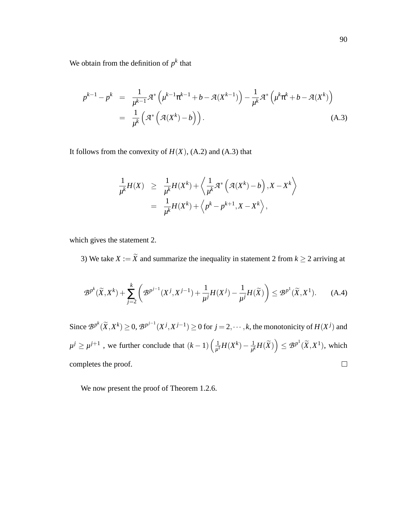We obtain from the definition of  $p^k$  that

$$
p^{k-1} - p^k = \frac{1}{\mu^{k-1}} \mathcal{A}^* \left( \mu^{k-1} \pi^{k-1} + b - \mathcal{A}(X^{k-1}) \right) - \frac{1}{\mu^k} \mathcal{A}^* \left( \mu^k \pi^k + b - \mathcal{A}(X^k) \right)
$$
  
= 
$$
\frac{1}{\mu^k} \left( \mathcal{A}^* \left( \mathcal{A}(X^k) - b \right) \right).
$$
 (A.3)

It follows from the convexity of  $H(X)$ , (A.2) and (A.3) that

$$
\frac{1}{\mu^k} H(X) \geq \frac{1}{\mu^k} H(X^k) + \left\langle \frac{1}{\mu^k} \mathcal{A}^* \left( \mathcal{A}(X^k) - b \right), X - X^k \right\rangle
$$
  
= 
$$
\frac{1}{\mu^k} H(X^k) + \left\langle p^k - p^{k+1}, X - X^k \right\rangle,
$$

which gives the statement 2.

3) We take *X* :=  $\widetilde{X}$  and summarize the inequality in statement 2 from  $k \ge 2$  arriving at

$$
\mathcal{B}^{p^k}(\widetilde{X}, X^k) + \sum_{j=2}^k \left( \mathcal{B}^{p^{j-1}}(X^j, X^{j-1}) + \frac{1}{\mu^j} H(X^j) - \frac{1}{\mu^j} H(\widetilde{X}) \right) \le \mathcal{B}^{p^1}(\widetilde{X}, X^1). \tag{A.4}
$$

Since  $\mathcal{B}^{p^k}(\widetilde{X},X^k) \geq 0$ ,  $\mathcal{B}^{p^{j-1}}(X^j,X^{j-1}) \geq 0$  for  $j=2,\cdots,k$ , the monotonicity of  $H(X^j)$  and  $\mu^j \ge \mu^{j+1}$ , we further conclude that  $(k-1)\left(\frac{1}{\mu^j}\right)$  $\frac{1}{\mu^k} H(\widetilde{X})$   $\leq$   $\mathcal{B}^{p^1}(\widetilde{X},X^1)$ , which  $\frac{1}{\mu^1}H(X^k)-\frac{1}{\mu^k}$ completes the proof.  $\Box$ 

We now present the proof of Theorem 1.2.6.